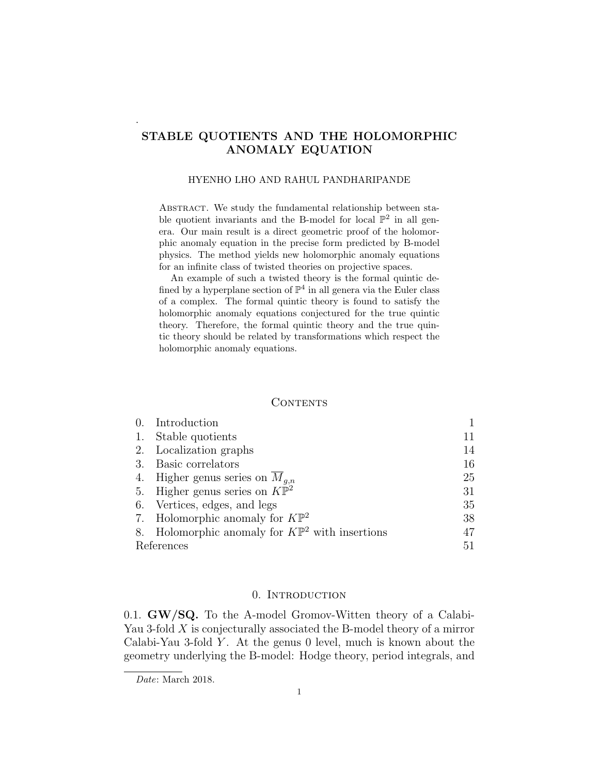### STABLE QUOTIENTS AND THE HOLOMORPHIC ANOMALY EQUATION

### HYENHO LHO AND RAHUL PANDHARIPANDE

ABSTRACT. We study the fundamental relationship between stable quotient invariants and the B-model for local  $\mathbb{P}^2$  in all genera. Our main result is a direct geometric proof of the holomorphic anomaly equation in the precise form predicted by B-model physics. The method yields new holomorphic anomaly equations for an infinite class of twisted theories on projective spaces.

An example of such a twisted theory is the formal quintic defined by a hyperplane section of  $\mathbb{P}^4$  in all genera via the Euler class of a complex. The formal quintic theory is found to satisfy the holomorphic anomaly equations conjectured for the true quintic theory. Therefore, the formal quintic theory and the true quintic theory should be related by transformations which respect the holomorphic anomaly equations.

### **CONTENTS**

|            | Introduction                                               |    |
|------------|------------------------------------------------------------|----|
| 1.         | Stable quotients                                           | 11 |
|            | 2. Localization graphs                                     | 14 |
|            | 3. Basic correlators                                       | 16 |
|            | 4. Higher genus series on $M_{q,n}$                        | 25 |
|            | 5. Higher genus series on $K\mathbb{P}^2$                  | 31 |
|            | 6. Vertices, edges, and legs                               | 35 |
|            | 7. Holomorphic anomaly for $K\mathbb{P}^2$                 | 38 |
|            | 8. Holomorphic anomaly for $K\mathbb{P}^2$ with insertions | 47 |
| References |                                                            | 51 |

### 0. Introduction

0.1. GW/SQ. To the A-model Gromov-Witten theory of a Calabi-Yau 3-fold  $X$  is conjecturally associated the B-model theory of a mirror Calabi-Yau 3-fold Y. At the genus 0 level, much is known about the geometry underlying the B-model: Hodge theory, period integrals, and

.

Date: March 2018.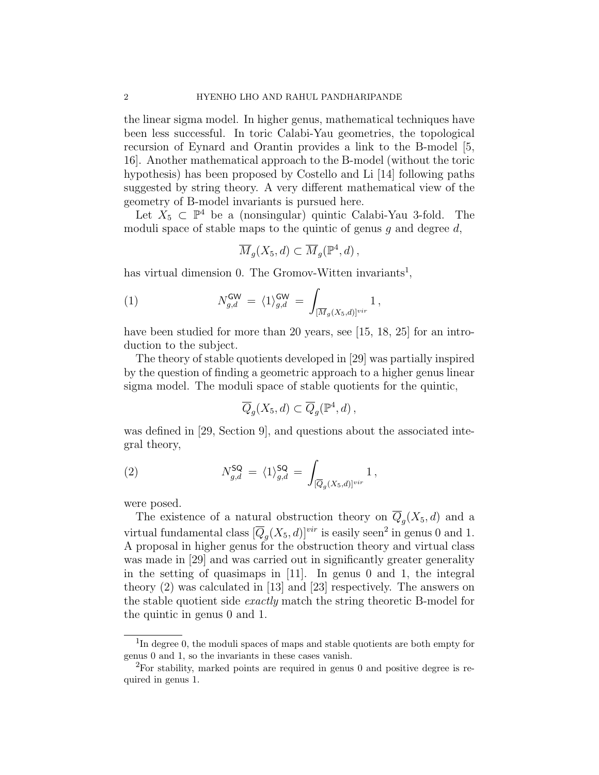the linear sigma model. In higher genus, mathematical techniques have been less successful. In toric Calabi-Yau geometries, the topological recursion of Eynard and Orantin provides a link to the B-model [5, 16]. Another mathematical approach to the B-model (without the toric hypothesis) has been proposed by Costello and Li [14] following paths suggested by string theory. A very different mathematical view of the geometry of B-model invariants is pursued here.

Let  $X_5 \subset \mathbb{P}^4$  be a (nonsingular) quintic Calabi-Yau 3-fold. The moduli space of stable maps to the quintic of genus q and degree  $d$ ,

$$
\overline{M}_g(X_5, d) \subset \overline{M}_g(\mathbb{P}^4, d) ,
$$

has virtual dimension 0. The Gromov-Witten invariants<sup>1</sup>,

(1) 
$$
N_{g,d}^{\mathsf{GW}} = \langle 1 \rangle_{g,d}^{\mathsf{GW}} = \int_{[\overline{M}_g(X_5,d)]^{vir}} 1,
$$

have been studied for more than 20 years, see [15, 18, 25] for an introduction to the subject.

The theory of stable quotients developed in [29] was partially inspired by the question of finding a geometric approach to a higher genus linear sigma model. The moduli space of stable quotients for the quintic,

$$
\overline{Q}_g(X_5,d) \subset \overline{Q}_g(\mathbb{P}^4,d) \,,
$$

was defined in [29, Section 9], and questions about the associated integral theory,

(2) 
$$
N_{g,d}^{\mathsf{SQ}} = \langle 1 \rangle_{g,d}^{\mathsf{SQ}} = \int_{[\overline{Q}_g(X_5,d)]^{vir}} 1,
$$

were posed.

The existence of a natural obstruction theory on  $Q_g(X_5, d)$  and a virtual fundamental class  $[\overline{Q}_g(X_5, d)]^{vir}$  is easily seen<sup>2</sup> in genus 0 and 1. A proposal in higher genus for the obstruction theory and virtual class was made in [29] and was carried out in significantly greater generality in the setting of quasimaps in [11]. In genus 0 and 1, the integral theory (2) was calculated in [13] and [23] respectively. The answers on the stable quotient side exactly match the string theoretic B-model for the quintic in genus 0 and 1.

<sup>&</sup>lt;sup>1</sup>In degree 0, the moduli spaces of maps and stable quotients are both empty for genus 0 and 1, so the invariants in these cases vanish.

 ${}^{2}$ For stability, marked points are required in genus 0 and positive degree is required in genus 1.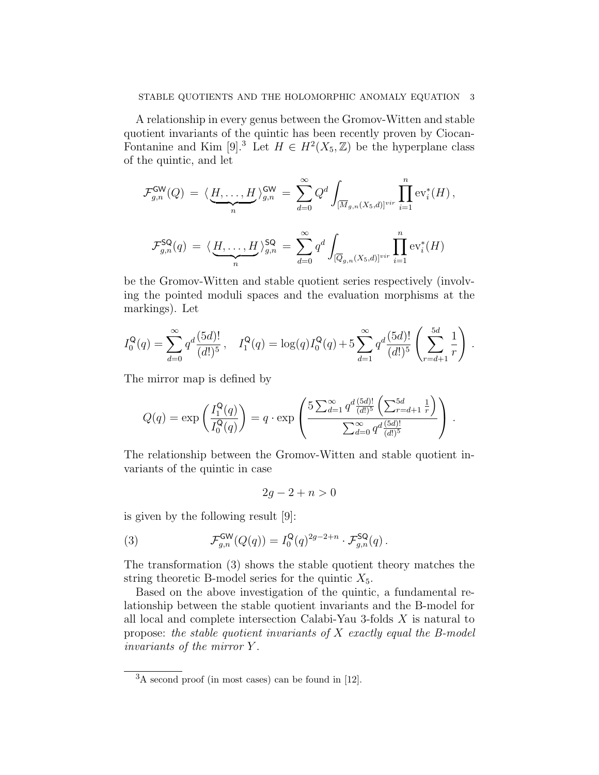A relationship in every genus between the Gromov-Witten and stable quotient invariants of the quintic has been recently proven by Ciocan-Fontanine and Kim [9].<sup>3</sup> Let  $H \in H^2(X_5, \mathbb{Z})$  be the hyperplane class of the quintic, and let

$$
\mathcal{F}_{g,n}^{\mathsf{GW}}(Q) = \langle \underbrace{H,\ldots,H}_{n} \rangle_{g,n}^{\mathsf{GW}} = \sum_{d=0}^{\infty} Q^d \int_{[\overline{M}_{g,n}(X_5,d)]^{vir}} \prod_{i=1}^n \text{ev}_i^*(H),
$$
  

$$
\mathcal{F}_{g,n}^{\mathsf{SQ}}(q) = \langle \underbrace{H,\ldots,H}_{n} \rangle_{g,n}^{\mathsf{SQ}} = \sum_{d=0}^{\infty} q^d \int_{[\overline{Q}_{g,n}(X_5,d)]^{vir}} \prod_{i=1}^n \text{ev}_i^*(H)
$$

be the Gromov-Witten and stable quotient series respectively (involving the pointed moduli spaces and the evaluation morphisms at the markings). Let

$$
I_0^{\mathsf{Q}}(q) = \sum_{d=0}^{\infty} q^d \frac{(5d)!}{(d!)^5}, \quad I_1^{\mathsf{Q}}(q) = \log(q) I_0^{\mathsf{Q}}(q) + 5 \sum_{d=1}^{\infty} q^d \frac{(5d)!}{(d!)^5} \left( \sum_{r=d+1}^{5d} \frac{1}{r} \right).
$$

The mirror map is defined by

$$
Q(q) = \exp\left(\frac{I_1^{\mathsf{Q}}(q)}{I_0^{\mathsf{Q}}(q)}\right) = q \cdot \exp\left(\frac{5 \sum_{d=1}^{\infty} q^d \frac{(5d)!}{(d!)^5} \left(\sum_{r=d+1}^{5d} \frac{1}{r}\right)}{\sum_{d=0}^{\infty} q^d \frac{(5d)!}{(d!)^5}}\right).
$$

The relationship between the Gromov-Witten and stable quotient invariants of the quintic in case

$$
2g - 2 + n > 0
$$

is given by the following result [9]:

(3) 
$$
\mathcal{F}_{g,n}^{\mathsf{GW}}(Q(q)) = I_0^{\mathsf{Q}}(q)^{2g-2+n} \cdot \mathcal{F}_{g,n}^{\mathsf{SQ}}(q).
$$

The transformation (3) shows the stable quotient theory matches the string theoretic B-model series for the quintic  $X_5$ .

Based on the above investigation of the quintic, a fundamental relationship between the stable quotient invariants and the B-model for all local and complete intersection Calabi-Yau 3-folds X is natural to propose: the stable quotient invariants of  $X$  exactly equal the B-model invariants of the mirror Y .

 ${}^{3}$ A second proof (in most cases) can be found in [12].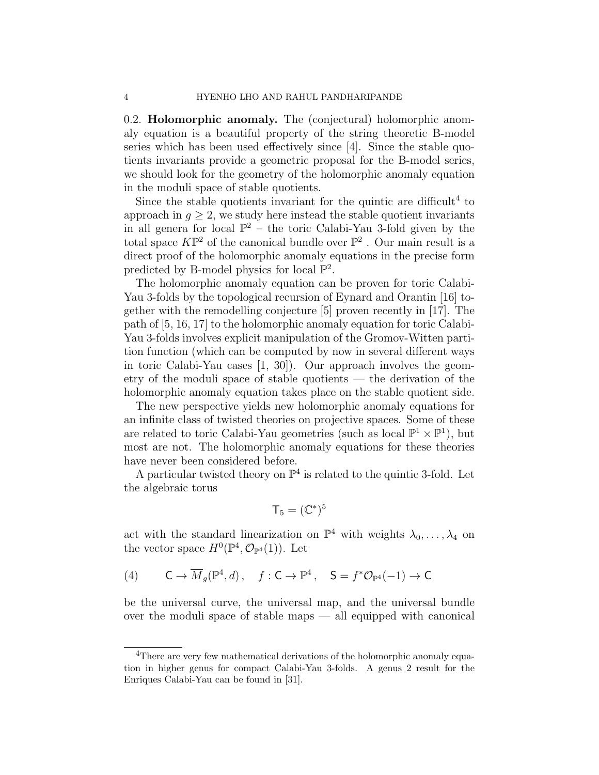0.2. Holomorphic anomaly. The (conjectural) holomorphic anomaly equation is a beautiful property of the string theoretic B-model series which has been used effectively since  $|4|$ . Since the stable quotients invariants provide a geometric proposal for the B-model series, we should look for the geometry of the holomorphic anomaly equation in the moduli space of stable quotients.

Since the stable quotients invariant for the quintic are difficult<sup>4</sup> to approach in  $q \geq 2$ , we study here instead the stable quotient invariants in all genera for local  $\mathbb{P}^2$  – the toric Calabi-Yau 3-fold given by the total space  $K\mathbb{P}^2$  of the canonical bundle over  $\mathbb{P}^2$ . Our main result is a direct proof of the holomorphic anomaly equations in the precise form predicted by B-model physics for local  $\mathbb{P}^2$ .

The holomorphic anomaly equation can be proven for toric Calabi-Yau 3-folds by the topological recursion of Eynard and Orantin [16] together with the remodelling conjecture [5] proven recently in [17]. The path of [5, 16, 17] to the holomorphic anomaly equation for toric Calabi-Yau 3-folds involves explicit manipulation of the Gromov-Witten partition function (which can be computed by now in several different ways in toric Calabi-Yau cases [1, 30]). Our approach involves the geometry of the moduli space of stable quotients — the derivation of the holomorphic anomaly equation takes place on the stable quotient side.

The new perspective yields new holomorphic anomaly equations for an infinite class of twisted theories on projective spaces. Some of these are related to toric Calabi-Yau geometries (such as local  $\mathbb{P}^1 \times \mathbb{P}^1$ ), but most are not. The holomorphic anomaly equations for these theories have never been considered before.

A particular twisted theory on  $\mathbb{P}^4$  is related to the quintic 3-fold. Let the algebraic torus

$$
\mathsf{T}_5 = (\mathbb{C}^*)^5
$$

act with the standard linearization on  $\mathbb{P}^4$  with weights  $\lambda_0, \ldots, \lambda_4$  on the vector space  $H^0(\mathbb{P}^4, \mathcal{O}_{\mathbb{P}^4}(1))$ . Let

$$
(4) \qquad \mathsf{C} \to \overline{M}_g(\mathbb{P}^4, d) \,, \quad f: \mathsf{C} \to \mathbb{P}^4 \,, \quad \mathsf{S} = f^* \mathcal{O}_{\mathbb{P}^4}(-1) \to \mathsf{C}
$$

be the universal curve, the universal map, and the universal bundle over the moduli space of stable maps — all equipped with canonical

<sup>&</sup>lt;sup>4</sup>There are very few mathematical derivations of the holomorphic anomaly equation in higher genus for compact Calabi-Yau 3-folds. A genus 2 result for the Enriques Calabi-Yau can be found in [31].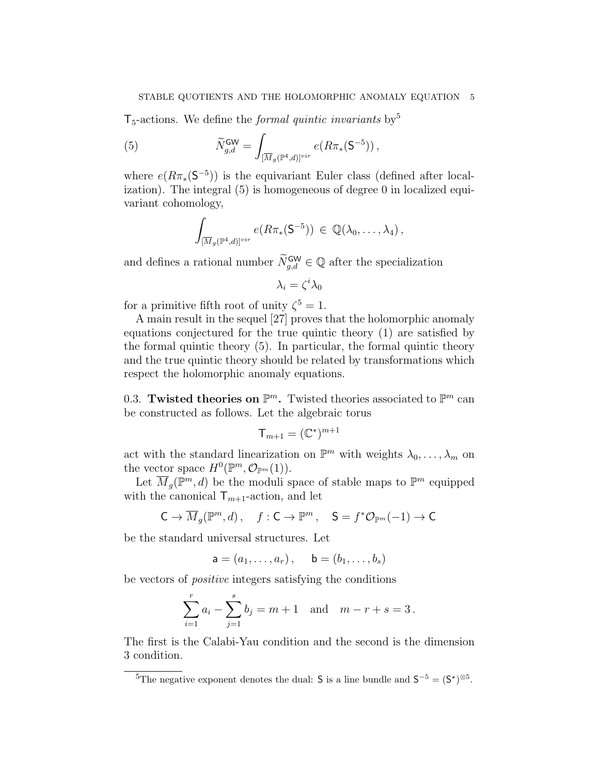$T_5$ -actions. We define the *formal quintic invariants* by<sup>5</sup>

(5) 
$$
\widetilde{N}_{g,d}^{\mathsf{GW}} = \int_{[\overline{M}_g(\mathbb{P}^4,d)]^{vir}} e(R\pi_*(\mathsf{S}^{-5})),
$$

where  $e(R\pi_*(S^{-5}))$  is the equivariant Euler class (defined after localization). The integral (5) is homogeneous of degree 0 in localized equivariant cohomology,

$$
\int_{[\overline{M}_g(\mathbb{P}^4,d)]^{vir}} e(R\pi_*(\mathsf{S}^{-5})) \, \in \, \mathbb{Q}(\lambda_0,\ldots,\lambda_4) \, ,
$$

and defines a rational number  $\widetilde{N}_{g,d}^{\mathsf{GW}} \in \mathbb{Q}$  after the specialization

$$
\lambda_i = \zeta^i \lambda_0
$$

for a primitive fifth root of unity  $\zeta^5 = 1$ .

A main result in the sequel [27] proves that the holomorphic anomaly equations conjectured for the true quintic theory (1) are satisfied by the formal quintic theory (5). In particular, the formal quintic theory and the true quintic theory should be related by transformations which respect the holomorphic anomaly equations.

0.3. Twisted theories on  $\mathbb{P}^m$ . Twisted theories associated to  $\mathbb{P}^m$  can be constructed as follows. Let the algebraic torus

$$
\mathsf{T}_{m+1} = (\mathbb{C}^*)^{m+1}
$$

act with the standard linearization on  $\mathbb{P}^m$  with weights  $\lambda_0, \ldots, \lambda_m$  on the vector space  $H^0(\mathbb{P}^m, \mathcal{O}_{\mathbb{P}^m}(1)).$ 

Let  $\overline{M}_g(\mathbb{P}^m,d)$  be the moduli space of stable maps to  $\mathbb{P}^m$  equipped with the canonical  $\mathsf{T}_{m+1}$ -action, and let

$$
\mathsf{C} \to \overline{M}_g(\mathbb{P}^m, d) \,, \quad f: \mathsf{C} \to \mathbb{P}^m \,, \quad \mathsf{S} = f^* \mathcal{O}_{\mathbb{P}^m}(-1) \to \mathsf{C}
$$

be the standard universal structures. Let

$$
\mathsf{a}=(a_1,\ldots,a_r)\,,\quad \ \mathsf{b}=(b_1,\ldots,b_s)
$$

be vectors of positive integers satisfying the conditions

$$
\sum_{i=1}^{r} a_i - \sum_{j=1}^{s} b_j = m + 1 \text{ and } m - r + s = 3.
$$

The first is the Calabi-Yau condition and the second is the dimension 3 condition.

<sup>&</sup>lt;sup>5</sup>The negative exponent denotes the dual: **S** is a line bundle and  $S^{-5} = (S^*)^{\otimes 5}$ .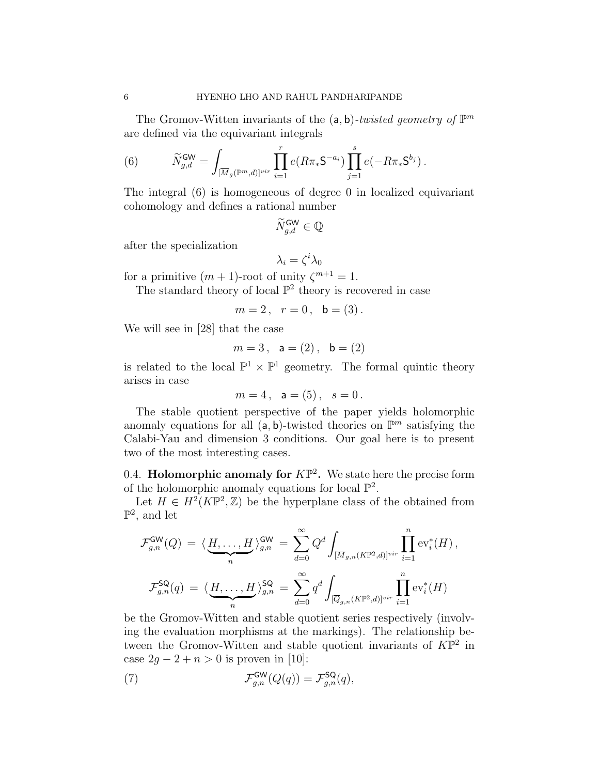The Gromov-Witten invariants of the  $(a, b)$ -twisted geometry of  $\mathbb{P}^m$ are defined via the equivariant integrals

(6) 
$$
\widetilde{N}_{g,d}^{\text{GW}} = \int_{[\overline{M}_g(\mathbb{P}^m,d)]^{vir}} \prod_{i=1}^r e(R\pi_* S^{-a_i}) \prod_{j=1}^s e(-R\pi_* S^{b_j}).
$$

The integral (6) is homogeneous of degree 0 in localized equivariant cohomology and defines a rational number

$$
\widetilde{N}_{g,d}^{\text{GW}}\in\mathbb{Q}
$$

after the specialization

$$
\lambda_i=\zeta^i\lambda_0
$$

for a primitive  $(m + 1)$ -root of unity  $\zeta^{m+1} = 1$ .

The standard theory of local  $\mathbb{P}^2$  theory is recovered in case

$$
m=2
$$
,  $r=0$ ,  $b=(3)$ .

We will see in [28] that the case

$$
m=3
$$
,  $a=(2)$ ,  $b=(2)$ 

is related to the local  $\mathbb{P}^1 \times \mathbb{P}^1$  geometry. The formal quintic theory arises in case

$$
m=4
$$
,  $a=(5)$ ,  $s=0$ .

The stable quotient perspective of the paper yields holomorphic anomaly equations for all  $(a, b)$ -twisted theories on  $\mathbb{P}^m$  satisfying the Calabi-Yau and dimension 3 conditions. Our goal here is to present two of the most interesting cases.

0.4. **Holomorphic anomaly for**  $K\mathbb{P}^2$ . We state here the precise form of the holomorphic anomaly equations for local  $\mathbb{P}^2$ .

Let  $H \in H^2(K\mathbb{P}^2, \mathbb{Z})$  be the hyperplane class of the obtained from  $\mathbb{P}^2$ , and let

$$
\mathcal{F}_{g,n}^{\mathsf{GW}}(Q) = \langle \underbrace{H, \ldots, H}_{n} \rangle_{g,n}^{\mathsf{GW}} = \sum_{d=0}^{\infty} Q^d \int_{[\overline{M}_{g,n}(K\mathbb{P}^2,d)]^{vir}} \prod_{i=1}^{n} \text{ev}_i^*(H),
$$
\n
$$
\mathcal{F}_{g,n}^{\mathsf{SQ}}(q) = \langle \underbrace{H, \ldots, H}_{n} \rangle_{g,n}^{\mathsf{SQ}} = \sum_{d=0}^{\infty} q^d \int_{[\overline{Q}_{g,n}(K\mathbb{P}^2,d)]^{vir}} \prod_{i=1}^{n} \text{ev}_i^*(H)
$$

be the Gromov-Witten and stable quotient series respectively (involving the evaluation morphisms at the markings). The relationship between the Gromov-Witten and stable quotient invariants of  $K\overline{P}^2$  in case  $2g - 2 + n > 0$  is proven in [10]:

(7) 
$$
\mathcal{F}_{g,n}^{\mathsf{GW}}(Q(q)) = \mathcal{F}_{g,n}^{\mathsf{SQ}}(q),
$$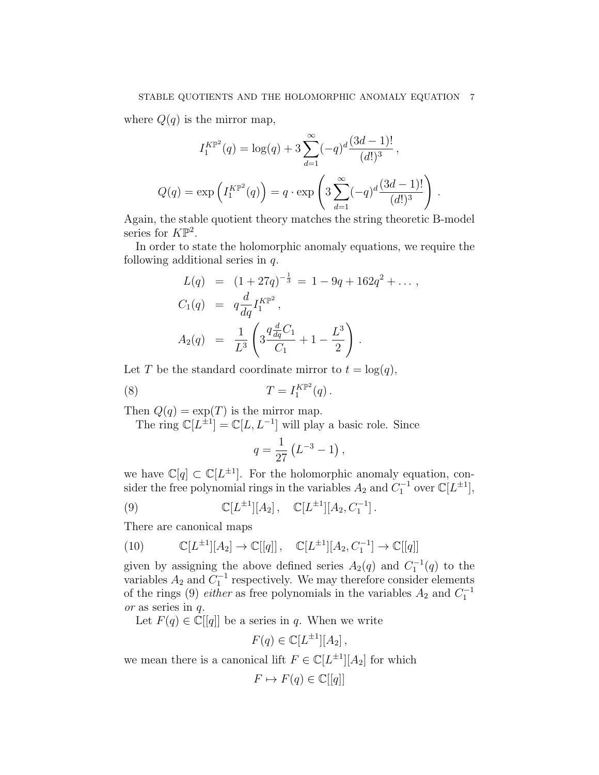where  $Q(q)$  is the mirror map,

$$
I_1^{K\mathbb{P}^2}(q) = \log(q) + 3 \sum_{d=1}^{\infty} (-q)^d \frac{(3d-1)!}{(d!)^3},
$$
  

$$
Q(q) = \exp\left(I_1^{K\mathbb{P}^2}(q)\right) = q \cdot \exp\left(3 \sum_{d=1}^{\infty} (-q)^d \frac{(3d-1)!}{(d!)^3}\right)
$$

.

Again, the stable quotient theory matches the string theoretic B-model series for  $K\mathbb{P}^2$ .

In order to state the holomorphic anomaly equations, we require the following additional series in q.

$$
L(q) = (1 + 27q)^{-\frac{1}{3}} = 1 - 9q + 162q^{2} + \dots,
$$
  
\n
$$
C_{1}(q) = q \frac{d}{dq} I_{1}^{K\mathbb{P}^{2}},
$$
  
\n
$$
A_{2}(q) = \frac{1}{L^{3}} \left( 3 \frac{q \frac{d}{dq} C_{1}}{C_{1}} + 1 - \frac{L^{3}}{2} \right).
$$

Let T be the standard coordinate mirror to  $t = \log(q)$ ,

(8) 
$$
T = I_1^{K\mathbb{P}^2}(q).
$$

Then  $Q(q) = \exp(T)$  is the mirror map.

The ring  $\mathbb{C}[L^{\pm 1}] = \mathbb{C}[L, L^{-1}]$  will play a basic role. Since

$$
q = \frac{1}{27} \left( L^{-3} - 1 \right),
$$

we have  $\mathbb{C}[q] \subset \mathbb{C}[L^{\pm 1}]$ . For the holomorphic anomaly equation, consider the free polynomial rings in the variables  $A_2$  and  $C_1^{-1}$  over  $\mathbb{C}[L^{\pm 1}]$ ,

(9) 
$$
\mathbb{C}[L^{\pm 1}][A_2], \quad \mathbb{C}[L^{\pm 1}][A_2, C_1^{-1}].
$$

There are canonical maps

(10) 
$$
\mathbb{C}[L^{\pm 1}][A_2] \to \mathbb{C}[[q]]
$$
,  $\mathbb{C}[L^{\pm 1}][A_2, C_1^{-1}] \to \mathbb{C}[[q]]$ 

given by assigning the above defined series  $A_2(q)$  and  $C_1^{-1}(q)$  to the variables  $A_2$  and  $C_1^{-1}$  respectively. We may therefore consider elements of the rings (9) *either* as free polynomials in the variables  $A_2$  and  $C_1^{-1}$ or as series in q.

Let  $F(q) \in \mathbb{C}[[q]]$  be a series in q. When we write

$$
F(q) \in \mathbb{C}[L^{\pm 1}][A_2],
$$

we mean there is a canonical lift  $F \in \mathbb{C}[L^{\pm 1}][A_2]$  for which

$$
F \mapsto F(q) \in \mathbb{C}[[q]]
$$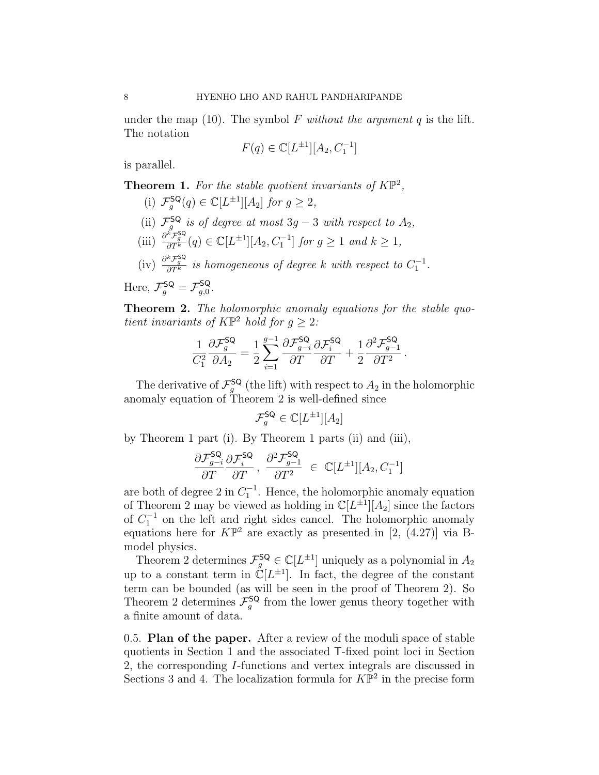under the map (10). The symbol F without the argument  $q$  is the lift. The notation

$$
F(q) \in \mathbb{C}[L^{\pm 1}][A_2, C_1^{-1}]
$$

is parallel.

**Theorem 1.** For the stable quotient invariants of  $K\mathbb{P}^2$ ,

(i) 
$$
\mathcal{F}_g^{\mathsf{SQ}}(q) \in \mathbb{C}[L^{\pm 1}][A_2]
$$
 for  $g \geq 2$ ,

- (ii)  $\mathcal{F}_g^{\mathsf{SQ}}$  is of degree at most 3g 3 with respect to  $A_2$ ,
- (iii)  $\frac{\partial^k \mathcal{F}_g^{\mathsf{SQ}}}{\partial T^k}(q) \in \mathbb{C}[L^{\pm 1}][A_2, C_1^{-1}]$  for  $g \ge 1$  and  $k \ge 1$ ,
- (iv)  $\frac{\partial^k \mathcal{F}_g^{\mathsf{SQ}}}{\partial T^k}$  is homogeneous of degree k with respect to  $C_1^{-1}$ .

Here,  $\mathcal{F}_g^{\mathsf{SQ}} = \mathcal{F}_{g,0}^{\mathsf{SQ}}$  $g,0$  .

Theorem 2. The holomorphic anomaly equations for the stable quotient invariants of  $K\mathbb{P}^2$  hold for  $g \geq 2$ :

$$
\frac{1}{C_1^2}\frac{\partial \mathcal{F}_g^{\mathsf{SQ}}}{\partial A_2} = \frac{1}{2}\sum_{i=1}^{g-1}\frac{\partial \mathcal{F}_{g-i}^{\mathsf{SQ}}}{\partial T}\frac{\partial \mathcal{F}_i^{\mathsf{SQ}}}{\partial T} + \frac{1}{2}\frac{\partial^2 \mathcal{F}_{g-1}^{\mathsf{SQ}}}{\partial T^2}.
$$

The derivative of  $\mathcal{F}^{\mathsf{SQ}}_g$  (the lift) with respect to  $A_2$  in the holomorphic anomaly equation of Theorem 2 is well-defined since

$$
\mathcal{F}_g^{\mathsf{SQ}} \in \mathbb{C}[L^{\pm 1}][A_2]
$$

by Theorem 1 part (i). By Theorem 1 parts (ii) and (iii),

$$
\frac{\partial \mathcal{F}_{g-i}^{\mathsf{SQ}}}{\partial T} \frac{\partial \mathcal{F}_{i}^{\mathsf{SQ}}}{\partial T}, \ \frac{\partial^2 \mathcal{F}_{g-1}^{\mathsf{SQ}}}{\partial T^2} \ \in \ \mathbb{C}[L^{\pm 1}][A_2, C_1^{-1}]
$$

are both of degree 2 in  $C_1^{-1}$ . Hence, the holomorphic anomaly equation of Theorem 2 may be viewed as holding in  $\mathbb{C}[L^{\pm 1}][A_2]$  since the factors of  $C_1^{-1}$  on the left and right sides cancel. The holomorphic anomaly equations here for  $K\mathbb{P}^2$  are exactly as presented in [2, (4.27)] via Bmodel physics.

Theorem 2 determines  $\mathcal{F}_g^{\mathsf{SQ}} \in \mathbb{C}[L^{\pm 1}]$  uniquely as a polynomial in  $A_2$ up to a constant term in  $\mathbb{C}[L^{\pm 1}]$ . In fact, the degree of the constant term can be bounded (as will be seen in the proof of Theorem 2). So Theorem 2 determines  $\mathcal{F}^{\mathsf{SQ}}_g$  from the lower genus theory together with a finite amount of data.

0.5. Plan of the paper. After a review of the moduli space of stable quotients in Section 1 and the associated T-fixed point loci in Section 2, the corresponding I-functions and vertex integrals are discussed in Sections 3 and 4. The localization formula for  $K\overline{P}^2$  in the precise form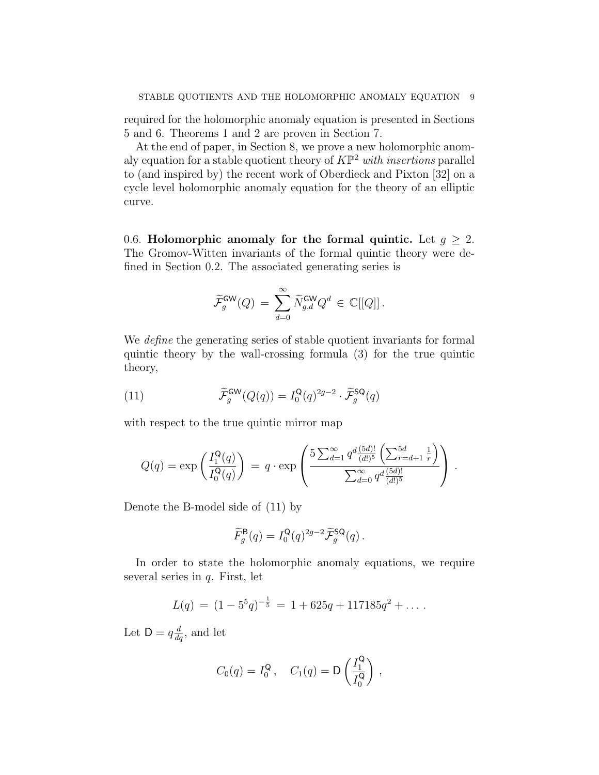required for the holomorphic anomaly equation is presented in Sections 5 and 6. Theorems 1 and 2 are proven in Section 7.

At the end of paper, in Section 8, we prove a new holomorphic anomaly equation for a stable quotient theory of  $K\mathbb{P}^2$  with insertions parallel to (and inspired by) the recent work of Oberdieck and Pixton [32] on a cycle level holomorphic anomaly equation for the theory of an elliptic curve.

0.6. Holomorphic anomaly for the formal quintic. Let  $g \geq 2$ . The Gromov-Witten invariants of the formal quintic theory were defined in Section 0.2. The associated generating series is

$$
\widetilde{\mathcal{F}}_g^{\mathsf{GW}}(Q) \, = \, \sum_{d=0}^\infty \widetilde{N}_{g,d}^{\mathsf{GW}} Q^d \, \in \, \mathbb{C}[[Q]]\,.
$$

We define the generating series of stable quotient invariants for formal quintic theory by the wall-crossing formula (3) for the true quintic theory,

(11) 
$$
\widetilde{\mathcal{F}}_g^{\mathsf{GW}}(Q(q)) = I_0^{\mathsf{Q}}(q)^{2g-2} \cdot \widetilde{\mathcal{F}}_g^{\mathsf{SQ}}(q)
$$

with respect to the true quintic mirror map

$$
Q(q) = \exp\left(\frac{I_1^{\mathsf{Q}}(q)}{I_0^{\mathsf{Q}}(q)}\right) = q \cdot \exp\left(\frac{5 \sum_{d=1}^{\infty} q^d \frac{(5d)!}{(d!)^5} \left(\sum_{r=d+1}^{5d} \frac{1}{r}\right)}{\sum_{d=0}^{\infty} q^d \frac{(5d)!}{(d!)^5}}\right).
$$

Denote the B-model side of (11) by

$$
\widetilde{F}_g^{\mathsf{B}}(q) = I_0^{\mathsf{Q}}(q)^{2g-2} \widetilde{\mathcal{F}}_g^{\mathsf{SQ}}(q) .
$$

In order to state the holomorphic anomaly equations, we require several series in  $q$ . First, let

$$
L(q) = (1 - 5^5 q)^{-\frac{1}{5}} = 1 + 625q + 117185q^2 + \dots
$$

Let  $D = q \frac{d}{dq}$ , and let

$$
C_0(q) = I_0^{\mathsf{Q}}, \quad C_1(q) = \mathsf{D}\left(\frac{I_1^{\mathsf{Q}}}{I_0^{\mathsf{Q}}}\right),
$$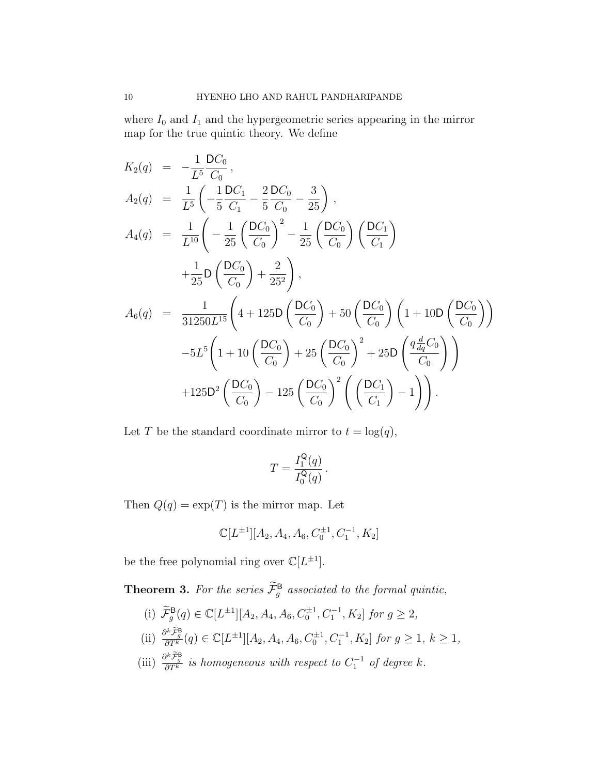where  $I_0$  and  $I_1$  and the hypergeometric series appearing in the mirror map for the true quintic theory. We define

$$
K_{2}(q) = -\frac{1}{L^{5}} \frac{DC_{0}}{C_{0}},
$$
  
\n
$$
A_{2}(q) = \frac{1}{L^{5}} \left( -\frac{1}{5} \frac{DC_{1}}{C_{1}} - \frac{2}{5} \frac{DC_{0}}{C_{0}} - \frac{3}{25} \right),
$$
  
\n
$$
A_{4}(q) = \frac{1}{L^{10}} \left( -\frac{1}{25} \left( \frac{DC_{0}}{C_{0}} \right)^{2} - \frac{1}{25} \left( \frac{DC_{0}}{C_{0}} \right) \left( \frac{DC_{1}}{C_{1}} \right) + \frac{1}{25} D \left( \frac{DC_{0}}{C_{0}} \right) + \frac{2}{25^{2}} \right),
$$
  
\n
$$
A_{6}(q) = \frac{1}{31250L^{15}} \left( 4 + 125D \left( \frac{DC_{0}}{C_{0}} \right) + 50 \left( \frac{DC_{0}}{C_{0}} \right) \left( 1 + 10D \left( \frac{DC_{0}}{C_{0}} \right) \right) - 5L^{5} \left( 1 + 10 \left( \frac{DC_{0}}{C_{0}} \right) + 25 \left( \frac{DC_{0}}{C_{0}} \right)^{2} + 25D \left( \frac{q \frac{d}{dq} C_{0}}{C_{0}} \right) \right) + 125D^{2} \left( \frac{DC_{0}}{C_{0}} \right) - 125 \left( \frac{DC_{0}}{C_{0}} \right)^{2} \left( \left( \frac{DC_{1}}{C_{1}} \right) - 1 \right) \right).
$$

Let T be the standard coordinate mirror to  $t = \log(q)$ ,

$$
T = \frac{I_1^{\mathsf{Q}}(q)}{I_0^{\mathsf{Q}}(q)}.
$$

Then  $Q(q) = \exp(T)$  is the mirror map. Let

$$
\mathbb{C}[L^{\pm1}][A_2,A_4,A_6,C_0^{\pm1},C_1^{-1},K_2]
$$

be the free polynomial ring over  $\mathbb{C}[L^{\pm 1}]$ .

**Theorem 3.** For the series  $\mathcal{F}_{g}^{\mathsf{B}}$  associated to the formal quintic,

- (i)  $\widetilde{\mathcal{F}}_g^{\mathsf{B}}(q) \in \mathbb{C}[L^{\pm 1}][A_2, A_4, A_6, C_0^{\pm 1}, C_1^{-1}, K_2]$  for  $g \geq 2$ ,
- (ii)  $\frac{\partial^k \tilde{\mathcal{F}}_g^{\mathsf{B}}}{\partial T^k}(q) \in \mathbb{C}[L^{\pm 1}][A_2, A_4, A_6, C_0^{\pm 1}, C_1^{-1}, K_2]$  for  $g \ge 1, k \ge 1$ ,
- (iii)  $\frac{\partial^k \tilde{\mathcal{F}}_g^{\mathsf{B}}}{\partial T^k}$  is homogeneous with respect to  $C_1^{-1}$  of degree k.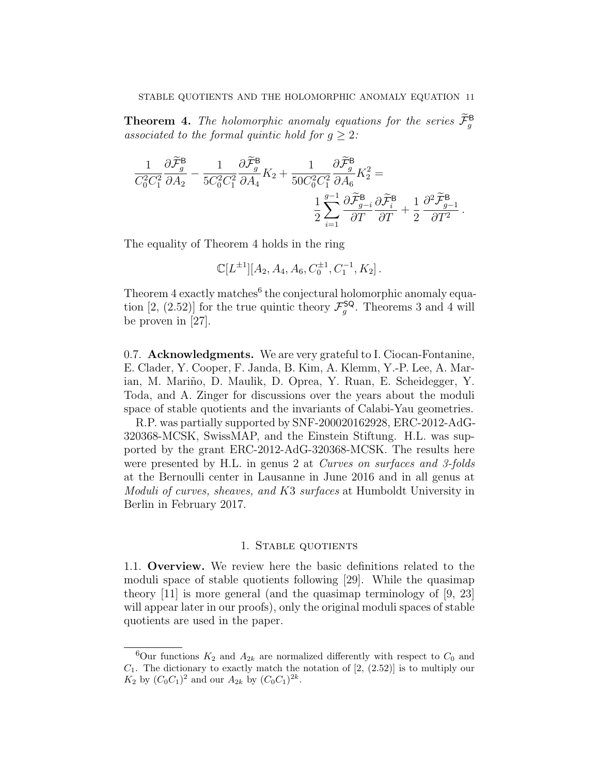**Theorem 4.** The holomorphic anomaly equations for the series  $\mathcal{F}_{g}^{\mathbf{B}}$ associated to the formal quintic hold for  $g \geq 2$ :

$$
\frac{1}{C_0^2C_1^2}\frac{\partial \widetilde{\mathcal{F}}_g^{\mathsf{B}}}{\partial A_2} - \frac{1}{5C_0^2C_1^2}\frac{\partial \widetilde{\mathcal{F}}_g^{\mathsf{B}}}{\partial A_4}K_2 + \frac{1}{50C_0^2C_1^2}\frac{\partial \widetilde{\mathcal{F}}_g^{\mathsf{B}}}{\partial A_6}K_2^2 = \frac{1}{2}\sum_{i=1}^{g-1}\frac{\partial \widetilde{\mathcal{F}}_g^{\mathsf{B}}}{\partial T}\frac{\partial \widetilde{\mathcal{F}}_g^{\mathsf{B}}}{\partial T} + \frac{1}{2}\frac{\partial^2 \widetilde{\mathcal{F}}_g^{\mathsf{B}}}{\partial T^2}.
$$

The equality of Theorem 4 holds in the ring

$$
\mathbb{C}[L^{\pm 1}][A_2, A_4, A_6, C_0^{\pm 1}, C_1^{-1}, K_2].
$$

Theorem  $4$  exactly matches<sup>6</sup> the conjectural holomorphic anomaly equation [2, (2.52)] for the true quintic theory  $\mathcal{F}_g^{\mathsf{SQ}}$ . Theorems 3 and 4 will be proven in [27].

0.7. Acknowledgments. We are very grateful to I. Ciocan-Fontanine, E. Clader, Y. Cooper, F. Janda, B. Kim, A. Klemm, Y.-P. Lee, A. Marian, M. Mariño, D. Maulik, D. Oprea, Y. Ruan, E. Scheidegger, Y. Toda, and A. Zinger for discussions over the years about the moduli space of stable quotients and the invariants of Calabi-Yau geometries.

R.P. was partially supported by SNF-200020162928, ERC-2012-AdG-320368-MCSK, SwissMAP, and the Einstein Stiftung. H.L. was supported by the grant ERC-2012-AdG-320368-MCSK. The results here were presented by H.L. in genus 2 at *Curves on surfaces and 3-folds* at the Bernoulli center in Lausanne in June 2016 and in all genus at Moduli of curves, sheaves, and K3 surfaces at Humboldt University in Berlin in February 2017.

### 1. Stable quotients

1.1. Overview. We review here the basic definitions related to the moduli space of stable quotients following [29]. While the quasimap theory [11] is more general (and the quasimap terminology of [9, 23] will appear later in our proofs), only the original moduli spaces of stable quotients are used in the paper.

<sup>&</sup>lt;sup>6</sup>Our functions  $K_2$  and  $A_{2k}$  are normalized differently with respect to  $C_0$  and  $C_1$ . The dictionary to exactly match the notation of  $[2, (2.52)]$  is to multiply our  $K_2$  by  $(C_0C_1)^2$  and our  $A_{2k}$  by  $(C_0C_1)^{2k}$ .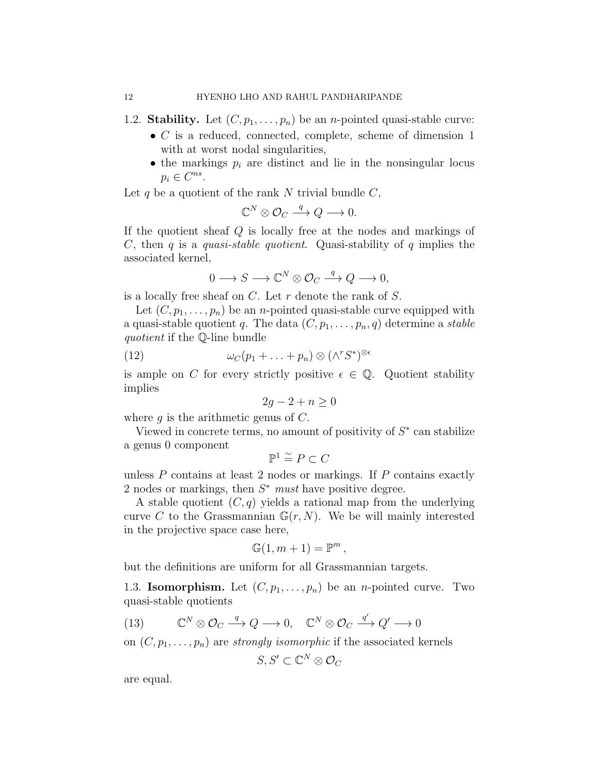- 1.2. Stability. Let  $(C, p_1, \ldots, p_n)$  be an *n*-pointed quasi-stable curve:
	- $\bullet$  C is a reduced, connected, complete, scheme of dimension 1 with at worst nodal singularities,
	- the markings  $p_i$  are distinct and lie in the nonsingular locus  $p_i \in C^{ns}$ .

Let q be a quotient of the rank  $N$  trivial bundle  $C$ ,

$$
\mathbb{C}^N\otimes \mathcal{O}_C\stackrel{q}{\longrightarrow} Q\longrightarrow 0.
$$

If the quotient sheaf Q is locally free at the nodes and markings of C, then q is a quasi-stable quotient. Quasi-stability of q implies the associated kernel,

$$
0 \longrightarrow S \longrightarrow \mathbb{C}^N \otimes \mathcal{O}_C \stackrel{q}{\longrightarrow} Q \longrightarrow 0,
$$

is a locally free sheaf on  $C$ . Let r denote the rank of  $S$ .

Let  $(C, p_1, \ldots, p_n)$  be an *n*-pointed quasi-stable curve equipped with a quasi-stable quotient q. The data  $(C, p_1, \ldots, p_n, q)$  determine a stable quotient if the Q-line bundle

(12) 
$$
\omega_C(p_1 + \ldots + p_n) \otimes (\wedge^r S^*)^{\otimes \epsilon}
$$

is ample on C for every strictly positive  $\epsilon \in \mathbb{Q}$ . Quotient stability implies

$$
2g - 2 + n \ge 0
$$

where q is the arithmetic genus of  $C$ .

Viewed in concrete terms, no amount of positivity of  $S^*$  can stabilize a genus 0 component

$$
\mathbb{P}^1 \stackrel{\sim}{=} P \subset C
$$

unless  $P$  contains at least 2 nodes or markings. If  $P$  contains exactly 2 nodes or markings, then  $S^*$  must have positive degree.

A stable quotient  $(C, q)$  yields a rational map from the underlying curve C to the Grassmannian  $\mathbb{G}(r, N)$ . We be will mainly interested in the projective space case here,

$$
\mathbb{G}(1, m+1) = \mathbb{P}^m,
$$

but the definitions are uniform for all Grassmannian targets.

1.3. **Isomorphism.** Let  $(C, p_1, \ldots, p_n)$  be an *n*-pointed curve. Two quasi-stable quotients

(13) 
$$
\mathbb{C}^N \otimes \mathcal{O}_C \xrightarrow{q} Q \longrightarrow 0, \quad \mathbb{C}^N \otimes \mathcal{O}_C \xrightarrow{q'} Q' \longrightarrow 0
$$

on  $(C, p_1, \ldots, p_n)$  are *strongly isomorphic* if the associated kernels

$$
S,S'\subset\mathbb{C}^N\otimes\mathcal{O}_C
$$

are equal.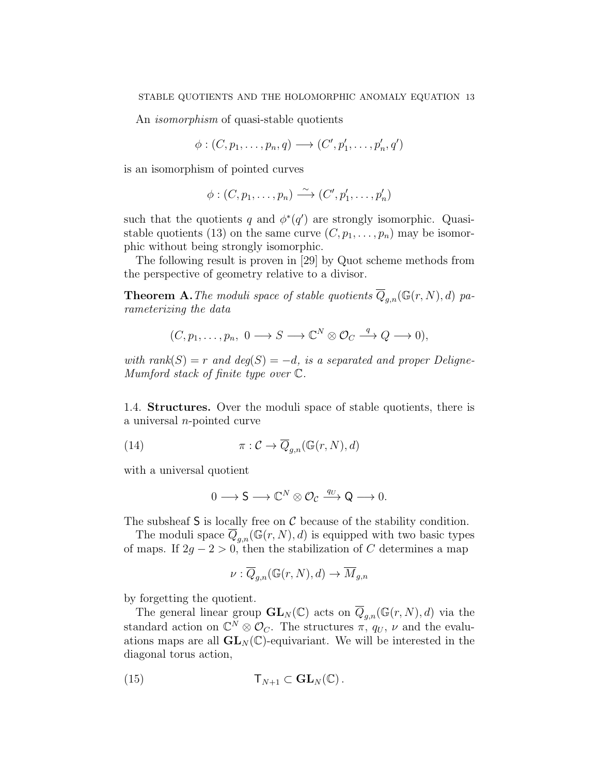An isomorphism of quasi-stable quotients

$$
\phi: (C, p_1, \ldots, p_n, q) \longrightarrow (C', p'_1, \ldots, p'_n, q')
$$

is an isomorphism of pointed curves

$$
\phi: (C, p_1, \ldots, p_n) \xrightarrow{\sim} (C', p'_1, \ldots, p'_n)
$$

such that the quotients q and  $\phi^*(q')$  are strongly isomorphic. Quasistable quotients (13) on the same curve  $(C, p_1, \ldots, p_n)$  may be isomorphic without being strongly isomorphic.

The following result is proven in [29] by Quot scheme methods from the perspective of geometry relative to a divisor.

**Theorem A.** The moduli space of stable quotients  $\overline{Q}_{q,n}(\mathbb{G}(r,N), d)$  parameterizing the data

$$
(C, p_1, \ldots, p_n, 0 \longrightarrow S \longrightarrow \mathbb{C}^N \otimes \mathcal{O}_C \stackrel{q}{\longrightarrow} Q \longrightarrow 0),
$$

with rank(S) = r and deg(S) = -d, is a separated and proper Deligne-Mumford stack of finite type over C.

1.4. Structures. Over the moduli space of stable quotients, there is a universal n-pointed curve

(14) 
$$
\pi: \mathcal{C} \to \overline{Q}_{g,n}(\mathbb{G}(r,N),d)
$$

with a universal quotient

$$
0 \longrightarrow \mathsf{S} \longrightarrow \mathbb{C}^N \otimes \mathcal{O}_{\mathcal{C}} \xrightarrow{q_U} \mathsf{Q} \longrightarrow 0.
$$

The subsheaf  $S$  is locally free on  $C$  because of the stability condition.

The moduli space  $\overline{Q}_{g,n}(\mathbb{G}(r,N), d)$  is equipped with two basic types of maps. If  $2g - 2 > 0$ , then the stabilization of C determines a map

$$
\nu: \overline{Q}_{g,n}(\mathbb{G}(r,N),d) \to \overline{M}_{g,n}
$$

by forgetting the quotient.

The general linear group  $\mathbf{GL}_N(\mathbb{C})$  acts on  $\overline{Q}_{g,n}(\mathbb{G}(r,N),d)$  via the standard action on  $\mathbb{C}^N \otimes \mathcal{O}_C$ . The structures  $\pi$ ,  $q_U$ ,  $\nu$  and the evaluations maps are all  $GL_N(\mathbb{C})$ -equivariant. We will be interested in the diagonal torus action,

(15) 
$$
\mathsf{T}_{N+1} \subset \mathbf{GL}_N(\mathbb{C}).
$$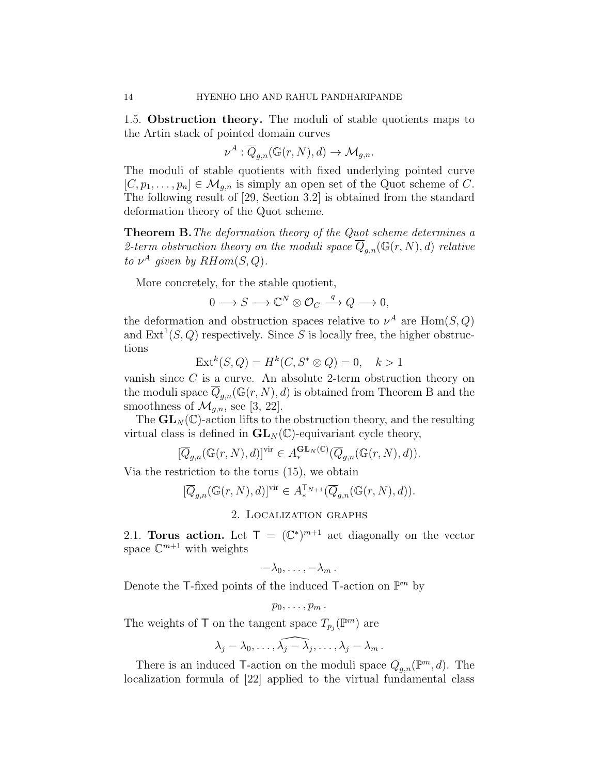1.5. Obstruction theory. The moduli of stable quotients maps to the Artin stack of pointed domain curves

$$
\nu^A: \overline{Q}_{g,n}(\mathbb{G}(r,N),d) \to \mathcal{M}_{g,n}.
$$

The moduli of stable quotients with fixed underlying pointed curve  $[C, p_1, \ldots, p_n] \in \mathcal{M}_{q,n}$  is simply an open set of the Quot scheme of C. The following result of [29, Section 3.2] is obtained from the standard deformation theory of the Quot scheme.

Theorem B.The deformation theory of the Quot scheme determines a 2-term obstruction theory on the moduli space  $Q_{q,n}(\mathbb{G}(r,N),d)$  relative to  $\nu^A$  given by  $RHom(S,Q)$ .

More concretely, for the stable quotient,

$$
0 \longrightarrow S \longrightarrow \mathbb{C}^N \otimes \mathcal{O}_C \stackrel{q}{\longrightarrow} Q \longrightarrow 0,
$$

the deformation and obstruction spaces relative to  $\nu^A$  are  $\text{Hom}(S, Q)$ and  $\text{Ext}^1(S, Q)$  respectively. Since S is locally free, the higher obstructions

$$
Extk(S, Q) = Hk(C, S^* \otimes Q) = 0, \quad k > 1
$$

vanish since C is a curve. An absolute 2-term obstruction theory on the moduli space  $\overline{Q}_{g,n}(\mathbb{G}(r,N), d)$  is obtained from Theorem B and the smoothness of  $\mathcal{M}_{q,n}$ , see [3, 22].

The  $\mathbf{GL}_N(\mathbb{C})$ -action lifts to the obstruction theory, and the resulting virtual class is defined in  $GL_N(\mathbb{C})$ -equivariant cycle theory,

$$
[\overline{Q}_{g,n}(\mathbb{G}(r,N),d)]^{\text{vir}}\in A^{\mathbf{GL}_N(\mathbb{C})}_{*}(\overline{Q}_{g,n}(\mathbb{G}(r,N),d)).
$$

Via the restriction to the torus (15), we obtain

$$
[\overline{Q}_{g,n}(\mathbb{G}(r,N),d)]^{\text{vir}} \in A_*^{\mathsf{T}_{N+1}}(\overline{Q}_{g,n}(\mathbb{G}(r,N),d)).
$$

### 2. Localization graphs

2.1. Torus action. Let  $\mathsf{T} = (\mathbb{C}^*)^{m+1}$  act diagonally on the vector space  $\mathbb{C}^{m+1}$  with weights

$$
-\lambda_0,\ldots,-\lambda_m.
$$

Denote the T-fixed points of the induced T-action on  $\mathbb{P}^m$  by

$$
p_0,\ldots,p_m.
$$

The weights of  $\mathsf{T}$  on the tangent space  $T_{p_j}(\mathbb{P}^m)$  are

$$
\lambda_j-\lambda_0,\ldots,\widehat{\lambda_j-\lambda_j},\ldots,\lambda_j-\lambda_m.
$$

There is an induced T-action on the moduli space  $\overline{Q}_{g,n}(\mathbb{P}^m,d)$ . The localization formula of [22] applied to the virtual fundamental class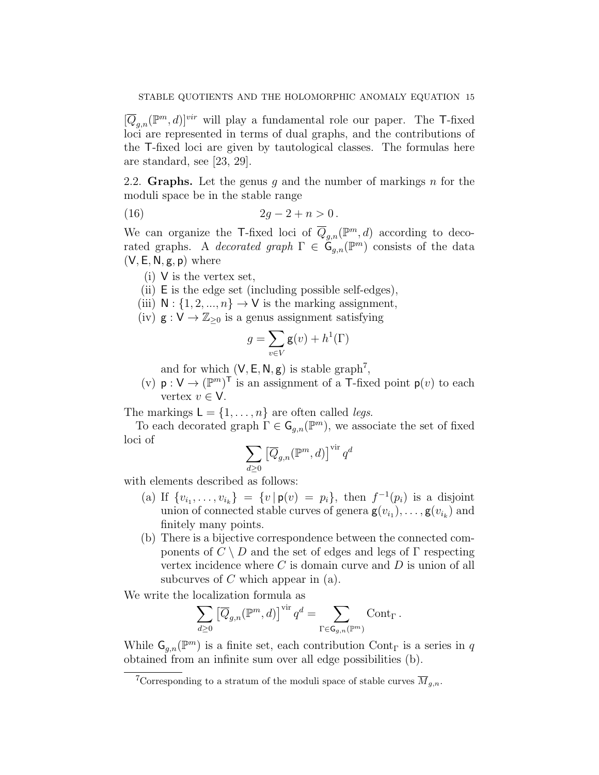$[\overline{Q}_{g,n}(\mathbb{P}^m,d)]^{vir}$  will play a fundamental role our paper. The T-fixed loci are represented in terms of dual graphs, and the contributions of the T-fixed loci are given by tautological classes. The formulas here are standard, see [23, 29].

2.2. Graphs. Let the genus g and the number of markings n for the moduli space be in the stable range

(16) 
$$
2g - 2 + n > 0.
$$

We can organize the T-fixed loci of  $\overline{Q}_{g,n}(\mathbb{P}^m,d)$  according to decorated graphs. A *decorated graph*  $\Gamma \in \mathcal{G}_{g,n}(\mathbb{P}^m)$  consists of the data  $(V, E, N, g, p)$  where

- (i) V is the vertex set,
- (ii) E is the edge set (including possible self-edges),
- (iii)  $N : \{1, 2, ..., n\} \rightarrow V$  is the marking assignment,
- (iv)  $g: V \to \mathbb{Z}_{\geq 0}$  is a genus assignment satisfying

$$
g = \sum_{v \in V} \mathbf{g}(v) + h^1(\Gamma)
$$

and for which  $(V, E, N, g)$  is stable graph<sup>7</sup>,

(v)  $p: V \to (\mathbb{P}^m)^T$  is an assignment of a T-fixed point  $p(v)$  to each vertex  $v \in V$ .

The markings  $L = \{1, \ldots, n\}$  are often called *legs*.

To each decorated graph  $\Gamma \in \mathsf{G}_{g,n}(\mathbb{P}^m)$ , we associate the set of fixed loci of

$$
\sum_{d\geq 0} \left[ \overline{Q}_{g,n}({\mathbb{P}}^m,d) \right]^{\text{vir}} q^d
$$

with elements described as follows:

- (a) If  $\{v_{i_1}, \ldots, v_{i_k}\} = \{v \mid \mathsf{p}(v) = p_i\}$ , then  $f^{-1}(p_i)$  is a disjoint union of connected stable curves of genera  $\mathbf{g}(v_{i_1}), \ldots, \mathbf{g}(v_{i_k})$  and finitely many points.
- (b) There is a bijective correspondence between the connected components of  $C \setminus D$  and the set of edges and legs of  $\Gamma$  respecting vertex incidence where  $C$  is domain curve and  $D$  is union of all subcurves of  $C$  which appear in  $(a)$ .

We write the localization formula as

$$
\sum_{d\geq 0} \left[\overline{Q}_{g,n}({\mathbb{P}}^m,d)\right]^{\operatorname{vir}} q^d = \sum_{\Gamma \in \mathsf{G}_{g,n}({\mathbb{P}}^m)} \operatorname{Cont}_\Gamma.
$$

While  $\mathsf{G}_{g,n}(\mathbb{P}^m)$  is a finite set, each contribution Cont<sub>r</sub> is a series in q obtained from an infinite sum over all edge possibilities (b).

<sup>&</sup>lt;sup>7</sup>Corresponding to a stratum of the moduli space of stable curves  $\overline{M}_{q,n}$ .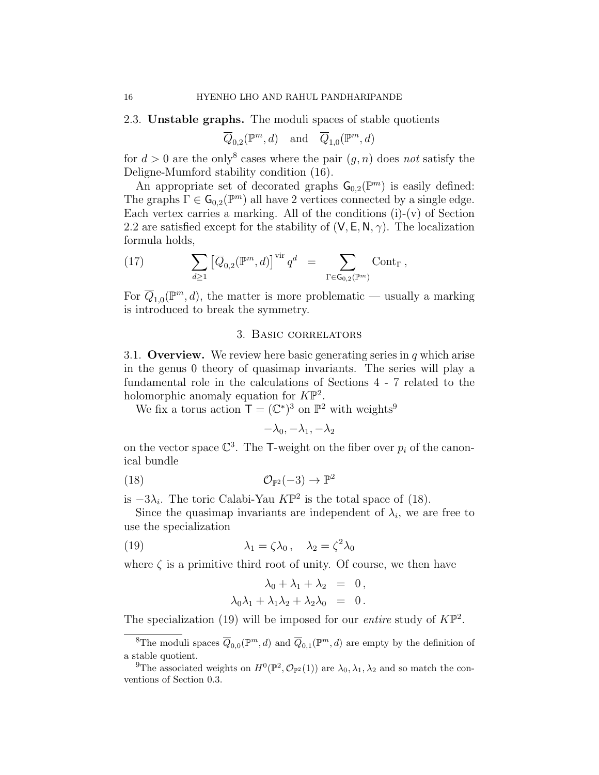### 2.3. Unstable graphs. The moduli spaces of stable quotients

$$
\overline{Q}_{0,2}({\mathbb{P}}^m,d)\quad\text{and}\quad \overline{Q}_{1,0}({\mathbb{P}}^m,d)
$$

for  $d > 0$  are the only<sup>8</sup> cases where the pair  $(g, n)$  does not satisfy the Deligne-Mumford stability condition (16).

An appropriate set of decorated graphs  $\mathsf{G}_{0,2}(\mathbb{P}^m)$  is easily defined: The graphs  $\Gamma \in \mathsf{G}_{0,2}(\mathbb{P}^m)$  all have 2 vertices connected by a single edge. Each vertex carries a marking. All of the conditions  $(i)-(v)$  of Section 2.2 are satisfied except for the stability of  $(V, E, N, \gamma)$ . The localization formula holds,

(17) 
$$
\sum_{d\geq 1} \left[ \overline{Q}_{0,2}(\mathbb{P}^m,d) \right]^{\text{vir}} q^d = \sum_{\Gamma \in \mathsf{G}_{0,2}(\mathbb{P}^m)} \text{Cont}_{\Gamma},
$$

For  $\overline{Q}_{1,0}(\mathbb{P}^m,d)$ , the matter is more problematic — usually a marking is introduced to break the symmetry.

### 3. Basic correlators

3.1. Overview. We review here basic generating series in  $q$  which arise in the genus 0 theory of quasimap invariants. The series will play a fundamental role in the calculations of Sections 4 - 7 related to the holomorphic anomaly equation for  $K\mathbb{P}^2$ .

We fix a torus action  $\mathsf{T} = (\mathbb{C}^*)^3$  on  $\mathbb{P}^2$  with weights<sup>9</sup>

$$
-\lambda_0, -\lambda_1, -\lambda_2
$$

on the vector space  $\mathbb{C}^3$ . The T-weight on the fiber over  $p_i$  of the canonical bundle

(18) 
$$
\mathcal{O}_{\mathbb{P}^2}(-3) \to \mathbb{P}^2
$$

is  $-3\lambda_i$ . The toric Calabi-Yau  $K\mathbb{P}^2$  is the total space of (18).

Since the quasimap invariants are independent of  $\lambda_i$ , we are free to use the specialization

(19) 
$$
\lambda_1 = \zeta \lambda_0, \quad \lambda_2 = \zeta^2 \lambda_0
$$

where  $\zeta$  is a primitive third root of unity. Of course, we then have

$$
\lambda_0 + \lambda_1 + \lambda_2 = 0,
$$
  

$$
\lambda_0 \lambda_1 + \lambda_1 \lambda_2 + \lambda_2 \lambda_0 = 0.
$$

The specialization (19) will be imposed for our *entire* study of  $K\mathbb{P}^2$ .

<sup>&</sup>lt;sup>8</sup>The moduli spaces  $\overline{Q}_{0,0}(\mathbb{P}^m,d)$  and  $\overline{Q}_{0,1}(\mathbb{P}^m,d)$  are empty by the definition of a stable quotient.

<sup>&</sup>lt;sup>9</sup>The associated weights on  $H^0(\mathbb{P}^2, \mathcal{O}_{\mathbb{P}^2}(1))$  are  $\lambda_0, \lambda_1, \lambda_2$  and so match the conventions of Section 0.3.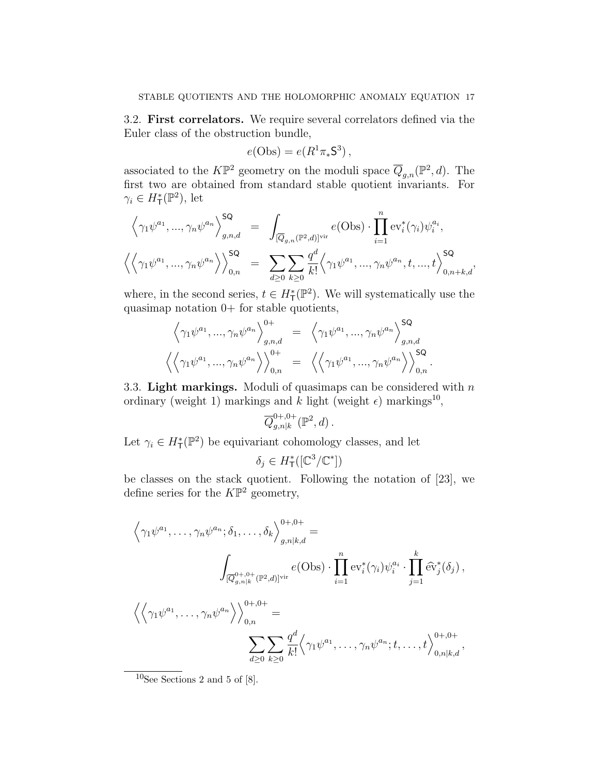3.2. First correlators. We require several correlators defined via the Euler class of the obstruction bundle,

$$
e(\mathrm{Obs}) = e(R^1 \pi_* \mathsf{S}^3),
$$

associated to the  $K\mathbb{P}^2$  geometry on the moduli space  $\overline{Q}_{g,n}(\mathbb{P}^2,d)$ . The first two are obtained from standard stable quotient invariants. For  $\gamma_i \in H^*_{\mathsf{T}}(\mathbb{P}^2)$ , let

$$
\left\langle \gamma_1 \psi^{a_1}, \dots, \gamma_n \psi^{a_n} \right\rangle_{g,n,d}^{\mathsf{SQ}} = \int_{[\overline{Q}_{g,n}(\mathbb{P}^2,d)]^{\text{vir}}} e(\text{Obs}) \cdot \prod_{i=1}^n \text{ev}_i^*(\gamma_i) \psi_i^{a_i},
$$
  

$$
\left\langle \left\langle \gamma_1 \psi^{a_1}, \dots, \gamma_n \psi^{a_n} \right\rangle \right\rangle_{0,n}^{\mathsf{SQ}} = \sum_{d \geq 0} \sum_{k \geq 0} \frac{q^d}{k!} \left\langle \gamma_1 \psi^{a_1}, \dots, \gamma_n \psi^{a_n}, t, \dots, t \right\rangle_{0,n+k,d}^{\mathsf{SQ}},
$$

where, in the second series,  $t \in H^*_{\mathsf{T}}(\mathbb{P}^2)$ . We will systematically use the quasimap notation 0+ for stable quotients,

$$
\left\langle \gamma_1 \psi^{a_1}, \dots, \gamma_n \psi^{a_n} \right\rangle_{g,n,d}^{0+} = \left\langle \gamma_1 \psi^{a_1}, \dots, \gamma_n \psi^{a_n} \right\rangle_{g,n,d}^{\mathsf{SQ}}
$$

$$
\left\langle \left\langle \gamma_1 \psi^{a_1}, \dots, \gamma_n \psi^{a_n} \right\rangle \right\rangle_{0,n}^{0+} = \left\langle \left\langle \gamma_1 \psi^{a_1}, \dots, \gamma_n \psi^{a_n} \right\rangle \right\rangle_{0,n}^{\mathsf{SQ}}.
$$

3.3. Light markings. Moduli of quasimaps can be considered with  $n$ ordinary (weight 1) markings and k light (weight  $\epsilon$ ) markings<sup>10</sup>,

$$
\overline{Q}_{g,n|k}^{0+,0+}(\mathbb{P}^2,d)\,.
$$

Let  $\gamma_i \in H^*_{\mathsf{T}}(\mathbb{P}^2)$  be equivariant cohomology classes, and let

$$
\delta_j \in H^*_\mathsf{T}([\mathbb{C}^3/\mathbb{C}^*])
$$

be classes on the stack quotient. Following the notation of [23], we define series for the  $K\mathbb{P}^2$  geometry,

$$
\left\langle \gamma_1 \psi^{a_1}, \dots, \gamma_n \psi^{a_n}; \delta_1, \dots, \delta_k \right\rangle_{g,n|k,d}^{0+,0+} =
$$
\n
$$
\int_{[\overline{Q}_{g,n|k}^{0+,0+} (\mathbb{P}^2,d)]^{\text{vir}}} e(\text{Obs}) \cdot \prod_{i=1}^n \text{ev}_i^*(\gamma_i) \psi_i^{a_i} \cdot \prod_{j=1}^k \widehat{\text{ev}}_j^*(\delta_j),
$$
\n
$$
\left\langle \left\langle \gamma_1 \psi^{a_1}, \dots, \gamma_n \psi^{a_n} \right\rangle \right\rangle_{0,n}^{0+,0+} =
$$
\n
$$
\sum_{d \geq 0} \sum_{k \geq 0} \frac{q^d}{k!} \left\langle \gamma_1 \psi^{a_1}, \dots, \gamma_n \psi^{a_n}; t, \dots, t \right\rangle_{0,n|k,d}^{0+,0+},
$$

 $10$ See Sections 2 and 5 of [8].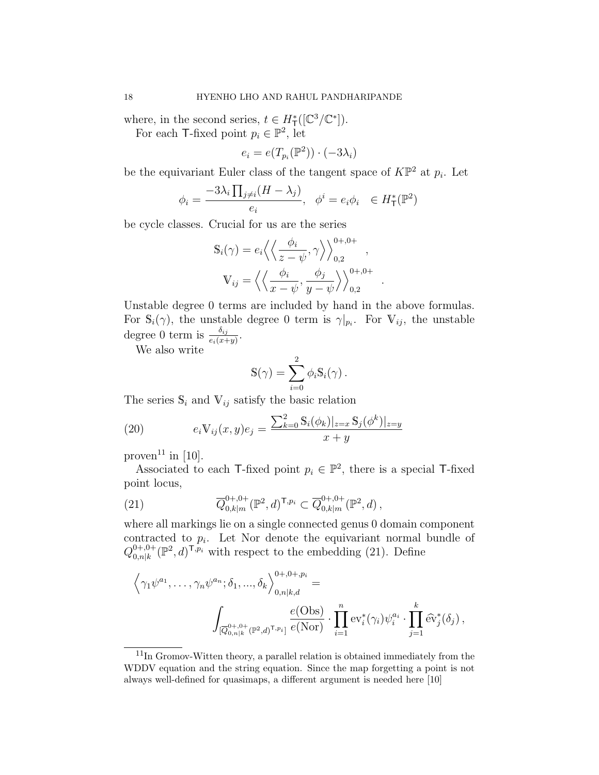where, in the second series,  $t \in H^*_{\mathsf{T}}([\mathbb{C}^3/\mathbb{C}^*]).$ 

For each T-fixed point  $p_i \in \mathbb{P}^2$ , let

$$
e_i = e(T_{p_i}(\mathbb{P}^2)) \cdot (-3\lambda_i)
$$

be the equivariant Euler class of the tangent space of  $K\mathbb{P}^2$  at  $p_i$ . Let

$$
\phi_i = \frac{-3\lambda_i \prod_{j \neq i} (H - \lambda_j)}{e_i}, \quad \phi^i = e_i \phi_i \quad \in H^*_{\mathsf{T}}(\mathbb{P}^2)
$$

be cycle classes. Crucial for us are the series

$$
\mathbb{S}_{i}(\gamma) = e_{i} \left\langle \left\langle \frac{\phi_{i}}{z - \psi}, \gamma \right\rangle \right\rangle_{0,2}^{0+,0+},
$$

$$
\mathbb{V}_{ij} = \left\langle \left\langle \frac{\phi_{i}}{x - \psi}, \frac{\phi_{j}}{y - \psi} \right\rangle \right\rangle_{0,2}^{0+,0+}.
$$

Unstable degree 0 terms are included by hand in the above formulas. For  $\mathbb{S}_i(\gamma)$ , the unstable degree 0 term is  $\gamma|_{p_i}$ . For  $\mathbb{V}_{ij}$ , the unstable degree 0 term is  $\frac{\delta_{ij}}{e_i(x+y)}$ .

We also write

$$
\mathbb{S}(\gamma) = \sum_{i=0}^{2} \phi_i \mathbb{S}_i(\gamma) .
$$

The series  $\mathbb{S}_i$  and  $\mathbb{V}_{ij}$  satisfy the basic relation

(20) 
$$
e_i \mathbb{V}_{ij}(x, y) e_j = \frac{\sum_{k=0}^2 \mathbb{S}_i(\phi_k)|_{z=x} \mathbb{S}_j(\phi^k)|_{z=y}}{x+y}
$$

proven<sup>11</sup> in [10].

Associated to each T-fixed point  $p_i \in \mathbb{P}^2$ , there is a special T-fixed point locus,

(21) 
$$
\overline{Q}_{0,k|m}^{0+,0+}(\mathbb{P}^2,d)^{\mathsf{T},p_i} \subset \overline{Q}_{0,k|m}^{0+,0+}(\mathbb{P}^2,d)\,,
$$

where all markings lie on a single connected genus 0 domain component contracted to  $p_i$ . Let Nor denote the equivariant normal bundle of  $Q_{0,n|k}^{0+,0+}$  $_{0,n|k}^{0+,0+}$  ( $\mathbb{P}^2$ , d)<sup>T,p<sub>i</sub></sup> with respect to the embedding (21). Define

$$
\left\langle \gamma_1 \psi^{a_1}, \dots, \gamma_n \psi^{a_n}; \delta_1, \dots, \delta_k \right\rangle_{0, n|k, d}^{0+, 0+, p_i} =
$$
\n
$$
\int_{[\overline{Q}^{0+,0+}_{0,n|k}(\mathbb{P}^2,d)^{T,p_i}]} \frac{e(\text{Obs})}{e(\text{Nor})} \cdot \prod_{i=1}^n \text{ev}_i^*(\gamma_i) \psi_i^{a_i} \cdot \prod_{j=1}^k \widehat{\text{ev}}_j^*(\delta_j),
$$

<sup>11</sup>In Gromov-Witten theory, a parallel relation is obtained immediately from the WDDV equation and the string equation. Since the map forgetting a point is not always well-defined for quasimaps, a different argument is needed here [10]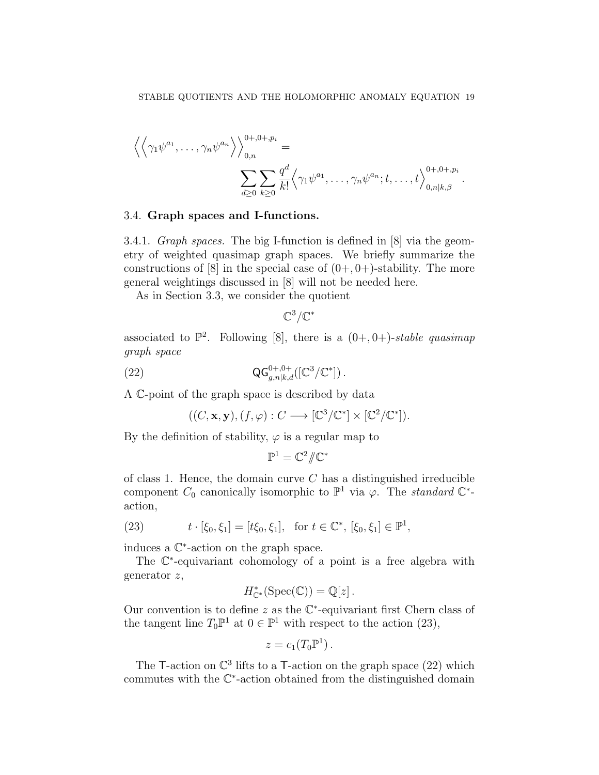$$
\left\langle \left\langle \gamma_1 \psi^{a_1}, \dots, \gamma_n \psi^{a_n} \right\rangle \right\rangle_{0,n}^{0+,0+,p_i} =
$$

$$
\sum_{d \geq 0} \sum_{k \geq 0} \frac{q^d}{k!} \left\langle \gamma_1 \psi^{a_1}, \dots, \gamma_n \psi^{a_n}; t, \dots, t \right\rangle_{0,n|k,\beta}^{0+,0+,p_i}
$$

.

### 3.4. Graph spaces and I-functions.

3.4.1. Graph spaces. The big I-function is defined in [8] via the geometry of weighted quasimap graph spaces. We briefly summarize the constructions of  $[8]$  in the special case of  $(0+, 0+)$ -stability. The more general weightings discussed in [8] will not be needed here.

As in Section 3.3, we consider the quotient

 $\mathbb{C}^3/\mathbb{C}^*$ 

associated to  $\mathbb{P}^2$ . Following [8], there is a  $(0+, 0+)$ -stable quasimap graph space

(22) 
$$
\mathsf{QG}_{g,n|k,d}^{0+,0+}([\mathbb{C}^3/\mathbb{C}^*])\,.
$$

A C-point of the graph space is described by data

$$
((C, \mathbf{x}, \mathbf{y}), (f, \varphi) : C \longrightarrow [\mathbb{C}^3/\mathbb{C}^*] \times [\mathbb{C}^2/\mathbb{C}^*]).
$$

By the definition of stability,  $\varphi$  is a regular map to

$$
\mathbb{P}^1=\mathbb{C}^2/\!\!/\mathbb{C}^*
$$

of class 1. Hence, the domain curve  $C$  has a distinguished irreducible component  $C_0$  canonically isomorphic to  $\mathbb{P}^1$  via  $\varphi$ . The *standard*  $\mathbb{C}^*$ action,

(23) 
$$
t \cdot [\xi_0, \xi_1] = [t\xi_0, \xi_1], \text{ for } t \in \mathbb{C}^*, [\xi_0, \xi_1] \in \mathbb{P}^1
$$

induces a C ∗ -action on the graph space.

The  $\mathbb{C}^*$ -equivariant cohomology of a point is a free algebra with generator z,

$$
H_{\mathbb{C}^*}^*(\mathrm{Spec}(\mathbb{C})) = \mathbb{Q}[z].
$$

Our convention is to define  $z$  as the  $\mathbb{C}^*$ -equivariant first Chern class of the tangent line  $T_0\mathbb{P}^1$  at  $0 \in \mathbb{P}^1$  with respect to the action (23),

$$
z=c_1(T_0\mathbb{P}^1).
$$

The T-action on  $\mathbb{C}^3$  lifts to a T-action on the graph space (22) which commutes with the C ∗ -action obtained from the distinguished domain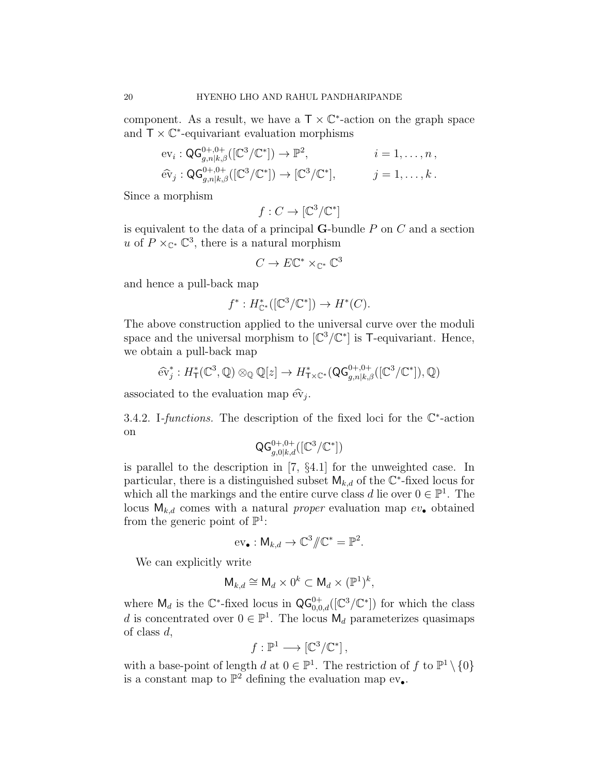component. As a result, we have a  $\mathsf{T} \times \mathbb{C}^*$ -action on the graph space and  $\overline{T} \times \mathbb{C}^*$ -equivariant evaluation morphisms

$$
\mathrm{ev}_{i} : \mathsf{QG}_{g,n|k,\beta}^{0+,0+}([\mathbb{C}^{3}/\mathbb{C}^{*}]) \to \mathbb{P}^{2}, \qquad i = 1,\ldots,n,
$$
  

$$
\widehat{\mathrm{ev}}_{j} : \mathsf{QG}_{g,n|k,\beta}^{0+,0+}([\mathbb{C}^{3}/\mathbb{C}^{*}]) \to [\mathbb{C}^{3}/\mathbb{C}^{*}], \qquad j = 1,\ldots,k.
$$

Since a morphism

$$
f: C \to [\mathbb{C}^3/\mathbb{C}^*]
$$

is equivalent to the data of a principal  $G$ -bundle  $P$  on  $C$  and a section u of  $P \times_{\mathbb{C}^*} \mathbb{C}^3$ , there is a natural morphism

$$
C \to E\mathbb{C}^* \times_{\mathbb{C}^*} \mathbb{C}^3
$$

and hence a pull-back map

$$
f^*: H^*_{\mathbb{C}^*}([\mathbb{C}^3/\mathbb{C}^*]) \to H^*(C).
$$

The above construction applied to the universal curve over the moduli space and the universal morphism to  $[\mathbb{C}^3/\mathbb{C}^*]$  is T-equivariant. Hence, we obtain a pull-back map

$$
\widehat{\text{ev}}_j^*: H^*_{\mathsf{T}}(\mathbb{C}^3, \mathbb{Q}) \otimes_{\mathbb{Q}} \mathbb{Q}[z] \to H^*_{\mathsf{T} \times \mathbb{C}^*}(\mathsf{Q} \mathsf{G}^{0+,0+}_{g,n|k,\beta}([\mathbb{C}^3/\mathbb{C}^*]), \mathbb{Q})
$$

associated to the evaluation map  $\widehat{\text{ev}}_j$ .

3.4.2. I-functions. The description of the fixed loci for the  $\mathbb{C}^*$ -action on

$$
\mathsf{QG}_{g,0|k,d}^{0+,0+}([\mathbb{C}^3/\mathbb{C}^*])
$$

is parallel to the description in [7, §4.1] for the unweighted case. In particular, there is a distinguished subset  $\mathsf{M}_{k,d}$  of the  $\mathbb{C}^*$ -fixed locus for which all the markings and the entire curve class d lie over  $0 \in \mathbb{P}^1$ . The locus  $M_{k,d}$  comes with a natural *proper* evaluation map  $ev_{\bullet}$  obtained from the generic point of  $\mathbb{P}^1$ :

$$
\mathrm{ev}_{\bullet}: \mathsf{M}_{k,d} \to \mathbb{C}^3/\!\!/ \mathbb{C}^* = \mathbb{P}^2.
$$

We can explicitly write

$$
\mathsf{M}_{k,d}\cong \mathsf{M}_d\times 0^k\subset \mathsf{M}_d\times (\mathbb{P}^1)^k,
$$

where  $\mathsf{M}_d$  is the  $\mathbb{C}^*$ -fixed locus in  $\mathsf{QG}_{0,0,d}^{0+}([\mathbb{C}^3/\mathbb{C}^*])$  for which the class d is concentrated over  $0 \in \mathbb{P}^1$ . The locus  $M_d$  parameterizes quasimaps of class d,

$$
f: \mathbb{P}^1 \longrightarrow [\mathbb{C}^3/\mathbb{C}^*],
$$

with a base-point of length d at  $0 \in \mathbb{P}^1$ . The restriction of f to  $\mathbb{P}^1 \setminus \{0\}$ is a constant map to  $\mathbb{P}^2$  defining the evaluation map  $ev_{\bullet}$ .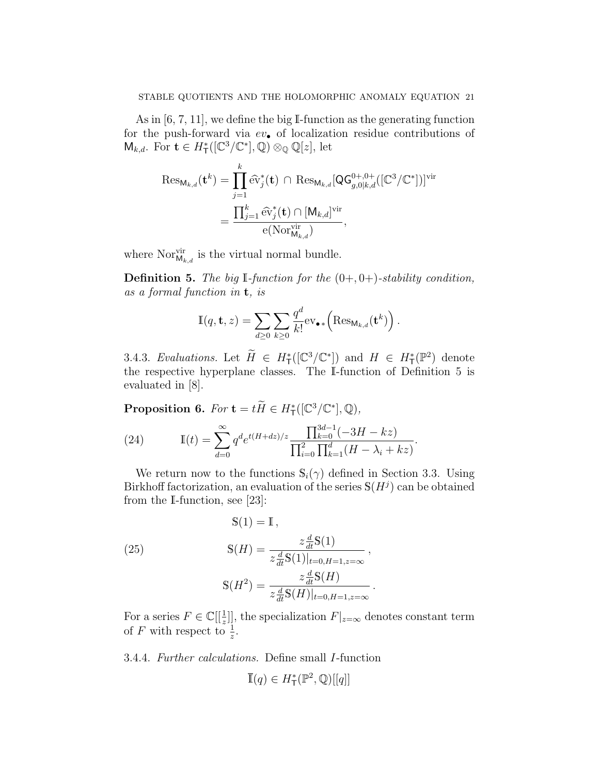As in [6, 7, 11], we define the big I-function as the generating function for the push-forward via  $ev_{\bullet}$  of localization residue contributions of  $\mathsf{M}_{k,d}$ . For  $\mathbf{t} \in H^*_{\mathsf{T}}([\mathbb{C}^3/\mathbb{C}^*], \mathbb{Q}) \otimes_{\mathbb{Q}} \mathbb{Q}[z]$ , let

$$
\operatorname{Res}_{\mathsf{M}_{k,d}}(\mathbf{t}^{k}) = \prod_{j=1}^{k} \widehat{\mathrm{ev}}_{j}^{*}(\mathbf{t}) \cap \operatorname{Res}_{\mathsf{M}_{k,d}}[\mathsf{Q}\mathsf{G}_{g,0|k,d}^{0+,0+}([\mathbb{C}^{3}/\mathbb{C}^{*}])]^{\operatorname{vir}} \n= \frac{\prod_{j=1}^{k} \widehat{\mathrm{ev}}_{j}^{*}(\mathbf{t}) \cap [\mathsf{M}_{k,d}]^{\operatorname{vir}}}{\mathrm{e}(\mathrm{Nor}_{\mathsf{M}_{k,d}}^{\operatorname{vir}})},
$$

where  $\text{Nor}_{\mathsf{M}_{k,d}}^{\text{vir}}$  is the virtual normal bundle.

**Definition 5.** The big I-function for the  $(0+, 0+)$ -stability condition, as a formal function in t, is

$$
\mathbb{I}(q, \mathbf{t}, z) = \sum_{d \geq 0} \sum_{k \geq 0} \frac{q^d}{k!} \text{ev}_{\bullet *} \left( \text{Res}_{\mathsf{M}_{k,d}}(\mathbf{t}^k) \right).
$$

3.4.3. Evaluations. Let  $\widetilde{H} \in H^*_{\mathsf{T}}([\mathbb{C}^3/\mathbb{C}^*])$  and  $H \in H^*_{\mathsf{T}}(\mathbb{P}^2)$  denote the respective hyperplane classes. The I-function of Definition 5 is evaluated in [8].

**Proposition 6.** For  $\mathbf{t} = t\widetilde{H} \in H_{\mathsf{T}}^*([\mathbb{C}^3/\mathbb{C}^*], \mathbb{Q}),$ 

(24) 
$$
\mathbb{I}(t) = \sum_{d=0}^{\infty} q^d e^{t(H+dz)/z} \frac{\prod_{k=0}^{3d-1} (-3H - kz)}{\prod_{i=0}^{2} \prod_{k=1}^{d} (H - \lambda_i + kz)}.
$$

We return now to the functions  $\mathbb{S}_i(\gamma)$  defined in Section 3.3. Using Birkhoff factorization, an evaluation of the series  $\mathbb{S}(H^j)$  can be obtained from the I-function, see [23]:

(25) 
$$
\mathbb{S}(1) = \mathbb{I},
$$

$$
\mathbb{S}(H) = \frac{z \frac{d}{dt} \mathbb{S}(1)}{z \frac{d}{dt} \mathbb{S}(1)|_{t=0, H=1, z=\infty}},
$$

$$
\mathbb{S}(H^2) = \frac{z \frac{d}{dt} \mathbb{S}(H)}{z \frac{d}{dt} \mathbb{S}(H)|_{t=0, H=1, z=\infty}}.
$$

For a series  $F \in \mathbb{C}[[\frac{1}{z}]]$ , the specialization  $F|_{z=\infty}$  denotes constant term of F with respect to  $\frac{1}{z}$ .

3.4.4. Further calculations. Define small I-function

$$
\overline{\mathbb{I}}(q) \in H^*_\mathsf{T}(\mathbb{P}^2,\mathbb{Q})[[q]]
$$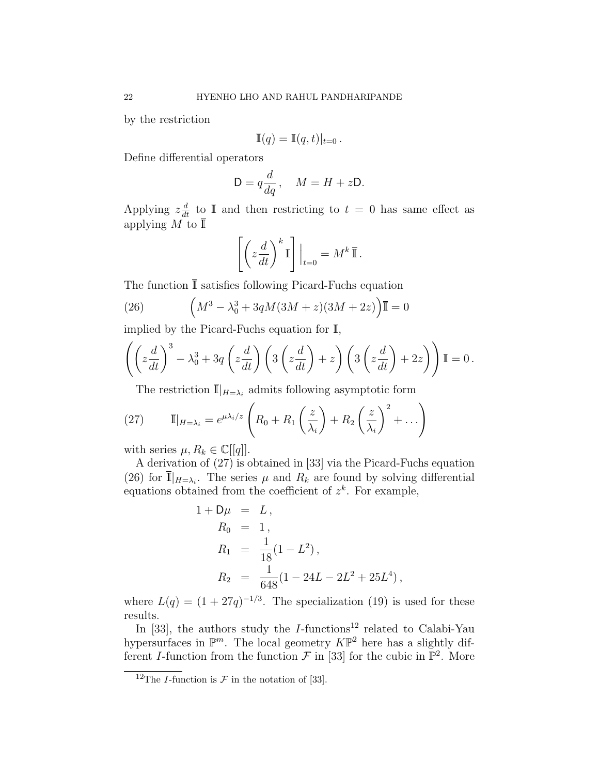by the restriction

$$
\overline{\mathbb{I}}(q) = \mathbb{I}(q,t)|_{t=0}.
$$

Define differential operators

$$
D = q \frac{d}{dq}, \quad M = H + zD.
$$

Applying  $z\frac{d}{dt}$  to I and then restricting to  $t = 0$  has same effect as applying M to  $\bar{\mathbb{I}}$ 

$$
\left[ \left( z \frac{d}{dt} \right)^k \mathbb{I} \right] \Big|_{t=0} = M^k \overline{\mathbb{I}} \, .
$$

The function  $\overline{\mathbb{I}}$  satisfies following Picard-Fuchs equation

(26) 
$$
\left(M^3 - \lambda_0^3 + 3qM(3M + z)(3M + 2z)\right)\overline{\mathbb{I}} = 0
$$

implied by the Picard-Fuchs equation for I,

$$
\left( \left( z \frac{d}{dt} \right)^3 - \lambda_0^3 + 3q \left( z \frac{d}{dt} \right) \left( 3 \left( z \frac{d}{dt} \right) + z \right) \left( 3 \left( z \frac{d}{dt} \right) + 2z \right) \right) \mathbb{I} = 0.
$$

The restriction  $\overline{\mathbb{I}}|_{H=\lambda_i}$  admits following asymptotic form

(27) 
$$
\overline{\mathbb{I}}|_{H=\lambda_i}=e^{\mu\lambda_i/z}\left(R_0+R_1\left(\frac{z}{\lambda_i}\right)+R_2\left(\frac{z}{\lambda_i}\right)^2+\ldots\right)
$$

with series  $\mu, R_k \in \mathbb{C}[[q]]$ .

A derivation of (27) is obtained in [33] via the Picard-Fuchs equation (26) for  $\overline{\mathbb{I}}|_{H=\lambda_i}$ . The series  $\mu$  and  $R_k$  are found by solving differential equations obtained from the coefficient of  $z<sup>k</sup>$ . For example,

$$
1 + D\mu = L,
$$
  
\n
$$
R_0 = 1,
$$
  
\n
$$
R_1 = \frac{1}{18}(1 - L^2),
$$
  
\n
$$
R_2 = \frac{1}{648}(1 - 24L - 2L^2 + 25L^4),
$$

where  $L(q) = (1 + 27q)^{-1/3}$ . The specialization (19) is used for these results.

In [33], the authors study the  $I$ -functions<sup>12</sup> related to Calabi-Yau hypersurfaces in  $\mathbb{P}^m$ . The local geometry  $K\mathbb{P}^2$  here has a slightly different I-function from the function  $\mathcal F$  in [33] for the cubic in  $\mathbb P^2$ . More

<sup>&</sup>lt;sup>12</sup>The *I*-function is  $\mathcal F$  in the notation of [33].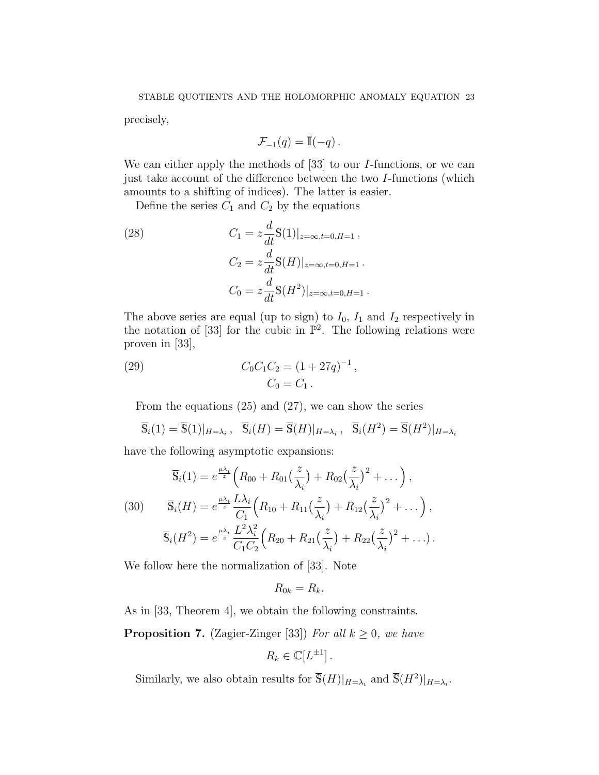precisely,

$$
\mathcal{F}_{-1}(q) = \overline{\mathbb{I}}(-q) \, .
$$

We can either apply the methods of [33] to our *I*-functions, or we can just take account of the difference between the two I-functions (which amounts to a shifting of indices). The latter is easier.

Define the series  $C_1$  and  $C_2$  by the equations

(28) 
$$
C_1 = z \frac{d}{dt} \mathbb{S}(1)|_{z=\infty, t=0, H=1},
$$

$$
C_2 = z \frac{d}{dt} \mathbb{S}(H)|_{z=\infty, t=0, H=1}.
$$

$$
C_0 = z \frac{d}{dt} \mathbb{S}(H^2)|_{z=\infty, t=0, H=1}.
$$

The above series are equal (up to sign) to  $I_0$ ,  $I_1$  and  $I_2$  respectively in the notation of [33] for the cubic in  $\mathbb{P}^2$ . The following relations were proven in [33],

(29) 
$$
C_0 C_1 C_2 = (1 + 27q)^{-1},
$$

$$
C_0 = C_1.
$$

From the equations (25) and (27), we can show the series

$$
\overline{S}_i(1) = \overline{S}(1)|_{H=\lambda_i}, \quad \overline{S}_i(H) = \overline{S}(H)|_{H=\lambda_i}, \quad \overline{S}_i(H^2) = \overline{S}(H^2)|_{H=\lambda_i}
$$

have the following asymptotic expansions:

(30) 
$$
\overline{\mathbb{S}}_i(1) = e^{\frac{\mu \lambda_i}{z}} \left( R_{00} + R_{01} \left( \frac{z}{\lambda_i} \right) + R_{02} \left( \frac{z}{\lambda_i} \right)^2 + \dots \right),
$$
  
\n
$$
\overline{\mathbb{S}}_i(H) = e^{\frac{\mu \lambda_i}{z}} \frac{L \lambda_i}{C_1} \left( R_{10} + R_{11} \left( \frac{z}{\lambda_i} \right) + R_{12} \left( \frac{z}{\lambda_i} \right)^2 + \dots \right),
$$
  
\n
$$
\overline{\mathbb{S}}_i(H^2) = e^{\frac{\mu \lambda_i}{z}} \frac{L^2 \lambda_i^2}{C_1 C_2} \left( R_{20} + R_{21} \left( \frac{z}{\lambda_i} \right) + R_{22} \left( \frac{z}{\lambda_i} \right)^2 + \dots \right).
$$

We follow here the normalization of [33]. Note

$$
R_{0k}=R_k.
$$

As in [33, Theorem 4], we obtain the following constraints.

**Proposition 7.** (Zagier-Zinger [33]) For all  $k \geq 0$ , we have

$$
R_k \in \mathbb{C}[L^{\pm 1}].
$$

Similarly, we also obtain results for  $\overline{S}(H)|_{H=\lambda_i}$  and  $\overline{S}(H^2)|_{H=\lambda_i}$ .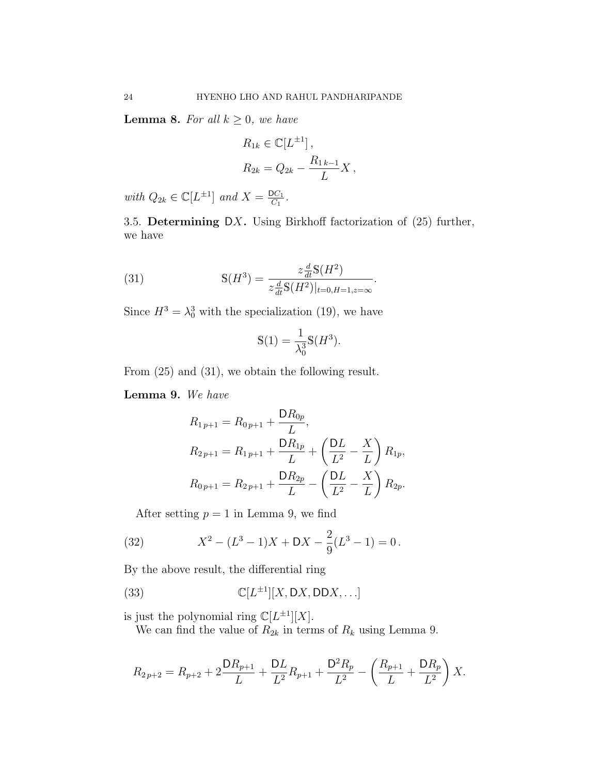**Lemma 8.** For all  $k \geq 0$ , we have

$$
R_{1k} \in \mathbb{C}[L^{\pm 1}],
$$
  
\n
$$
R_{2k} = Q_{2k} - \frac{R_{1k-1}}{L}X,
$$

with  $Q_{2k} \in \mathbb{C}[L^{\pm 1}]$  and  $X = \frac{DC_1}{C_1}$  $\frac{OC_1}{C_1}$ .

3.5. Determining DX. Using Birkhoff factorization of  $(25)$  further, we have

(31) 
$$
\mathbb{S}(H^3) = \frac{z \frac{d}{dt} \mathbb{S}(H^2)}{z \frac{d}{dt} \mathbb{S}(H^2)|_{t=0, H=1, z=\infty}}.
$$

Since  $H^3 = \lambda_0^3$  with the specialization (19), we have

$$
\mathcal{S}(1) = \frac{1}{\lambda_0^3} \mathcal{S}(H^3).
$$

From (25) and (31), we obtain the following result.

Lemma 9. We have

$$
R_{1p+1} = R_{0p+1} + \frac{DR_{0p}}{L},
$$
  
\n
$$
R_{2p+1} = R_{1p+1} + \frac{DR_{1p}}{L} + \left(\frac{DL}{L^2} - \frac{X}{L}\right) R_{1p},
$$
  
\n
$$
R_{0p+1} = R_{2p+1} + \frac{DR_{2p}}{L} - \left(\frac{DL}{L^2} - \frac{X}{L}\right) R_{2p}.
$$

After setting  $p = 1$  in Lemma 9, we find

(32) 
$$
X^2 - (L^3 - 1)X + DX - \frac{2}{9}(L^3 - 1) = 0.
$$

By the above result, the differential ring

(33) 
$$
\mathbb{C}[L^{\pm 1}][X, DX, DDX, ...]
$$

is just the polynomial ring  $\mathbb{C}[L^{\pm 1}][X]$ .

We can find the value of  $R_{2k}$  in terms of  $R_k$  using Lemma 9.

$$
R_{2p+2} = R_{p+2} + 2\frac{DR_{p+1}}{L} + \frac{DL}{L^2}R_{p+1} + \frac{D^2R_p}{L^2} - \left(\frac{R_{p+1}}{L} + \frac{DR_p}{L^2}\right)X.
$$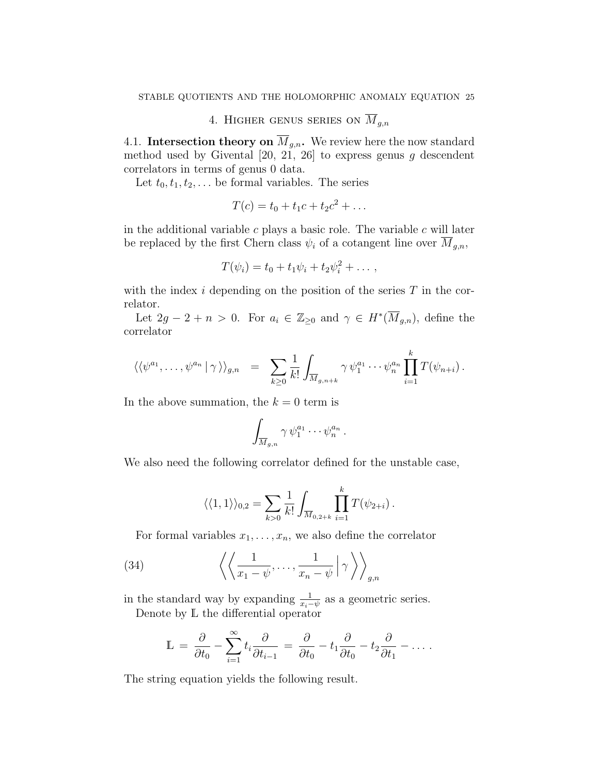4. HIGHER GENUS SERIES ON  $\overline{M}_{q,n}$ 

4.1. Intersection theory on  $\overline{M}_{g,n}$ . We review here the now standard method used by Givental  $[20, 21, 26]$  to express genus g descendent correlators in terms of genus 0 data.

Let  $t_0, t_1, t_2, \ldots$  be formal variables. The series

$$
T(c) = t_0 + t_1 c + t_2 c^2 + \dots
$$

in the additional variable  $c$  plays a basic role. The variable  $c$  will later be replaced by the first Chern class  $\psi_i$  of a cotangent line over  $\overline{M}_{g,n}$ ,

$$
T(\psi_i)=t_0+t_1\psi_i+t_2\psi_i^2+\ldots,
$$

with the index  $i$  depending on the position of the series  $T$  in the correlator.

Let  $2g - 2 + n > 0$ . For  $a_i \in \mathbb{Z}_{\geq 0}$  and  $\gamma \in H^*(\overline{M}_{g,n})$ , define the correlator

$$
\langle \langle \psi^{a_1}, \ldots, \psi^{a_n} | \gamma \rangle \rangle_{g,n} = \sum_{k \geq 0} \frac{1}{k!} \int_{\overline{M}_{g,n+k}} \gamma \psi_1^{a_1} \cdots \psi_n^{a_n} \prod_{i=1}^k T(\psi_{n+i}).
$$

In the above summation, the  $k = 0$  term is

$$
\int_{\overline{M}_{g,n}} \gamma \,\psi_1^{a_1} \cdots \psi_n^{a_n} \,.
$$

We also need the following correlator defined for the unstable case,

$$
\langle\langle 1,1\rangle\rangle_{0,2} = \sum_{k>0} \frac{1}{k!} \int_{\overline{M}_{0,2+k}} \prod_{i=1}^{k} T(\psi_{2+i}).
$$

For formal variables  $x_1, \ldots, x_n$ , we also define the correlator

(34) 
$$
\left\langle \left\langle \frac{1}{x_1 - \psi}, \dots, \frac{1}{x_n - \psi} \middle| \gamma \right\rangle \right\rangle_{g,n}
$$

in the standard way by expanding  $\frac{1}{x_i-\psi}$  as a geometric series. Denote by L the differential operator

$$
\mathbb{L} = \frac{\partial}{\partial t_0} - \sum_{i=1}^{\infty} t_i \frac{\partial}{\partial t_{i-1}} = \frac{\partial}{\partial t_0} - t_1 \frac{\partial}{\partial t_0} - t_2 \frac{\partial}{\partial t_1} - \dots
$$

The string equation yields the following result.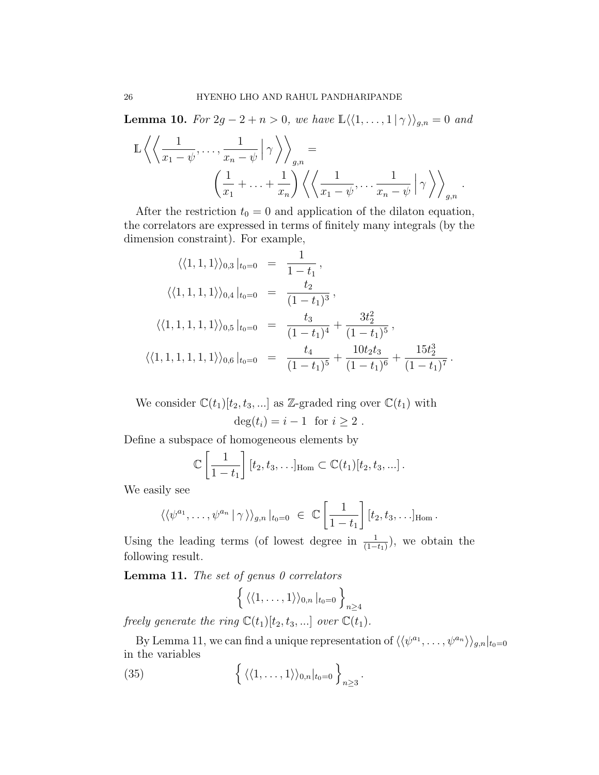**Lemma 10.** For  $2g - 2 + n > 0$ , we have  $\mathbb{L}\langle\langle 1, \ldots, 1 | \gamma \rangle\rangle_{g,n} = 0$  and

$$
\mathbb{L}\left\langle \left\langle \frac{1}{x_1 - \psi}, \dots, \frac{1}{x_n - \psi} \middle| \gamma \right\rangle \right\rangle_{g,n} = \left\langle \left( \frac{1}{x_1} + \dots + \frac{1}{x_n} \right) \left\langle \left\langle \frac{1}{x_1 - \psi}, \dots, \frac{1}{x_n - \psi} \middle| \gamma \right\rangle \right\rangle_{g,n}.
$$

After the restriction  $t_0 = 0$  and application of the dilaton equation, the correlators are expressed in terms of finitely many integrals (by the dimension constraint). For example,

$$
\langle\langle 1, 1, 1 \rangle\rangle_{0,3} |_{t_0=0} = \frac{1}{1-t_1},
$$
  

$$
\langle\langle 1, 1, 1, 1 \rangle\rangle_{0,4} |_{t_0=0} = \frac{t_2}{(1-t_1)^3},
$$
  

$$
\langle\langle 1, 1, 1, 1, 1 \rangle\rangle_{0,5} |_{t_0=0} = \frac{t_3}{(1-t_1)^4} + \frac{3t_2^2}{(1-t_1)^5},
$$
  

$$
\langle\langle 1, 1, 1, 1, 1, 1, 1 \rangle\rangle_{0,6} |_{t_0=0} = \frac{t_4}{(1-t_1)^5} + \frac{10t_2t_3}{(1-t_1)^6} + \frac{15t_2^3}{(1-t_1)^7}.
$$

We consider  $\mathbb{C}(t_1)[t_2, t_3, \ldots]$  as Z-graded ring over  $\mathbb{C}(t_1)$  with  $deg(t_i) = i - 1$  for  $i > 2$ .

Define a subspace of homogeneous elements by

$$
\mathbb{C}\left[\frac{1}{1-t_1}\right][t_2,t_3,\ldots]_{\text{Hom}} \subset \mathbb{C}(t_1)[t_2,t_3,\ldots].
$$

We easily see

$$
\langle \langle \psi^{a_1}, \ldots, \psi^{a_n} | \gamma \rangle \rangle_{g,n} |_{t_0=0} \in \mathbb{C} \left[ \frac{1}{1-t_1} \right] [t_2, t_3, \ldots]_{\text{Hom}}.
$$

Using the leading terms (of lowest degree in  $\frac{1}{(1-t_1)}$ ), we obtain the following result.

**Lemma 11.** The set of genus  $\theta$  correlators

$$
\left\{ \langle \langle 1,\ldots,1\rangle \rangle_{0,n} \,|_{t_0=0} \,\right\}_{n\geq 4}
$$

freely generate the ring  $\mathbb{C}(t_1)[t_2, t_3, \ldots]$  over  $\mathbb{C}(t_1)$ .

By Lemma 11, we can find a unique representation of  $\langle\langle \psi^{a_1}, \ldots, \psi^{a_n} \rangle\rangle_{g,n}|_{t_0=0}$ in the variables

(35) 
$$
\left\{ \langle \langle 1,\ldots,1\rangle \rangle_{0,n}|_{t_0=0} \right\}_{n\geq 3}.
$$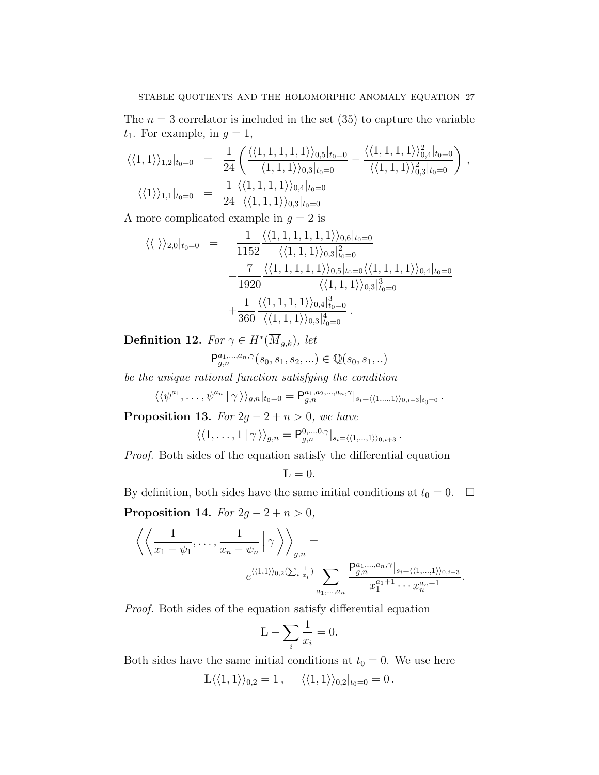The  $n = 3$  correlator is included in the set (35) to capture the variable  $t_1$ . For example, in  $g = 1$ ,

$$
\langle\langle 1,1\rangle\rangle_{1,2}|_{t_0=0} = \frac{1}{24} \left( \frac{\langle\langle 1,1,1,1,1\rangle\rangle_{0,5}|_{t_0=0}}{\langle 1,1,1\rangle\rangle_{0,3}|_{t_0=0}} - \frac{\langle\langle 1,1,1,1\rangle\rangle_{0,4}|_{t_0=0}}{\langle\langle 1,1,1\rangle\rangle_{0,3}|_{t_0=0}} \right),
$$
  

$$
\langle\langle 1\rangle\rangle_{1,1}|_{t_0=0} = \frac{1}{24} \frac{\langle\langle 1,1,1,1\rangle\rangle_{0,4}|_{t_0=0}}{\langle\langle 1,1,1\rangle\rangle_{0,3}|_{t_0=0}}
$$

A more complicated example in  $g = 2$  is

$$
\langle \langle \ \rangle \rangle_{2,0}|_{t_0=0} = \frac{1}{1152} \frac{\langle \langle 1, 1, 1, 1, 1, 1 \rangle \rangle_{0,6}|_{t_0=0}}{\langle \langle 1, 1, 1 \rangle \rangle_{0,3}|_{t_0=0}^2} - \frac{7}{1920} \frac{\langle \langle 1, 1, 1, 1, 1 \rangle \rangle_{0,5}|_{t_0=0} \langle \langle 1, 1, 1, 1 \rangle \rangle_{0,4}|_{t_0=0}}{\langle \langle 1, 1, 1 \rangle \rangle_{0,3}|_{t_0=0}^3} + \frac{1}{360} \frac{\langle \langle 1, 1, 1, 1 \rangle \rangle_{0,3}|_{t_0=0}^4}{\langle \langle 1, 1, 1 \rangle \rangle_{0,3}|_{t_0=0}^4}.
$$

Definition 12. For  $\gamma \in H^*(\overline{M}_{g,k}),$  let

$$
\mathsf{P}^{a_1,\ldots,a_n,\gamma}_{g,n}(s_0,s_1,s_2,\ldots)\in \mathbb{Q}(s_0,s_1,\ldots)
$$

be the unique rational function satisfying the condition

$$
\langle \langle \psi^{a_1}, \ldots, \psi^{a_n} | \gamma \rangle \rangle_{g,n} |_{t_0=0} = \mathsf{P}^{a_1, a_2, \ldots, a_n, \gamma}_{g,n} |_{s_i=\langle \langle 1, \ldots, 1 \rangle \rangle_{0, i+3} |_{t_0=0}}.
$$

**Proposition 13.** For  $2g - 2 + n > 0$ , we have

$$
\langle \langle 1,\ldots,1|\,\gamma\,\rangle \rangle_{g,n} = \mathsf{P}^{0,\ldots,0,\gamma}_{g,n}|_{s_i=\langle\langle 1,\ldots,1\rangle\rangle_{0,i+3}}.
$$

Proof. Both sides of the equation satisfy the differential equation

$$
\mathbb{L}=0.
$$

By definition, both sides have the same initial conditions at  $t_0 = 0$ .  $\Box$ 

Proposition 14. For  $2g - 2 + n > 0$ ,

$$
\left\langle \left\langle \frac{1}{x_1 - \psi_1}, \dots, \frac{1}{x_n - \psi_n} \middle| \gamma \right\rangle \right\rangle_{g,n} =
$$
  

$$
e^{\langle \langle 1,1 \rangle \rangle_{0,2} (\sum_i \frac{1}{x_i})} \sum_{a_1, \dots, a_n} \frac{P_{g,n}^{a_1, \dots, a_n, \gamma} |_{s_i = \langle \langle 1, \dots, 1 \rangle \rangle_{0, i+3}}}{x_1^{a_1 + 1} \cdots x_n^{a_n + 1}}.
$$

Proof. Both sides of the equation satisfy differential equation

$$
\mathbb{L} - \sum_{i} \frac{1}{x_i} = 0.
$$

Both sides have the same initial conditions at  $t_0 = 0$ . We use here

$$
\mathbb{L}\langle\langle 1,1\rangle\rangle_{0,2}=1\,,\quad \ \langle\langle 1,1\rangle\rangle_{0,2}|_{t_0=0}=0\,.
$$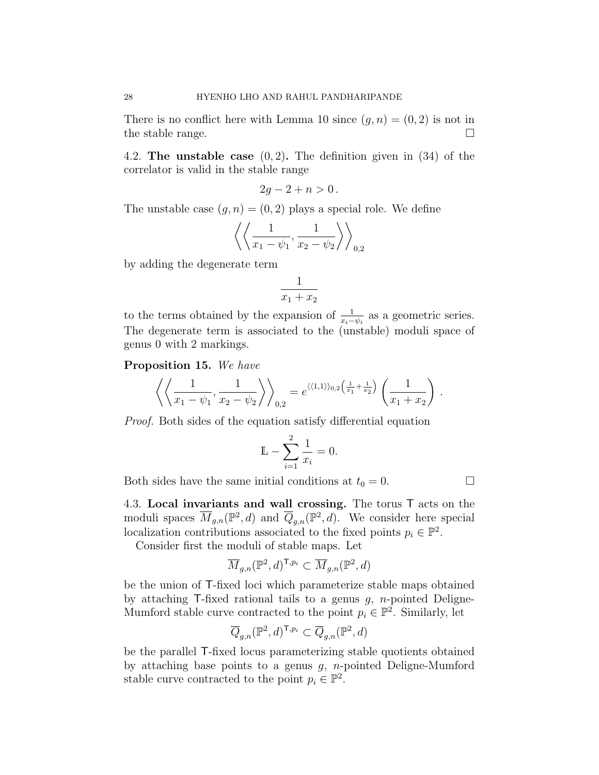There is no conflict here with Lemma 10 since  $(q, n) = (0, 2)$  is not in the stable range.  $\Box$ 

4.2. The unstable case  $(0, 2)$ . The definition given in  $(34)$  of the correlator is valid in the stable range

$$
2g-2+n>0.
$$

The unstable case  $(g, n) = (0, 2)$  plays a special role. We define

$$
\left\langle\left\langle \frac{1}{x_1-\psi_1},\frac{1}{x_2-\psi_2}\right\rangle\right\rangle_{0,2}
$$

by adding the degenerate term

$$
\frac{1}{x_1 + x_2}
$$

to the terms obtained by the expansion of  $\frac{1}{x_i - \psi_i}$  as a geometric series. The degenerate term is associated to the (unstable) moduli space of genus 0 with 2 markings.

Proposition 15. We have

$$
\left\langle \left\langle \frac{1}{x_1 - \psi_1}, \frac{1}{x_2 - \psi_2} \right\rangle \right\rangle_{0,2} = e^{\langle \langle 1, 1 \rangle \rangle_{0,2} \left( \frac{1}{x_1} + \frac{1}{x_2} \right)} \left( \frac{1}{x_1 + x_2} \right).
$$

Proof. Both sides of the equation satisfy differential equation

$$
\mathbb{L} - \sum_{i=1}^{2} \frac{1}{x_i} = 0.
$$

Both sides have the same initial conditions at  $t_0 = 0$ .

4.3. Local invariants and wall crossing. The torus T acts on the moduli spaces  $\overline{M}_{g,n}(\mathbb{P}^2, d)$  and  $\overline{Q}_{g,n}(\mathbb{P}^2, d)$ . We consider here special localization contributions associated to the fixed points  $p_i \in \mathbb{P}^2$ .

Consider first the moduli of stable maps. Let

$$
\overline{M}_{g,n}({\mathbb P}^2,d)^{{\sf T},p_i}\subset \overline{M}_{g,n}({\mathbb P}^2,d)
$$

be the union of T-fixed loci which parameterize stable maps obtained by attaching  $\mathsf{T}\text{-fixed rational tails to a genus } g, n\text{-pointed Deligne-}$ Mumford stable curve contracted to the point  $p_i \in \mathbb{P}^2$ . Similarly, let

$$
\overline{Q}_{g,n}({\mathbb P}^2,d)^{{\sf T},p_i}\subset \overline{Q}_{g,n}({\mathbb P}^2,d)
$$

be the parallel T-fixed locus parameterizing stable quotients obtained by attaching base points to a genus  $g$ , *n*-pointed Deligne-Mumford stable curve contracted to the point  $p_i \in \mathbb{P}^2$ .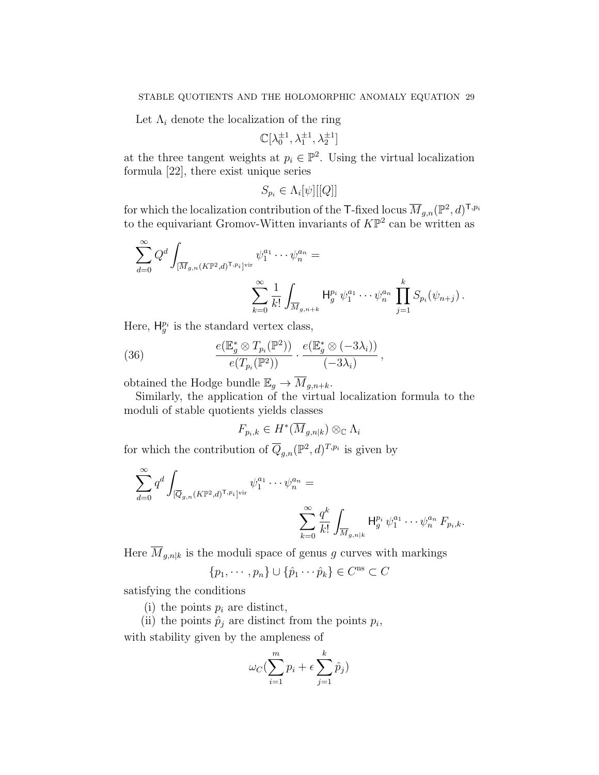Let  $\Lambda_i$  denote the localization of the ring

$$
\mathbb{C}[\lambda_0^{\pm 1},\lambda_1^{\pm 1},\lambda_2^{\pm 1}]
$$

at the three tangent weights at  $p_i \in \mathbb{P}^2$ . Using the virtual localization formula [22], there exist unique series

$$
S_{p_i} \in \Lambda_i[\psi][[Q]]
$$

for which the localization contribution of the T-fixed locus  $\overline{M}_{g,n}(\mathbb{P}^2,d)^{\mathsf{T},p_i}$ to the equivariant Gromov-Witten invariants of  $K\mathbb{P}^2$  can be written as

$$
\sum_{d=0}^{\infty} Q^d \int_{[\overline{M}_{g,n}(K\mathbb{P}^2,d)^{\text{T},p_i}]^{\text{vir}}} \psi_1^{a_1} \cdots \psi_n^{a_n} =
$$
  

$$
\sum_{k=0}^{\infty} \frac{1}{k!} \int_{\overline{M}_{g,n+k}} H_g^{p_i} \psi_1^{a_1} \cdots \psi_n^{a_n} \prod_{j=1}^k S_{p_i}(\psi_{n+j}).
$$

Here,  $H_g^{p_i}$  is the standard vertex class,

(36) 
$$
\frac{e(\mathbb{E}_g^* \otimes T_{p_i}(\mathbb{P}^2))}{e(T_{p_i}(\mathbb{P}^2))} \cdot \frac{e(\mathbb{E}_g^* \otimes (-3\lambda_i))}{(-3\lambda_i)},
$$

obtained the Hodge bundle  $\mathbb{E}_g \to \overline{M}_{g,n+k}$ .

Similarly, the application of the virtual localization formula to the moduli of stable quotients yields classes

$$
F_{p_i,k} \in H^*(\overline{M}_{g,n|k}) \otimes_{\mathbb{C}} \Lambda_i
$$

for which the contribution of  $\overline{Q}_{g,n}(\mathbb{P}^2, d)^{T,p_i}$  is given by

$$
\sum_{d=0}^{\infty} q^d \int_{[\overline{Q}_{g,n}(K\mathbb{P}^2,d)^{T,p_i}]^{\text{vir}}} \psi_1^{a_1} \cdots \psi_n^{a_n} = \sum_{k=0}^{\infty} \frac{q^k}{k!} \int_{\overline{M}_{g,n|k}} H_g^{p_i} \psi_1^{a_1} \cdots \psi_n^{a_n} F_{p_i,k}.
$$

Here  $\overline{M}_{g,n|k}$  is the moduli space of genus g curves with markings

$$
\{p_1, \cdots, p_n\} \cup \{\hat{p}_1 \cdots \hat{p}_k\} \in C^{\text{ns}} \subset C
$$

satisfying the conditions

(i) the points  $p_i$  are distinct,

(ii) the points  $\hat{p}_j$  are distinct from the points  $p_i$ , with stability given by the ampleness of

$$
\omega_C(\sum_{i=1}^m p_i + \epsilon \sum_{j=1}^k \hat{p}_j)
$$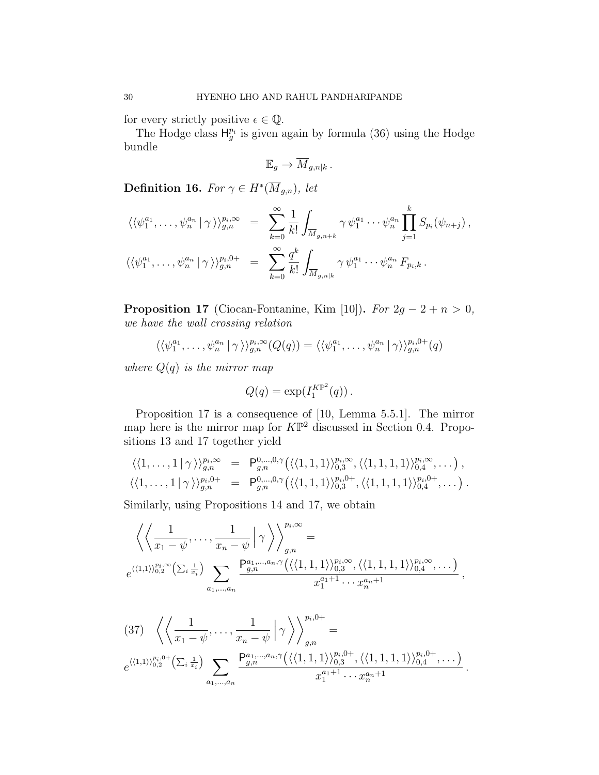for every strictly positive  $\epsilon \in \mathbb{Q}$ .

The Hodge class  $H_g^{p_i}$  is given again by formula (36) using the Hodge bundle

$$
\mathbb{E}_g \to \overline{M}_{g,n|k}.
$$

**Definition 16.** For  $\gamma \in H^*(\overline{M}_{g,n})$ , let

$$
\langle \langle \psi_1^{a_1}, \dots, \psi_n^{a_n} | \gamma \rangle \rangle_{g,n}^{p_i, \infty} = \sum_{k=0}^{\infty} \frac{1}{k!} \int_{\overline{M}_{g,n+k}} \gamma \psi_1^{a_1} \cdots \psi_n^{a_n} \prod_{j=1}^k S_{p_i}(\psi_{n+j}),
$$
  

$$
\langle \langle \psi_1^{a_1}, \dots, \psi_n^{a_n} | \gamma \rangle \rangle_{g,n}^{p_i,0+} = \sum_{k=0}^{\infty} \frac{q^k}{k!} \int_{\overline{M}_{g,n|k}} \gamma \psi_1^{a_1} \cdots \psi_n^{a_n} F_{p_i,k}.
$$

**Proposition 17** (Ciocan-Fontanine, Kim [10]). For  $2g - 2 + n > 0$ , we have the wall crossing relation

$$
\langle \langle \psi_1^{a_1}, \dots, \psi_n^{a_n} | \gamma \rangle \rangle_{g,n}^{p_i, \infty}(Q(q)) = \langle \langle \psi_1^{a_1}, \dots, \psi_n^{a_n} | \gamma \rangle \rangle_{g,n}^{p_i, 0+}(q)
$$

where  $Q(q)$  is the mirror map

$$
Q(q) = \exp(I_1^{K\mathbb{P}^2}(q)).
$$

Proposition 17 is a consequence of [10, Lemma 5.5.1]. The mirror map here is the mirror map for  $K\mathbb{P}^2$  discussed in Section 0.4. Propositions 13 and 17 together yield

$$
\langle\langle 1,\ldots,1|\,\gamma\,\rangle\rangle_{g,n}^{p_i,\infty} = \mathsf{P}_{g,n}^{0,\ldots,0,\gamma}\big(\langle\langle 1,1,1\rangle\rangle_{0,3}^{p_i,\infty},\langle\langle 1,1,1,1\rangle\rangle_{0,4}^{p_i,\infty},\ldots\big),\langle\langle 1,\ldots,1|\,\gamma\,\rangle\rangle_{g,n}^{p_i,0+} = \mathsf{P}_{g,n}^{0,\ldots,0,\gamma}\big(\langle\langle 1,1,1\rangle\rangle_{0,3}^{p_i,0+},\langle\langle 1,1,1,1\rangle\rangle_{0,4}^{p_i,0+},\ldots\big).
$$

Similarly, using Propositions 14 and 17, we obtain

$$
\left\langle \left\langle \frac{1}{x_1 - \psi}, \dots, \frac{1}{x_n - \psi} \middle| \gamma \right\rangle \right\rangle_{g,n}^{p_i, \infty} =
$$
\n
$$
e^{\langle \langle 1,1 \rangle \rangle_{0,2}^{p_i, \infty}} \left( \sum_i \frac{1}{x_i} \right) \sum_{a_1, \dots, a_n} \frac{P_{g,n}^{a_1, \dots, a_n, \gamma} \left( \langle \langle 1,1,1 \rangle \rangle_{0,3}^{p_i, \infty}, \langle \langle 1,1,1,1 \rangle \rangle_{0,4}^{p_i, \infty}, \dots \right)}{x_1^{a_1 + 1} \cdots x_n^{a_n + 1}},
$$

$$
(37) \ \ \left\langle \left\langle \frac{1}{x_1 - \psi}, \dots, \frac{1}{x_n - \psi} \right| \gamma \right\rangle \right\rangle_{g,n}^{p_i,0+} =
$$
  

$$
e^{\langle \langle 1,1 \rangle \rangle_{0,2}^{p_i,0+} \left( \sum_i \frac{1}{x_i} \right)} \sum_{a_1, \dots, a_n} \frac{P_{g,n}^{a_1, \dots, a_n, \gamma} \left( \langle \langle 1,1,1 \rangle \rangle_{0,3}^{p_i,0+}, \langle \langle 1,1,1,1 \rangle \rangle_{0,4}^{p_i,0+}, \dots \right)}{x_1^{a_1+1} \cdots x_n^{a_n+1}}.
$$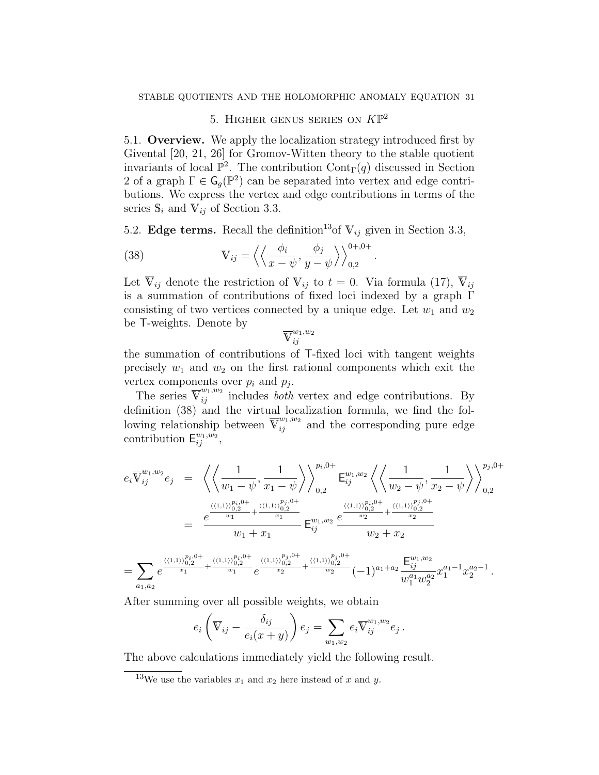# 5. HIGHER GENUS SERIES ON  $K\mathbb{P}^2$

5.1. Overview. We apply the localization strategy introduced first by Givental [20, 21, 26] for Gromov-Witten theory to the stable quotient invariants of local  $\mathbb{P}^2$ . The contribution  $\text{Cont}_{\Gamma}(q)$  discussed in Section 2 of a graph  $\Gamma \in \mathsf{G}_g(\mathbb{P}^2)$  can be separated into vertex and edge contributions. We express the vertex and edge contributions in terms of the series  $\mathbb{S}_i$  and  $\mathbb{V}_{ij}$  of Section 3.3.

5.2. Edge terms. Recall the definition<sup>13</sup> of  $V_{ij}$  given in Section 3.3,

.

(38) 
$$
\mathbb{V}_{ij} = \left\langle \left\langle \frac{\phi_i}{x - \psi}, \frac{\phi_j}{y - \psi} \right\rangle \right\rangle_{0,2}^{0+,0+}
$$

Let  $\overline{V}_{ij}$  denote the restriction of  $V_{ij}$  to  $t = 0$ . Via formula (17),  $\overline{V}_{ij}$ is a summation of contributions of fixed loci indexed by a graph Γ consisting of two vertices connected by a unique edge. Let  $w_1$  and  $w_2$ be T-weights. Denote by

$$
\overline{\mathbf{V}}^{w_1,w_2}_{ij}
$$

the summation of contributions of T-fixed loci with tangent weights precisely  $w_1$  and  $w_2$  on the first rational components which exit the vertex components over  $p_i$  and  $p_j$ .

The series  $\overline{V}_{ij}^{w_1,w_2}$  includes *both* vertex and edge contributions. By definition (38) and the virtual localization formula, we find the following relationship between  $\overline{V}_{ij}^{w_1,w_2}$  and the corresponding pure edge contribution  $\mathsf{E}_{ij}^{w_1,w_2}$ ,

$$
e_{i} \overline{V}_{ij}^{w_{1},w_{2}} e_{j} = \left\langle \left\langle \frac{1}{w_{1} - \psi}, \frac{1}{x_{1} - \psi} \right\rangle \right\rangle_{0,2}^{p_{i},0+} E_{ij}^{w_{1},w_{2}} \left\langle \left\langle \frac{1}{w_{2} - \psi}, \frac{1}{x_{2} - \psi} \right\rangle \right\rangle_{0,2}^{p_{j},0+}
$$
  
\n
$$
= \frac{e^{\frac{\langle \langle 1,1 \rangle \rangle_{0,2}^{p_{i},0+}}{w_{1}} + \frac{\langle \langle 1,1 \rangle \rangle_{0,2}^{p_{j},0+}}{x_{1}}}{w_{1} + x_{1}} E_{ij}^{w_{1},w_{2}} \frac{e^{\frac{\langle \langle 1,1 \rangle \rangle_{0,2}^{p_{i},0+}}{w_{2}} + \frac{\langle \langle 1,1 \rangle \rangle_{0,2}^{p_{j},0+}}{x_{2}}}{w_{2} + x_{2}}
$$
  
\n
$$
= \sum_{a_{1},a_{2}} e^{\frac{\langle \langle 1,1 \rangle \rangle_{0,2}^{p_{i},0+}}{x_{1}} + \frac{\langle \langle 1,1 \rangle \rangle_{0,2}^{p_{j},0+}}{w_{1}}} e^{\frac{\langle \langle 1,1 \rangle \rangle_{0,2}^{p_{j},0+}}{x_{2}}} + \frac{\langle \langle 1,1 \rangle \rangle_{0,2}^{p_{j},0+}}{w_{2}} (-1)^{a_{1} + a_{2}} \frac{E_{ij}^{w_{1},w_{2}}}{w_{1}^{a_{1}} w_{2}^{a_{2}}} x_{1}^{a_{1} - 1} x_{2}^{a_{2} - 1}.
$$

After summing over all possible weights, we obtain

$$
e_i\left(\overline{\mathbb{V}}_{ij}-\frac{\delta_{ij}}{e_i(x+y)}\right)e_j=\sum_{w_1,w_2}e_i\overline{\mathbb{V}}_{ij}^{w_1,w_2}e_j.
$$

The above calculations immediately yield the following result.

<sup>&</sup>lt;sup>13</sup>We use the variables  $x_1$  and  $x_2$  here instead of x and y.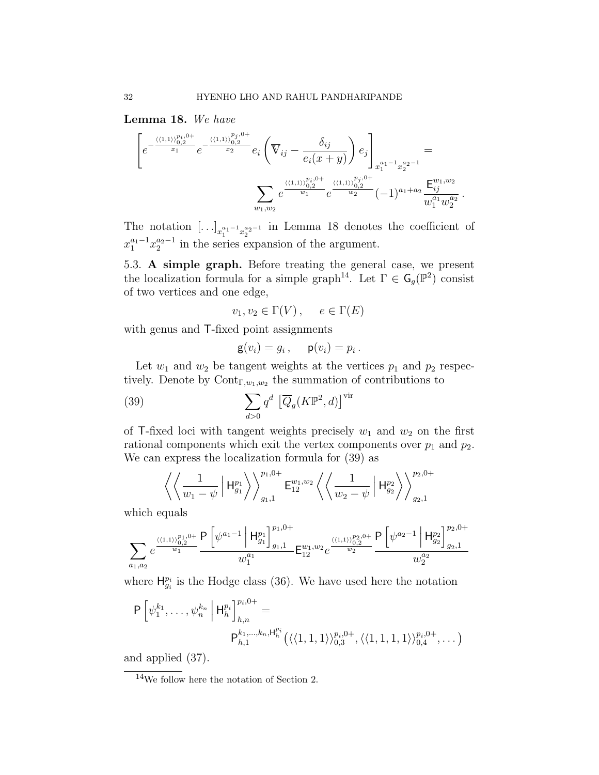Lemma 18. We have

$$
\left[e^{-\frac{\langle\langle 1,1\rangle\rangle_{0,2}^{p_i,0+}}{x_1}}e^{-\frac{\langle\langle 1,1\rangle\rangle_{0,2}^{p_j,0+}}{x_2}}e_i\left(\overline{V}_{ij}-\frac{\delta_{ij}}{e_i(x+y)}\right)e_j\right]_{x_1^{a_1-1}x_2^{a_2-1}} = \sum_{w_1,w_2} e^{\frac{\langle\langle 1,1\rangle\rangle_{0,2}^{p_i,0+}}{w_1}}e^{\frac{\langle\langle 1,1\rangle\rangle_{0,2}^{p_j,0+}}{w_2}}(-1)^{a_1+a_2}\frac{E_{ij}^{w_1,w_2}}{w_1^{a_1}w_2^{a_2}}
$$

.

The notation  $[\ldots]_{x_1^{a_1-1}x_2^{a_2-1}}$  in Lemma 18 denotes the coefficient of  $x_1^{a_1-1}x_2^{a_2-1}$  in the series expansion of the argument.

5.3. A simple graph. Before treating the general case, we present the localization formula for a simple graph<sup>14</sup>. Let  $\Gamma \in \mathsf{G}_g(\mathbb{P}^2)$  consist of two vertices and one edge,

$$
v_1, v_2 \in \Gamma(V) \,, \quad e \in \Gamma(E)
$$

with genus and T-fixed point assignments

$$
\mathsf{g}(v_i) = g_i, \quad \mathsf{p}(v_i) = p_i.
$$

Let  $w_1$  and  $w_2$  be tangent weights at the vertices  $p_1$  and  $p_2$  respectively. Denote by  $\text{Cont}_{\Gamma,w_1,w_2}$  the summation of contributions to

(39) 
$$
\sum_{d>0} q^d \left[ \overline{Q}_g(K\mathbb{P}^2, d) \right]^{\text{vir}}
$$

of T-fixed loci with tangent weights precisely  $w_1$  and  $w_2$  on the first rational components which exit the vertex components over  $p_1$  and  $p_2$ . We can express the localization formula for (39) as

$$
\left\langle \left\langle \frac{1}{w_1 - \psi} \left| \mathsf{H}^{p_1}_{g_1} \right\rangle \right\rangle_{g_1, 1}^{p_1, 0+} \mathsf{E}^{w_1, w_2}_{12} \left\langle \left\langle \frac{1}{w_2 - \psi} \left| \mathsf{H}^{p_2}_{g_2} \right\rangle \right\rangle_{g_2, 1}^{p_2, 0+} \right\rangle \right.
$$

which equals

$$
\sum_{a_1,a_2}e^{\frac{\langle\langle 1,1\rangle\rangle_{0,2}^{p_1,0+}}{w_1}}\frac{\mathsf{P}\left[\psi^{a_1-1}\left|\mathsf{H}^{p_1}_{g_1}\right]^{p_1,0+}}{w_1^{a_1}}\mathsf{E}^{w_1,w_2}_{12}e^{\frac{\langle\langle 1,1\rangle\rangle_{0,2}^{p_2,0+}}{w_2}}\frac{\mathsf{P}\left[\psi^{a_2-1}\left|\mathsf{H}^{p_2}_{g_2}\right]^{p_2,0+}}{w_2^{a_2}}\right]}{w_2^{a_2}}
$$

where  $H_{g_i}^{p_i}$  is the Hodge class (36). We have used here the notation

$$
P\left[\psi_1^{k_1},\ldots,\psi_n^{k_n}\middle|\mathsf{H}_{h}^{p_i}\right]_{h,n}^{p_i,0+}=\n P_{h,1}^{k_1,\ldots,k_n,\mathsf{H}_{h}^{p_i}}\left(\langle\langle 1,1,1\rangle\rangle_{0,3}^{p_i,0+},\langle\langle 1,1,1,1\rangle\rangle_{0,4}^{p_i,0+},\ldots\right)
$$

and applied (37).

<sup>14</sup>We follow here the notation of Section 2.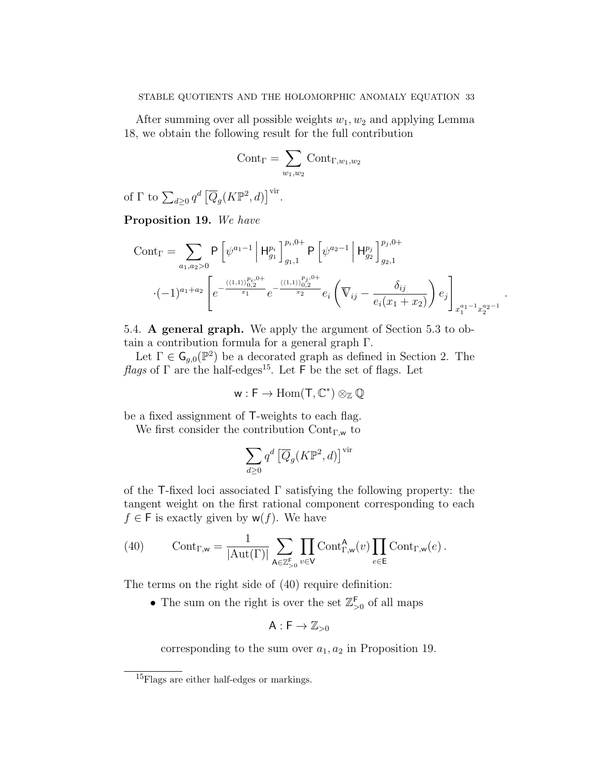After summing over all possible weights  $w_1, w_2$  and applying Lemma 18, we obtain the following result for the full contribution

$$
\text{Cont}_{\Gamma} = \sum_{w_1, w_2} \text{Cont}_{\Gamma, w_1, w_2}
$$

of  $\Gamma$  to  $\sum_{d\geq 0} q^d \left[ \overline{Q}_g(K\mathbb{P}^2, d) \right]$ <sup>vir</sup>.

Proposition 19. We have

$$
Cont_{\Gamma} = \sum_{a_1, a_2 > 0} P\left[\psi^{a_1-1} \middle| H_{g_1}^{p_i}\right]_{g_1, 1}^{p_i, 0+} P\left[\psi^{a_2-1} \middle| H_{g_2}^{p_j}\right]_{g_2, 1}^{p_j, 0+}
$$

$$
\cdot (-1)^{a_1+a_2} \left[e^{-\frac{\langle \langle 1, 1 \rangle \rangle_{0, 2}^{p_i, 0+}}{x_1} e^{-\frac{\langle \langle 1, 1 \rangle \rangle_{0, 2}^{p_j, 0+}}{x_2} e_i} \left(\overline{\nabla}_{ij} - \frac{\delta_{ij}}{e_i(x_1+x_2)}\right) e_j\right]_{x_1^{a_1-1} x_2^{a_2-1}}.
$$

5.4. A general graph. We apply the argument of Section 5.3 to obtain a contribution formula for a general graph Γ.

Let  $\Gamma \in \mathsf{G}_{g,0}(\mathbb{P}^2)$  be a decorated graph as defined in Section 2. The *flags* of  $\Gamma$  are the half-edges<sup>15</sup>. Let  $\overline{\Gamma}$  be the set of flags. Let

$$
w: F \to \mathrm{Hom}(T, \mathbb{C}^*) \otimes_{\mathbb{Z}} \mathbb{Q}
$$

be a fixed assignment of T-weights to each flag.

We first consider the contribution  $Cont_{\Gamma,w}$  to

$$
\sum_{d\geq 0}q^d\left[\overline{Q}_g(K{\mathbb P}^2,d)\right]^{\operatorname{vir}}
$$

of the T-fixed loci associated  $\Gamma$  satisfying the following property: the tangent weight on the first rational component corresponding to each  $f \in F$  is exactly given by  $w(f)$ . We have

(40) 
$$
\text{Cont}_{\Gamma,\mathbf{w}} = \frac{1}{|\text{Aut}(\Gamma)|} \sum_{\mathbf{A} \in \mathbb{Z}_{>0}^{\mathsf{F}}} \prod_{v \in \mathsf{V}} \text{Cont}_{\Gamma,\mathbf{w}}^{\mathbf{A}}(v) \prod_{e \in \mathsf{E}} \text{Cont}_{\Gamma,\mathbf{w}}(e) .
$$

The terms on the right side of (40) require definition:

• The sum on the right is over the set  $\mathbb{Z}_{>0}^{\mathsf{F}}$  of all maps

$$
A:F\to \mathbb{Z}_{>0}
$$

corresponding to the sum over  $a_1, a_2$  in Proposition 19.

<sup>&</sup>lt;sup>15</sup>Flags are either half-edges or markings.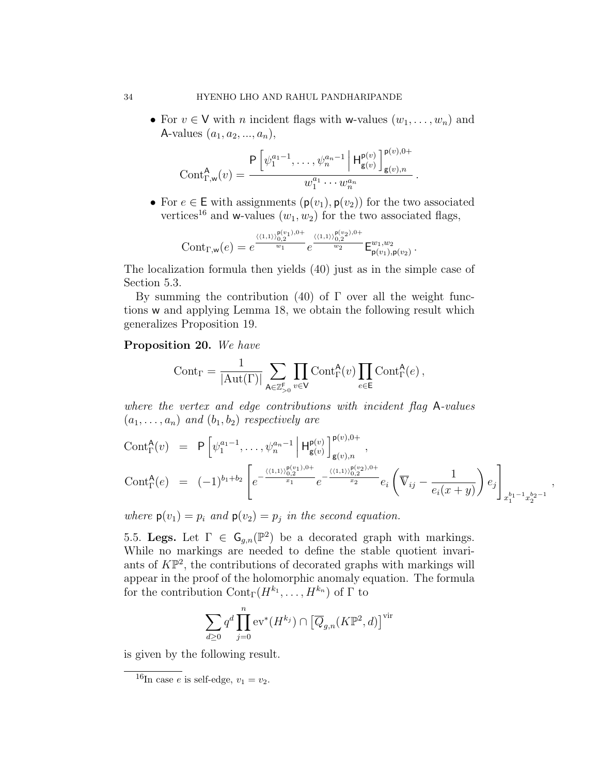• For  $v \in V$  with *n* incident flags with w-values  $(w_1, \ldots, w_n)$  and A-values  $(a_1, a_2, ..., a_n),$ 

$$
Cont_{\Gamma,w}^{\mathsf{A}}(v) = \frac{\mathsf{P}\left[\psi_1^{a_1-1}, \dots, \psi_n^{a_n-1} \middle| \mathsf{H}_{\mathsf{g}(v)}^{\mathsf{p}(v)}\right]_{\mathsf{g}(v),n}^{\mathsf{p}(v),0+}}{w_1^{a_1} \cdots w_n^{a_n}}.
$$

• For  $e \in \mathsf{E}$  with assignments  $(\mathsf{p}(v_1), \mathsf{p}(v_2))$  for the two associated vertices<sup>16</sup> and w-values  $(w_1, w_2)$  for the two associated flags,

$$
\mathrm{Cont}_{\Gamma, \mathsf{w}}(e) = e^{\frac{\langle (1,1) \rangle_{0,2}^{\mathsf{p}(v_1),0+}}{w_1}} e^{\frac{\langle (1,1) \rangle_{0,2}^{\mathsf{p}(v_2),0+}}{w_2}} \mathsf{E}_{\mathsf{p}(v_1),\mathsf{p}(v_2)}^{w_1,w_2}.
$$

The localization formula then yields (40) just as in the simple case of Section 5.3.

By summing the contribution (40) of  $\Gamma$  over all the weight functions w and applying Lemma 18, we obtain the following result which generalizes Proposition 19.

### Proposition 20. We have

$$
\mathrm{Cont}_\Gamma=\frac{1}{|\mathrm{Aut}(\Gamma)|}\sum_{\mathsf{A}\in\mathbb{Z}_{>0}^\mathsf{F}}\prod_{v\in\mathsf{V}}\mathrm{Cont}^\mathsf{A}_\Gamma(v)\prod_{e\in\mathsf{E}}\mathrm{Cont}^\mathsf{A}_\Gamma(e)\,,
$$

where the vertex and edge contributions with incident flag A-values  $(a_1, \ldots, a_n)$  and  $(b_1, b_2)$  respectively are

$$
\text{Cont}_{\Gamma}^{\mathsf{A}}(v) = \mathsf{P}\left[\psi_1^{a_1-1}, \dots, \psi_n^{a_n-1} \middle| \mathsf{H}_{\mathsf{g}(v)}^{\mathsf{p}(v)}\right]_{\mathsf{g}(v),n}^{\mathsf{p}(v),0+},
$$
\n
$$
\text{Cont}_{\Gamma}^{\mathsf{A}}(e) = (-1)^{b_1+b_2} \left[ e^{-\frac{\langle (1,1)\rangle_{0,2}^{\mathsf{p}(v_1),0+}}{x_1}} e^{-\frac{\langle (1,1)\rangle_{0,2}^{\mathsf{p}(v_2),0+}}{x_2}} e_i \left(\overline{\mathbb{V}}_{ij} - \frac{1}{e_i(x+y)}\right) e_j \right]_{x_1^{b_1-1} x_2^{b_2-1}},
$$

where  $p(v_1) = p_i$  and  $p(v_2) = p_i$  in the second equation.

5.5. Legs. Let  $\Gamma \in \mathsf{G}_{g,n}(\mathbb{P}^2)$  be a decorated graph with markings. While no markings are needed to define the stable quotient invariants of  $K\mathbb{P}^2$ , the contributions of decorated graphs with markings will appear in the proof of the holomorphic anomaly equation. The formula for the contribution  $\text{Cont}_{\Gamma}(H^{k_1},\ldots,H^{k_n})$  of  $\Gamma$  to

$$
\sum_{d\geq 0} q^d \prod_{j=0}^n \mathrm{ev}^*(H^{k_j}) \cap \left[ \overline{Q}_{g,n}(K\mathbb{P}^2, d) \right]^{\mathrm{vir}}
$$

is given by the following result.

 $\overline{^{16}\text{In case }e}$  is self-edge,  $v_1 = v_2$ .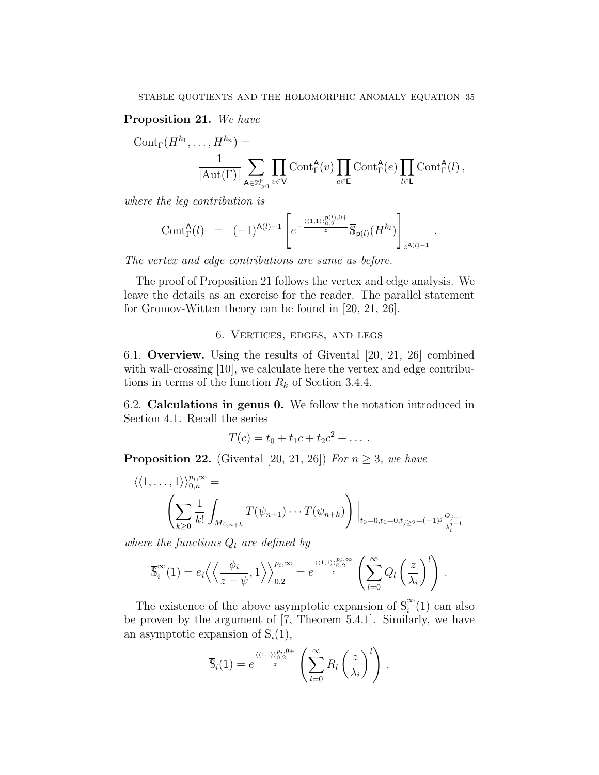### Proposition 21. We have

$$
Cont_{\Gamma}(H^{k_1}, \ldots, H^{k_n}) = \frac{1}{|\mathrm{Aut}(\Gamma)|} \sum_{\mathbf{A} \in \mathbb{Z}_{>0}^{\mathsf{F}}} \prod_{v \in \mathsf{V}} Cont_{\Gamma}^{\mathbf{A}}(v) \prod_{e \in \mathsf{E}} Cont_{\Gamma}^{\mathbf{A}}(e) \prod_{l \in \mathsf{L}} Cont_{\Gamma}^{\mathbf{A}}(l),
$$

where the leg contribution is

$$
\text{Cont}_{\Gamma}^{\mathsf{A}}(l) = (-1)^{\mathsf{A}(l)-1} \left[ e^{-\frac{\langle (1,1) \rangle_{0,2}^{\mathsf{B}(l),0+}}{z}} \overline{\mathbb{S}}_{\mathsf{p}(l)}(H^{k_l}) \right]_{z^{\mathsf{A}(l)-1}}
$$

.

The vertex and edge contributions are same as before.

The proof of Proposition 21 follows the vertex and edge analysis. We leave the details as an exercise for the reader. The parallel statement for Gromov-Witten theory can be found in [20, 21, 26].

### 6. Vertices, edges, and legs

6.1. Overview. Using the results of Givental [20, 21, 26] combined with wall-crossing [10], we calculate here the vertex and edge contributions in terms of the function  $R_k$  of Section 3.4.4.

6.2. Calculations in genus 0. We follow the notation introduced in Section 4.1. Recall the series

$$
T(c) = t_0 + t_1 c + t_2 c^2 + \dots
$$

**Proposition 22.** (Givental [20, 21, 26]) For  $n \geq 3$ , we have

$$
\langle \langle 1, \ldots, 1 \rangle \rangle_{0,n}^{p_i, \infty} =
$$
\n
$$
\left( \sum_{k \geq 0} \frac{1}{k!} \int_{\overline{M}_{0,n+k}} T(\psi_{n+1}) \cdots T(\psi_{n+k}) \right) \Big|_{t_0 = 0, t_1 = 0, t_j \geq 2} = (-1)^j \frac{Q_j - 1}{\lambda_j^{j-1}}
$$

where the functions  $Q_l$  are defined by

$$
\overline{\mathbb{S}}_i^{\infty}(1) = e_i \left\langle \left\langle \frac{\phi_i}{z - \psi}, 1 \right\rangle \right\rangle_{0,2}^{p_i, \infty} = e^{\frac{\left\langle (1,1) \right\rangle_{0,2}^{p_i, \infty}}{z}} \left( \sum_{l=0}^{\infty} Q_l \left( \frac{z}{\lambda_i} \right)^l \right).
$$

The existence of the above asymptotic expansion of  $\overline{S}_{i}^{\infty}$  $\sum_{i}^{8}(1)$  can also be proven by the argument of [7, Theorem 5.4.1]. Similarly, we have an asymptotic expansion of  $\overline{S}_i(1)$ ,

$$
\overline{S}_i(1) = e^{\frac{\langle \langle 1,1\rangle \rangle_{0,2}^{p_i,0+}}{z}} \left( \sum_{l=0}^{\infty} R_l \left( \frac{z}{\lambda_i} \right)^l \right).
$$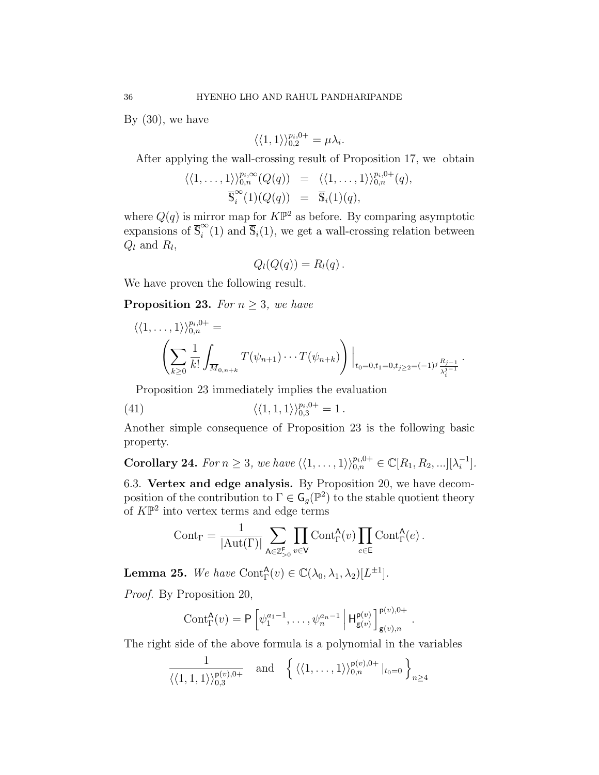By  $(30)$ , we have

$$
\langle \langle 1, 1 \rangle \rangle_{0,2}^{p_i, 0+} = \mu \lambda_i.
$$

After applying the wall-crossing result of Proposition 17, we obtain

$$
\langle\langle 1,\ldots,1\rangle\rangle_{0,n}^{p_i,\infty}(Q(q)) = \langle\langle 1,\ldots,1\rangle\rangle_{0,n}^{p_i,0+}(q),
$$
  

$$
\overline{\mathbb{S}}_i^{\infty}(1)(Q(q)) = \overline{\mathbb{S}}_i(1)(q),
$$

where  $Q(q)$  is mirror map for  $K\mathbb{P}^2$  as before. By comparing asymptotic expansions of  $\overline{\mathbb{S}}_i^{\infty}$  $\sum_{i=1}^{\infty}$  (1) and  $\overline{S}_i$ (1), we get a wall-crossing relation between  $Q_l$  and  $R_l$ ,

$$
Q_l(Q(q)) = R_l(q).
$$

We have proven the following result.

**Proposition 23.** For  $n \geq 3$ , we have

$$
\langle \langle 1, \ldots, 1 \rangle \rangle_{0,n}^{p_i,0+} =
$$
\n
$$
\left( \sum_{k \geq 0} \frac{1}{k!} \int_{\overline{M}_{0,n+k}} T(\psi_{n+1}) \cdots T(\psi_{n+k}) \right) \Big|_{t_0=0, t_1=0, t_j \geq 2} = (-1)^j \frac{R_j-1}{\lambda_i^{j-1}}
$$

.

.

Proposition 23 immediately implies the evaluation

(41) 
$$
\langle \langle 1, 1, 1 \rangle \rangle_{0,3}^{p_i, 0+} = 1.
$$

Another simple consequence of Proposition 23 is the following basic property.

**Corollary 24.** For  $n \geq 3$ , we have  $\langle \langle 1, \ldots, 1 \rangle \rangle_{0,n}^{p_i,0+} \in \mathbb{C}[R_1, R_2, \ldots][\lambda_i^{-1}]$  $\begin{bmatrix} -1 \\ i \end{bmatrix}$ .

6.3. Vertex and edge analysis. By Proposition 20, we have decomposition of the contribution to  $\Gamma \in \mathsf{G}_g(\mathbb{P}^2)$  to the stable quotient theory of  $K\mathbb{P}^2$  into vertex terms and edge terms

$$
\text{Cont}_{\Gamma} = \frac{1}{|\text{Aut}(\Gamma)|} \sum_{\mathsf{A} \in \mathbb{Z}_{>0}^{\mathsf{F}}} \prod_{v \in \mathsf{V}} \text{Cont}_{\Gamma}^{\mathsf{A}}(v) \prod_{e \in \mathsf{E}} \text{Cont}_{\Gamma}^{\mathsf{A}}(e) .
$$

**Lemma 25.** We have Cont $_{\Gamma}^{\mathsf{A}}(v) \in \mathbb{C}(\lambda_0, \lambda_1, \lambda_2)[L^{\pm 1}].$ 

Proof. By Proposition 20,

$$
\mathrm{Cont}^{\mathsf{A}}_{\Gamma}(v) = \mathsf{P}\left[\psi_1^{a_1-1},\ldots,\psi_n^{a_n-1} \,\middle|\, \mathsf{H}^{\mathsf{p}(v)}_{\mathsf{g}(v)}\right]^{\mathsf{p}(v),0+}_{\mathsf{g}(v),n}
$$

The right side of the above formula is a polynomial in the variables

$$
\frac{1}{\langle\langle 1,1,1\rangle\rangle_{0,3}^{\mathsf{p}(v),0+}} \quad \text{and} \quad \left\{ \langle\langle 1,\ldots,1\rangle\rangle_{0,n}^{\mathsf{p}(v),0+} |_{t_0=0} \right\}_{n\geq 4}
$$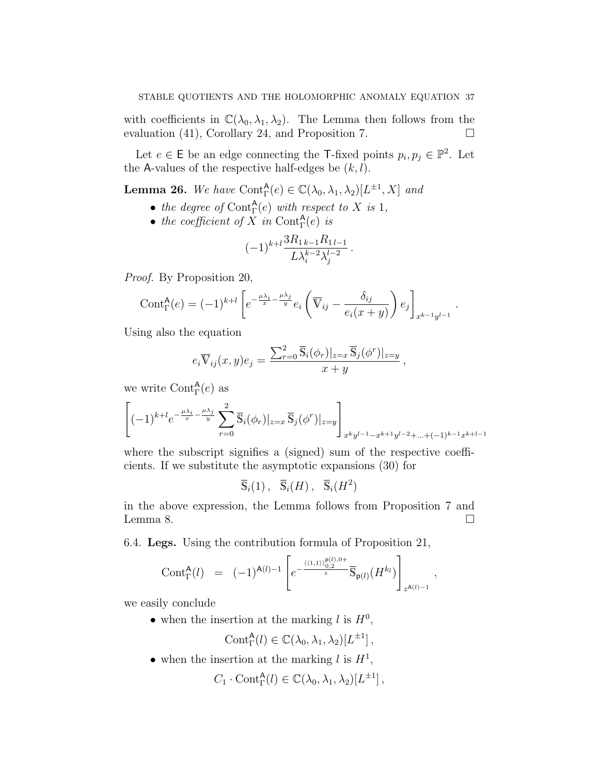with coefficients in  $\mathbb{C}(\lambda_0, \lambda_1, \lambda_2)$ . The Lemma then follows from the evaluation (41), Corollary 24, and Proposition 7.

Let  $e \in \mathsf{E}$  be an edge connecting the T-fixed points  $p_i, p_j \in \mathbb{P}^2$ . Let the A-values of the respective half-edges be  $(k, l)$ .

**Lemma 26.** We have  $\text{Cont}_{\Gamma}^{\mathsf{A}}(e) \in \mathbb{C}(\lambda_0, \lambda_1, \lambda_2)[L^{\pm 1}, X]$  and

- the degree of  $\text{Cont}^{\mathsf{A}}_{\Gamma}(e)$  with respect to X is 1,
- the coefficient of X in Cont $_{\Gamma}^{A}(e)$  is

$$
(-1)^{k+l}\frac{3R_{1k-1}R_{1l-1}}{L\lambda_i^{k-2}\lambda_j^{l-2}}.
$$

Proof. By Proposition 20,

$$
\text{Cont}_{\Gamma}^{\mathsf{A}}(e) = (-1)^{k+l} \left[ e^{-\frac{\mu \lambda_i}{x} - \frac{\mu \lambda_j}{y}} e_i \left( \overline{\nabla}_{ij} - \frac{\delta_{ij}}{e_i (x+y)} \right) e_j \right]_{x^{k-1} y^{l-1}}
$$

.

Using also the equation

$$
e_i \overline{\mathbb{V}}_{ij}(x, y) e_j = \frac{\sum_{r=0}^2 \overline{\mathbb{S}}_i(\phi_r)|_{z=x} \overline{\mathbb{S}}_j(\phi^r)|_{z=y}}{x+y},
$$

we write  $\text{Cont}_{\Gamma}^{\mathsf{A}}(e)$  as

$$
\left[(-1)^{k+l}e^{-\frac{\mu\lambda_i}{x}-\frac{\mu\lambda_j}{y}}\sum_{r=0}^2\overline{\mathbb{S}}_i(\phi_r)|_{z=x}\overline{\mathbb{S}}_j(\phi^r)|_{z=y}\right]_{x^ky^{l-1}-x^{k+1}y^{l-2}+\ldots+(-1)^{k-1}x^{k+l-1}}
$$

where the subscript signifies a (signed) sum of the respective coefficients. If we substitute the asymptotic expansions (30) for

$$
\overline{\mathbb{S}}_i(1)\,,\quad \overline{\mathbb{S}}_i(H)\,,\quad \overline{\mathbb{S}}_i(H^2)
$$

in the above expression, the Lemma follows from Proposition 7 and Lemma 8.  $\Box$ 

6.4. Legs. Using the contribution formula of Proposition 21,

$$
\mathrm{Cont}_{\Gamma}^{\mathsf{A}}(l) = (-1)^{\mathsf{A}(l)-1} \left[ e^{-\frac{\langle (1,1) \rangle_{0,2}^{\mathsf{P}(l),0+}}{z}} \overline{\mathbb{S}}_{\mathsf{p}(l)}(H^{k_l}) \right]_{z^{\mathsf{A}(l)-1}},
$$

we easily conclude

• when the insertion at the marking  $l$  is  $H^0$ ,

$$
Cont^{\mathsf{A}}_{\Gamma}(l) \in \mathbb{C}(\lambda_0, \lambda_1, \lambda_2)[L^{\pm 1}],
$$

• when the insertion at the marking l is  $H^1$ ,

$$
C_1 \cdot \text{Cont}^{\mathsf{A}}_{\Gamma}(l) \in \mathbb{C}(\lambda_0, \lambda_1, \lambda_2)[L^{\pm 1}],
$$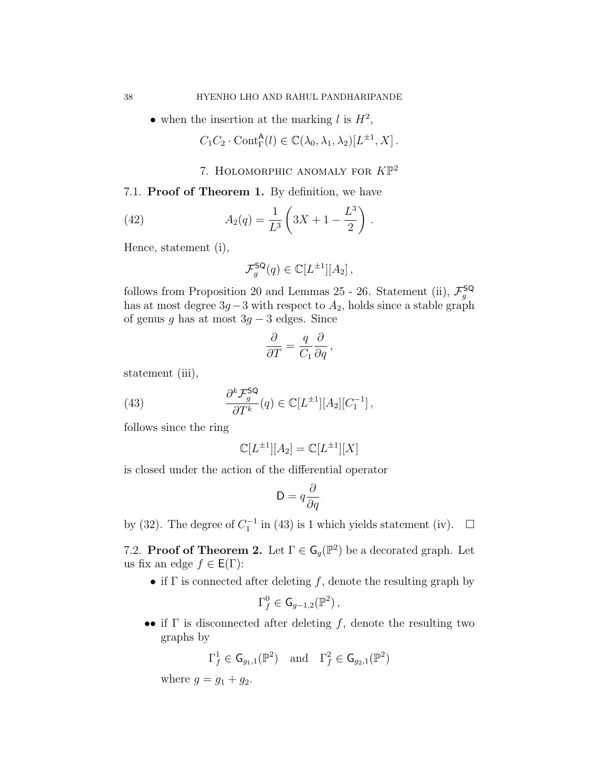• when the insertion at the marking l is  $H^2$ ,

$$
C_1C_2 \cdot \text{Cont}^{\mathsf{A}}_{\Gamma}(l) \in \mathbb{C}(\lambda_0, \lambda_1, \lambda_2)[L^{\pm 1}, X].
$$

7. HOLOMORPHIC ANOMALY FOR  $K\mathbb{P}^2$ 

### 7.1. Proof of Theorem 1. By definition, we have

(42) 
$$
A_2(q) = \frac{1}{L^3} \left( 3X + 1 - \frac{L^3}{2} \right).
$$

Hence, statement (i),

$$
\mathcal{F}_g^{\mathsf{SQ}}(q) \in \mathbb{C}[L^{\pm 1}][A_2],
$$

follows from Proposition 20 and Lemmas 25 - 26. Statement (ii),  $\mathcal{F}_g^{\mathsf{SQ}}$  has at most degree  $3g-3$  with respect to  $A_2$ , holds since a stable graph of genus g has at most  $3g - 3$  edges. Since

$$
\frac{\partial}{\partial T} = \frac{q}{C_1} \frac{\partial}{\partial q} \,,
$$

statement (iii),

(43) 
$$
\frac{\partial^k \mathcal{F}_g^{\mathsf{SQ}}}{\partial T^k}(q) \in \mathbb{C}[L^{\pm 1}][A_2][C_1^{-1}],
$$

follows since the ring

$$
\mathbb{C}[L^{\pm 1}][A_2] = \mathbb{C}[L^{\pm 1}][X]
$$

is closed under the action of the differential operator

$$
\mathsf{D}=q\frac{\partial}{\partial q}
$$

by (32). The degree of  $C_1^{-1}$  in (43) is 1 which yields statement (iv).  $\Box$ 

7.2. **Proof of Theorem 2.** Let  $\Gamma \in \mathsf{G}_g(\mathbb{P}^2)$  be a decorated graph. Let us fix an edge  $f \in E(\Gamma)$ :

• if  $\Gamma$  is connected after deleting  $f$ , denote the resulting graph by

$$
\Gamma_f^0\in \mathsf{G}_{g-1,2}(\mathbb{P}^2)\,,
$$

•• if  $\Gamma$  is disconnected after deleting f, denote the resulting two graphs by

$$
\Gamma_f^1\in\mathsf{G}_{g_1,1}(\mathbb{P}^2)\quad\text{and}\quad \Gamma_f^2\in\mathsf{G}_{g_2,1}(\mathbb{P}^2)
$$

where  $q = q_1 + q_2$ .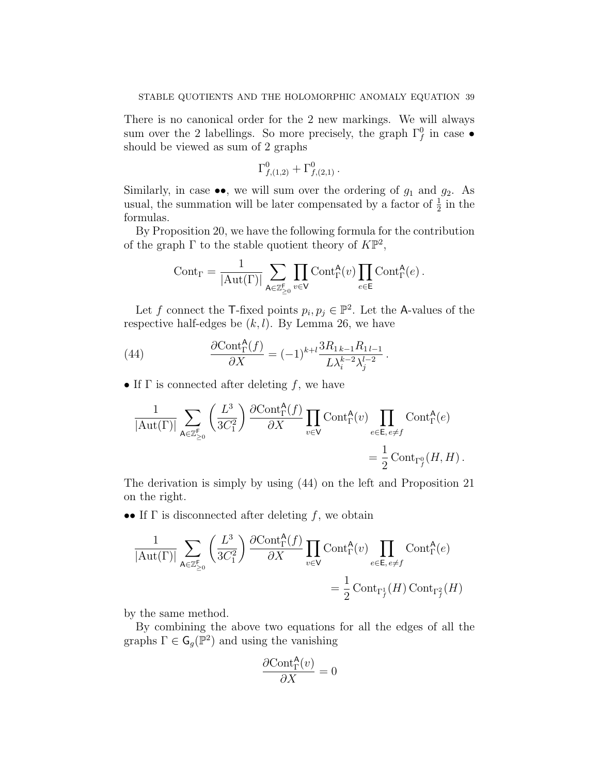There is no canonical order for the 2 new markings. We will always sum over the 2 labellings. So more precisely, the graph  $\Gamma_f^0$  in case  $\bullet$ should be viewed as sum of 2 graphs

$$
\Gamma^0_{f,(1,2)} + \Gamma^0_{f,(2,1)} \, .
$$

Similarly, in case  $\bullet\bullet$ , we will sum over the ordering of  $g_1$  and  $g_2$ . As usual, the summation will be later compensated by a factor of  $\frac{1}{2}$  in the formulas.

By Proposition 20, we have the following formula for the contribution of the graph  $\Gamma$  to the stable quotient theory of  $K\mathbb{P}^2$ ,

$$
\mathrm{Cont}_\Gamma=\frac{1}{|\mathrm{Aut}(\Gamma)|}\sum_{\mathsf{A}\in\mathbb{Z}_{\geq 0}^\mathsf{F}}\prod_{v\in\mathsf{V}}\mathrm{Cont}^\mathsf{A}_\Gamma(v)\prod_{e\in\mathsf{E}}\mathrm{Cont}^\mathsf{A}_\Gamma(e)\,.
$$

Let f connect the T-fixed points  $p_i, p_j \in \mathbb{P}^2$ . Let the A-values of the respective half-edges be  $(k, l)$ . By Lemma 26, we have

(44) 
$$
\frac{\partial \text{Cont}_{\Gamma}^{\mathsf{A}}(f)}{\partial X} = (-1)^{k+l} \frac{3R_{1 k-1} R_{1 l-1}}{L \lambda_i^{k-2} \lambda_j^{l-2}}.
$$

• If  $\Gamma$  is connected after deleting f, we have

$$
\frac{1}{|\text{Aut}(\Gamma)|} \sum_{\mathsf{A}\in\mathbb{Z}_{\geq 0}^{\mathsf{F}}}\left(\frac{L^3}{3C_1^2}\right) \frac{\partial \text{Cont}_{\Gamma}^{\mathsf{A}}(f)}{\partial X} \prod_{v\in\mathsf{V}} \text{Cont}_{\Gamma}^{\mathsf{A}}(v) \prod_{e\in\mathsf{E}, e\neq f} \text{Cont}_{\Gamma}^{\mathsf{A}}(e) = \frac{1}{2}\text{Cont}_{\Gamma_f^0}(H, H).
$$

The derivation is simply by using (44) on the left and Proposition 21 on the right.

•• If  $\Gamma$  is disconnected after deleting f, we obtain

$$
\frac{1}{|\mathrm{Aut}(\Gamma)|} \sum_{\mathbf{A} \in \mathbb{Z}_{\geq 0}^{\mathsf{F}}} \left( \frac{L^3}{3C_1^2} \right) \frac{\partial \mathrm{Cont}^{\mathbf{A}}_{\Gamma}(f)}{\partial X} \prod_{v \in \mathsf{V}} \mathrm{Cont}^{\mathbf{A}}_{\Gamma}(v) \prod_{e \in \mathsf{E}, e \neq f} \mathrm{Cont}^{\mathbf{A}}_{\Gamma}(e) = \frac{1}{2} \mathrm{Cont}_{\Gamma_f^1}(H) \, \mathrm{Cont}_{\Gamma_f^2}(H)
$$

by the same method.

By combining the above two equations for all the edges of all the graphs  $\Gamma \in \mathsf{G}_g(\mathbb{P}^2)$  and using the vanishing

$$
\frac{\partial \text{Cont}^{\mathsf{A}}_{\Gamma}(v)}{\partial X}=0
$$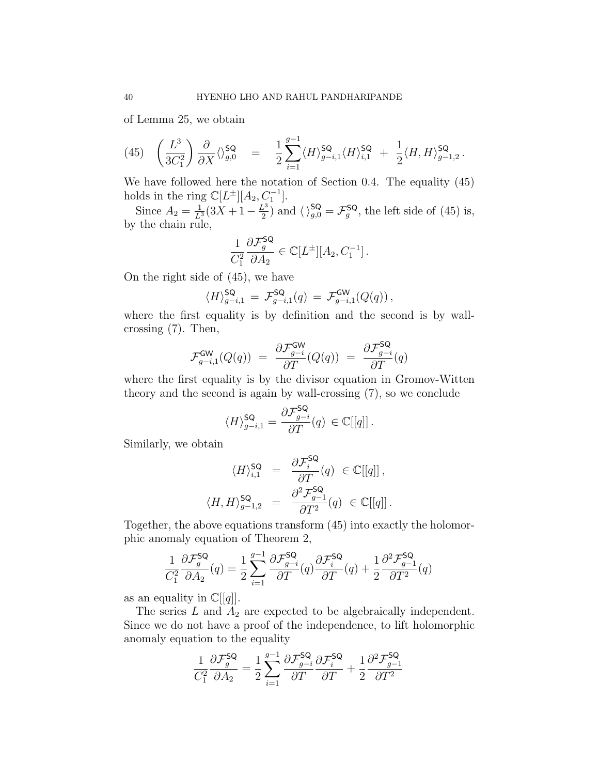of Lemma 25, we obtain

$$
(45)\quad \left(\frac{L^3}{3C_1^2}\right)\frac{\partial}{\partial X}\langle \rangle^{\mathsf{SQ}}_{g,0}\quad =\quad \frac{1}{2}\sum_{i=1}^{g-1}\langle H\rangle^{\mathsf{SQ}}_{g-i,1}\langle H\rangle^{\mathsf{SQ}}_{i,1}\quad +\quad \frac{1}{2}\langle H,H\rangle^{\mathsf{SQ}}_{g-1,2}\,.
$$

We have followed here the notation of Section 0.4. The equality (45) holds in the ring  $\mathbb{C}[L^{\pm}][A_2, C_1^{-1}].$ 

Since  $A_2 = \frac{1}{L^3} (3X + 1 - \frac{L^3}{2})$  $\mathcal{L}^3_2$ ) and  $\langle \ \rangle_{g,0}^{\mathsf{SQ}} = \mathcal{F}_g^{\mathsf{SQ}}$ , the left side of (45) is, by the chain rule,

$$
\frac{1}{C_1^2} \frac{\partial \mathcal{F}_g^{\mathsf{SQ}}}{\partial A_2} \in \mathbb{C}[L^{\pm}][A_2, C_1^{-1}].
$$

On the right side of (45), we have

$$
\langle H \rangle_{g-i,1}^{\mathsf{SQ}} = \mathcal{F}_{g-i,1}^{\mathsf{SQ}}(q) = \mathcal{F}_{g-i,1}^{\mathsf{GW}}(Q(q)),
$$

where the first equality is by definition and the second is by wallcrossing (7). Then,

$$
\mathcal{F}_{g-i,1}^{\mathsf{GW}}(Q(q))\ =\ \frac{\partial \mathcal{F}_{g-i}^{\mathsf{GW}}}{\partial T}(Q(q))\ =\ \frac{\partial \mathcal{F}_{g-i}^{\mathsf{SQ}}}{\partial T}(q)
$$

where the first equality is by the divisor equation in Gromov-Witten theory and the second is again by wall-crossing (7), so we conclude

$$
\langle H \rangle^{\mathsf{SQ}}_{g-i,1} = \frac{\partial \mathcal{F}^{\mathsf{SQ}}_{g-i}}{\partial T}(q) \in \mathbb{C}[[q]]\,.
$$

Similarly, we obtain

$$
\langle H \rangle^{\mathsf{SQ}}_{i,1} = \frac{\partial \mathcal{F}^{\mathsf{SQ}}_i}{\partial T}(q) \in \mathbb{C}[[q]],
$$
  

$$
\langle H, H \rangle^{\mathsf{SQ}}_{g-1,2} = \frac{\partial^2 \mathcal{F}^{\mathsf{SQ}}_{g-1}}{\partial T^2}(q) \in \mathbb{C}[[q]].
$$

Together, the above equations transform (45) into exactly the holomorphic anomaly equation of Theorem 2,

$$
\frac{1}{C_1^2} \frac{\partial \mathcal{F}_g^{\mathsf{SQ}}}{\partial A_2}(q) = \frac{1}{2} \sum_{i=1}^{g-1} \frac{\partial \mathcal{F}_{g-i}^{\mathsf{SQ}}}{\partial T}(q) \frac{\partial \mathcal{F}_i^{\mathsf{SQ}}}{\partial T}(q) + \frac{1}{2} \frac{\partial^2 \mathcal{F}_{g-1}^{\mathsf{SQ}}}{\partial T^2}(q)
$$

as an equality in  $\mathbb{C}[[q]]$ .

The series  $L$  and  $A_2$  are expected to be algebraically independent. Since we do not have a proof of the independence, to lift holomorphic anomaly equation to the equality

$$
\frac{1}{C_1^2} \frac{\partial \mathcal{F}_g^{\mathsf{SQ}}}{\partial A_2} = \frac{1}{2} \sum_{i=1}^{g-1} \frac{\partial \mathcal{F}_{g-i}^{\mathsf{SQ}}}{\partial T} \frac{\partial \mathcal{F}_i^{\mathsf{SQ}}}{\partial T} + \frac{1}{2} \frac{\partial^2 \mathcal{F}_{g-1}^{\mathsf{SQ}}}{\partial T^2}
$$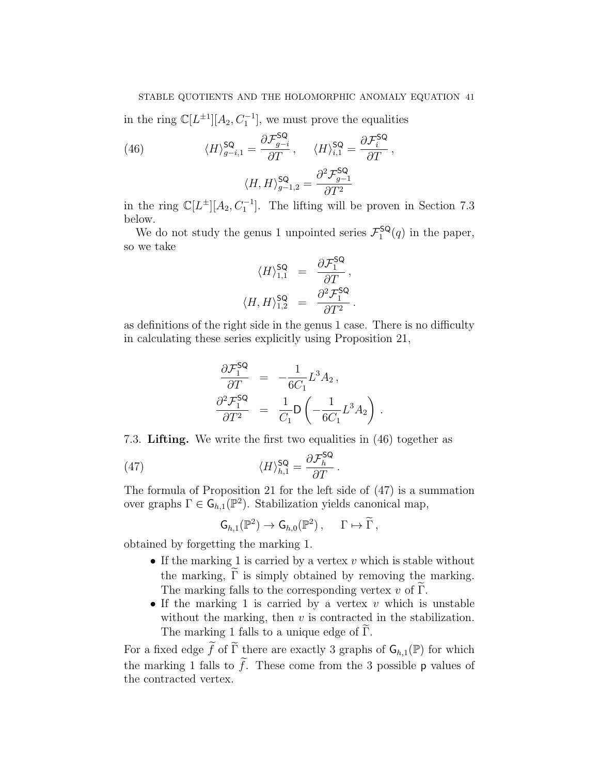### STABLE QUOTIENTS AND THE HOLOMORPHIC ANOMALY EQUATION 41

in the ring  $\mathbb{C}[L^{\pm 1}][A_2, C_1^{-1}]$ , we must prove the equalities

(46) 
$$
\langle H \rangle_{g-i,1}^{\mathsf{SQ}} = \frac{\partial \mathcal{F}_{g-i}^{\mathsf{SQ}}}{\partial T}, \quad \langle H \rangle_{i,1}^{\mathsf{SQ}} = \frac{\partial \mathcal{F}_{i}^{\mathsf{SQ}}}{\partial T},
$$

$$
\langle H, H \rangle_{g-1,2}^{\mathsf{SQ}} = \frac{\partial^2 \mathcal{F}_{g-1}^{\mathsf{SQ}}}{\partial T^2}
$$

in the ring  $\mathbb{C}[L^{\pm}][A_2, C_1^{-1}]$ . The lifting will be proven in Section 7.3 below.

We do not study the genus 1 unpointed series  $\mathcal{F}^{\mathsf{SQ}}_1$  $i^{SQ}(q)$  in the paper, so we take

$$
\langle H \rangle^{\mathsf{SQ}}_{1,1} = \frac{\partial \mathcal{F}_{1}^{\mathsf{SQ}}}{\partial T},
$$

$$
\langle H, H \rangle^{\mathsf{SQ}}_{1,2} = \frac{\partial^2 \mathcal{F}_{1}^{\mathsf{SQ}}}{\partial T^2}.
$$

as definitions of the right side in the genus 1 case. There is no difficulty in calculating these series explicitly using Proposition 21,

$$
\begin{array}{rcl}\n\frac{\partial \mathcal{F}_{1}^{\mathsf{SQ}}}{\partial T} & = & -\frac{1}{6C_{1}}L^{3}A_{2}\,,\\ \n\frac{\partial^{2} \mathcal{F}_{1}^{\mathsf{SQ}}}{\partial T^{2}} & = & \frac{1}{C_{1}}\mathsf{D}\left(-\frac{1}{6C_{1}}L^{3}A_{2}\right)\,.\n\end{array}
$$

7.3. Lifting. We write the first two equalities in (46) together as

(47) 
$$
\langle H \rangle_{h,1}^{\mathsf{SQ}} = \frac{\partial \mathcal{F}_h^{\mathsf{SQ}}}{\partial T}.
$$

The formula of Proposition 21 for the left side of (47) is a summation over graphs  $\Gamma \in \mathsf{G}_{h,1}(\mathbb{P}^2)$ . Stabilization yields canonical map,

$$
\mathsf{G}_{h,1}(\mathbb{P}^2) \to \mathsf{G}_{h,0}(\mathbb{P}^2) , \quad \Gamma \mapsto \widetilde{\Gamma} ,
$$

obtained by forgetting the marking 1.

- If the marking 1 is carried by a vertex  $v$  which is stable without the marking,  $\tilde{\Gamma}$  is simply obtained by removing the marking. The marking falls to the corresponding vertex  $v$  of  $\Gamma$ .
- If the marking 1 is carried by a vertex  $v$  which is unstable without the marking, then  $v$  is contracted in the stabilization. The marking 1 falls to a unique edge of  $\Gamma$ .

For a fixed edge  $\widetilde{f}$  of  $\widetilde{\Gamma}$  there are exactly 3 graphs of  $\mathsf{G}_{h,1}(\mathbb{P})$  for which the marking 1 falls to  $\tilde{f}$ . These come from the 3 possible p values of the contracted vertex.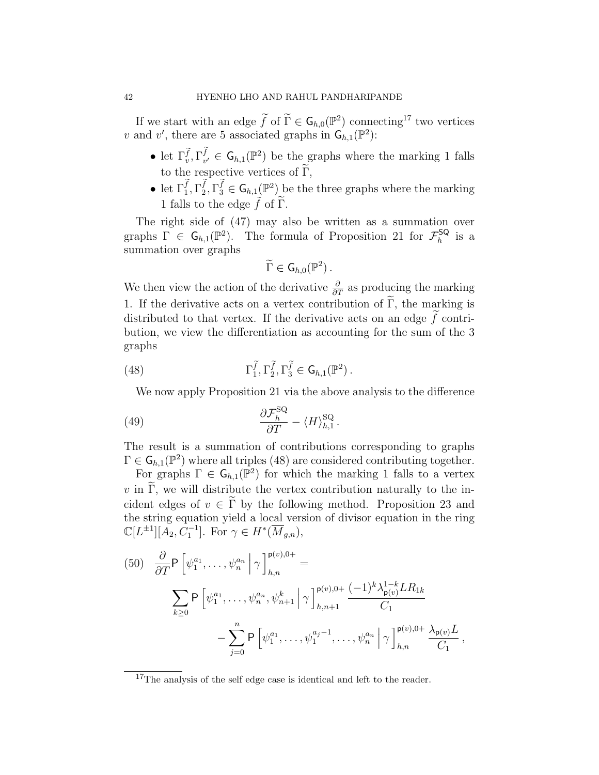If we start with an edge  $\widetilde{f}$  of  $\widetilde{\Gamma} \in \mathsf{G}_{h,0}(\mathbb{P}^2)$  connecting<sup>17</sup> two vertices v and v', there are 5 associated graphs in  $G_{h,1}(\mathbb{P}^2)$ :

- let  $\Gamma_v^{\tilde{f}}, \Gamma_{v'}^f \in \mathsf{G}_{h,1}(\mathbb{P}^2)$  be the graphs where the marking 1 falls to the respective vertices of  $\tilde{\Gamma}$ ,
- let  $\Gamma_1^f, \Gamma_2^f, \Gamma_3^f \in \mathsf{G}_{h,1}(\mathbb{P}^2)$  be the three graphs where the marking 1 falls to the edge  $\tilde{f}$  of  $\tilde{\Gamma}$ .

The right side of (47) may also be written as a summation over graphs  $\Gamma \in \mathsf{G}_{h,1}(\mathbb{P}^2)$ . The formula of Proposition 21 for  $\mathcal{F}_h^{\mathsf{SQ}}$  $\frac{1}{h}$  is a summation over graphs

$$
\widetilde{\Gamma}\in\mathsf{G}_{h,0}(\mathbb{P}^2)\,.
$$

We then view the action of the derivative  $\frac{\partial}{\partial T}$  as producing the marking 1. If the derivative acts on a vertex contribution of  $\Gamma$ , the marking is distributed to that vertex. If the derivative acts on an edge  $\tilde{f}$  contribution, we view the differentiation as accounting for the sum of the 3 graphs

(48) 
$$
\Gamma_1^{\widetilde{f}}, \Gamma_2^{\widetilde{f}} , \Gamma_3^{\widetilde{f}} \in \mathsf{G}_{h,1}(\mathbb{P}^2) .
$$

We now apply Proposition 21 via the above analysis to the difference

(49) 
$$
\frac{\partial \mathcal{F}_h^{\text{SQ}}}{\partial T} - \langle H \rangle_{h,1}^{\text{SQ}}.
$$

The result is a summation of contributions corresponding to graphs  $\Gamma \in \mathsf{G}_{h,1}(\mathbb{P}^2)$  where all triples (48) are considered contributing together.

For graphs  $\Gamma \in \mathsf{G}_{h,1}(\mathbb{P}^2)$  for which the marking 1 falls to a vertex  $v$  in Γ, we will distribute the vertex contribution naturally to the incident edges of  $v \in \tilde{\Gamma}$  by the following method. Proposition 23 and the string equation yield a local version of divisor equation in the ring  $\mathbb{C}[L^{\pm 1}][A_2, C_1^{-1}].$  For  $\gamma \in H^*(\overline{M}_{g,n}),$ 

(50) 
$$
\frac{\partial}{\partial T} \mathsf{P} \left[ \psi_1^{a_1}, \dots, \psi_n^{a_n} \middle| \gamma \right]_{h,n}^{\mathsf{p}(v),0+} =
$$
\n
$$
\sum_{k \geq 0} \mathsf{P} \left[ \psi_1^{a_1}, \dots, \psi_n^{a_n}, \psi_{n+1}^k \middle| \gamma \right]_{h,n+1}^{\mathsf{p}(v),0+} \frac{(-1)^k \lambda_{\mathsf{p}(v)}^{1-k} L R_{1k}}{C_1}
$$
\n
$$
- \sum_{j=0}^n \mathsf{P} \left[ \psi_1^{a_1}, \dots, \psi_1^{a_j-1}, \dots, \psi_n^{a_n} \middle| \gamma \right]_{h,n}^{\mathsf{p}(v),0+} \frac{\lambda_{\mathsf{p}(v)} L}{C_1},
$$

<sup>&</sup>lt;sup>17</sup>The analysis of the self edge case is identical and left to the reader.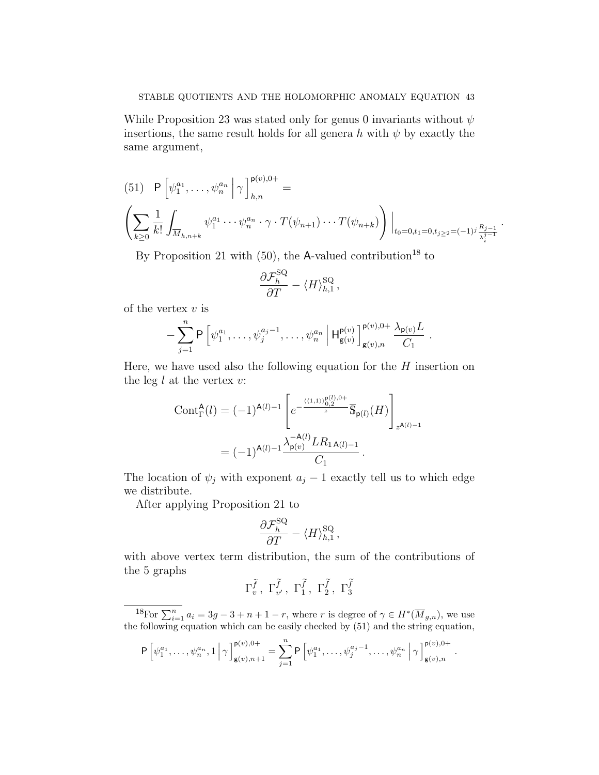While Proposition 23 was stated only for genus 0 invariants without  $\psi$ insertions, the same result holds for all genera h with  $\psi$  by exactly the same argument,

$$
(51) \quad P\left[\psi_1^{a_1}, \dots, \psi_n^{a_n} \middle| \gamma \right]_{h,n}^{p(v),0+} =
$$
\n
$$
\left(\sum_{k\geq 0} \frac{1}{k!} \int_{\overline{M}_{h,n+k}} \psi_1^{a_1} \cdots \psi_n^{a_n} \cdot \gamma \cdot T(\psi_{n+1}) \cdots T(\psi_{n+k})\right)\Big|_{t_0=0, t_1=0, t_j\geq 2} = (-1)^j \frac{R_j-1}{\lambda_i^{j-1}}.
$$

By Proposition 21 with  $(50)$ , the A-valued contribution<sup>18</sup> to

$$
\frac{\partial \mathcal{F}_h^{\rm SQ}}{\partial T} - \langle H \rangle_{h,1}^{\rm SQ} \,,
$$

of the vertex  $v$  is

$$
-\sum_{j=1}^n P\left[\psi_1^{a_1},\ldots,\psi_j^{a_j-1},\ldots,\psi_n^{a_n}\,\middle|\,H_{g(v)}^{p(v)}\right]_{g(v),n}^{p(v),0+} \frac{\lambda_{p(v)}L}{C_1}.
$$

Here, we have used also the following equation for the  $H$  insertion on the leg  $l$  at the vertex  $v$ :

$$
\begin{split} \text{Cont}_{\Gamma}^{\mathsf{A}}(l) &= (-1)^{\mathsf{A}(l)-1} \left[ e^{-\frac{\langle \langle 1,1 \rangle \rangle_{0,2}^{\mathsf{B}(l),0+}}{z}} \overline{\mathbb{S}}_{\mathsf{p}(l)}(H) \right]_{z^{\mathsf{A}(l)-1}} \\ &= (-1)^{\mathsf{A}(l)-1} \frac{\lambda_{\mathsf{p}(v)}^{-\mathsf{A}(l)} L R_{1\,\mathsf{A}(l)-1}}{C_{1}} \,. \end{split}
$$

The location of  $\psi_j$  with exponent  $a_j - 1$  exactly tell us to which edge we distribute.

After applying Proposition 21 to

$$
\frac{\partial \mathcal{F}_h^{\rm SQ}}{\partial T} - \langle H \rangle_{h,1}^{\rm SQ},
$$

with above vertex term distribution, the sum of the contributions of the 5 graphs

$$
\Gamma^{\widetilde{f}}_v, \ \Gamma^{\widetilde{f}}_{v'}, \ \Gamma^{\widetilde{f}}_1, \ \Gamma^{\widetilde{f}}_2, \ \Gamma^{\widetilde{f}}_3
$$

<sup>18</sup>For  $\sum_{i=1}^{n} a_i = 3g - 3 + n + 1 - r$ , where r is degree of  $\gamma \in H^*(\overline{M}_{g,n})$ , we use the following equation which can be easily checked by (51) and the string equation,

$$
\mathsf{P}\left[\psi_1^{a_1},\ldots,\psi_n^{a_n},1\,\big|\,\gamma\right]_{\mathsf{g}(v),n+1}^{\mathsf{p}(v),0+}=\sum_{j=1}^n\mathsf{P}\left[\psi_1^{a_1},\ldots,\psi_j^{a_j-1},\ldots,\psi_n^{a_n}\,\big|\,\gamma\right]_{\mathsf{g}(v),n}^{\mathsf{p}(v),0+}.
$$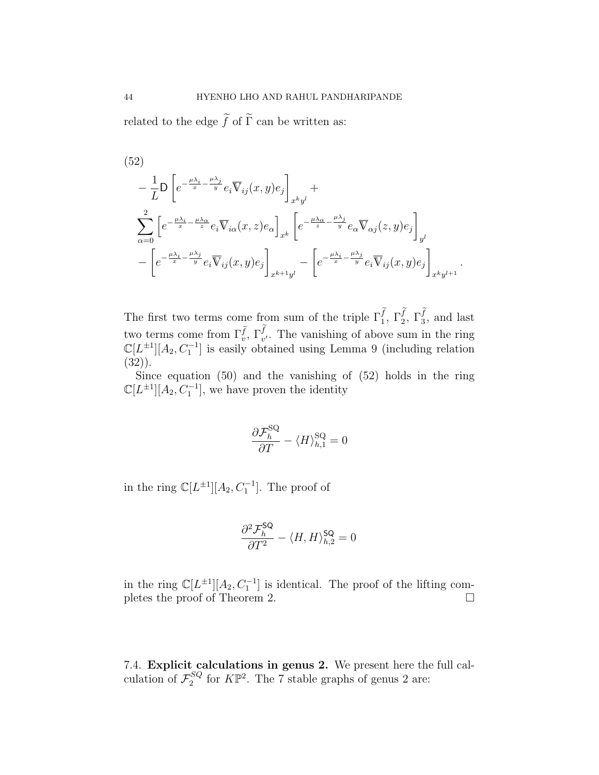related to the edge  $\widetilde{f}$  of  $\widetilde{\Gamma}$  can be written as:

(52)  
\n
$$
-\frac{1}{L}\mathsf{D}\left[e^{-\frac{\mu\lambda_i}{x}-\frac{\mu\lambda_j}{y}}e_i\overline{\mathsf{V}}_{ij}(x,y)e_j\right]_{x^ky^l} + \sum_{\alpha=0}^2\left[e^{-\frac{\mu\lambda_i}{x}-\frac{\mu\lambda_\alpha}{z}}e_i\overline{\mathsf{V}}_{i\alpha}(x,z)e_\alpha\right]_{x^k}\left[e^{-\frac{\mu\lambda_\alpha}{z}-\frac{\mu\lambda_j}{y}}e_\alpha\overline{\mathsf{V}}_{\alpha j}(z,y)e_j\right]_{y^l} - \left[e^{-\frac{\mu\lambda_i}{x}-\frac{\mu\lambda_j}{y}}e_i\overline{\mathsf{V}}_{ij}(x,y)e_j\right]_{x^k+l} - \left[e^{-\frac{\mu\lambda_i}{x}-\frac{\mu\lambda_j}{y}}e_i\overline{\mathsf{V}}_{ij}(x,y)e_j\right]_{x^ky^{l+1}}.
$$

The first two terms come from sum of the triple  $\Gamma_1^f, \Gamma_2^f, \Gamma_3^f$ , and last two terms come from  $\Gamma_v^{\tilde{f}}$ ,  $\Gamma_{v'}^f$ . The vanishing of above sum in the ring  $\mathbb{C}[L^{\pm 1}][A_2, C_1^{-1}]$  is easily obtained using Lemma 9 (including relation (32)).

Since equation (50) and the vanishing of (52) holds in the ring  $\mathbb{C}[L^{\pm 1}][A_2, C_1^{-1}]$ , we have proven the identity

$$
\frac{\partial \mathcal{F}_h^{\rm SQ}}{\partial T} - \langle H \rangle_{h,1}^{\rm SQ} = 0
$$

in the ring  $\mathbb{C}[L^{\pm 1}][A_2, C_1^{-1}]$ . The proof of

$$
\frac{\partial^2 \mathcal{F}_h^{\rm SQ}}{\partial T^2} - \langle H, H \rangle_{h,2}^{\rm SQ} = 0
$$

in the ring  $\mathbb{C}[L^{\pm 1}][A_2, C_1^{-1}]$  is identical. The proof of the lifting completes the proof of Theorem 2.

7.4. Explicit calculations in genus 2. We present here the full calculation of  $\mathcal{F}^{SQ}_2$  $_2^{SQ}$  for  $K\mathbb{P}^2$ . The 7 stable graphs of genus 2 are: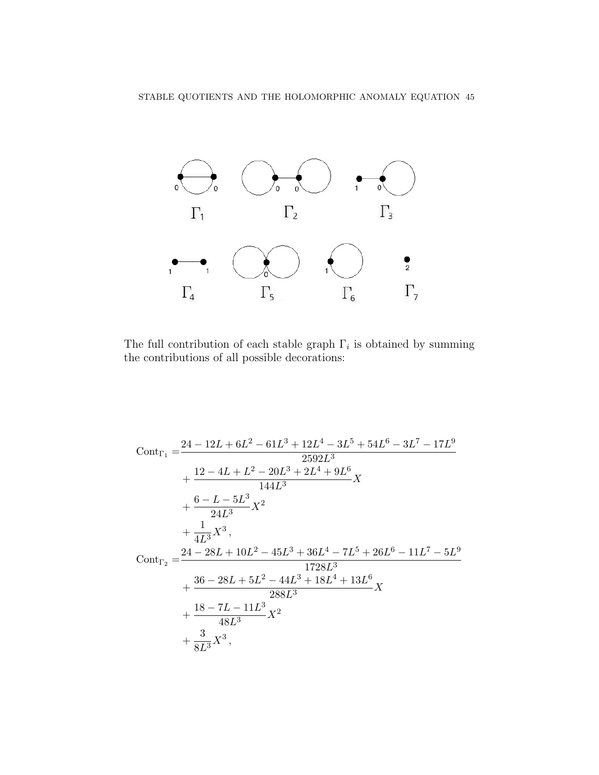

The full contribution of each stable graph  $\Gamma_i$  is obtained by summing the contributions of all possible decorations:

$$
\begin{aligned} \text{Cont}_{\Gamma_1}=&\frac{24-12L+6L^2-61L^3+12L^4-3L^5+54L^6-3L^7-17L^9}{2592L^3}\\&+\frac{12-4L+L^2-20L^3+2L^4+9L^6}{144L^3}X\\&+\frac{6-L-5L^3}{24L^3}X^2\\&+\frac{1}{4L^3}X^3,\\ \text{Cont}_{\Gamma_2}=&\frac{24-28L+10L^2-45L^3+36L^4-7L^5+26L^6-11L^7-5L^9}{1728L^3}\\&+\frac{36-28L+5L^2-44L^3+18L^4+13L^6}{288L^3}X\\&+\frac{18-7L-11L^3}{48L^3}X^2\\&+\frac{3}{8L^3}X^3, \end{aligned}
$$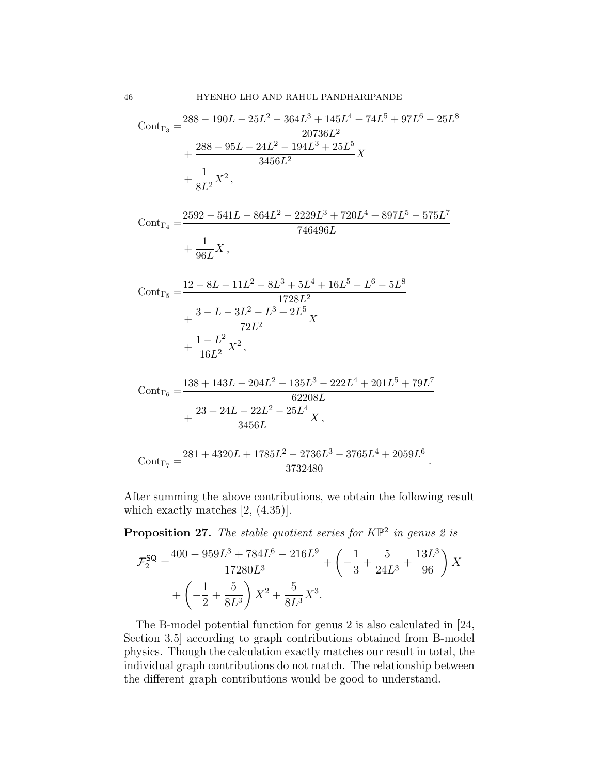$$
\begin{aligned} \text{Cont}_{\Gamma_3} &= \frac{288 - 190L - 25L^2 - 364L^3 + 145L^4 + 74L^5 + 97L^6 - 25L^8}{20736L^2} \\ &+ \frac{288 - 95L - 24L^2 - 194L^3 + 25L^5}{3456L^2} X \\ &+ \frac{1}{8L^2} X^2 \,, \end{aligned}
$$

$$
\text{Cont}_{\Gamma_4} = \frac{2592 - 541L - 864L^2 - 2229L^3 + 720L^4 + 897L^5 - 575L^7}{746496L} + \frac{1}{96L}X,
$$

$$
\begin{aligned} \text{Cont}_{\Gamma_5} &= \frac{12 - 8L - 11L^2 - 8L^3 + 5L^4 + 16L^5 - L^6 - 5L^8}{1728L^2} \\ &+ \frac{3 - L - 3L^2 - L^3 + 2L^5}{72L^2} X \\ &+ \frac{1 - L^2}{16L^2} X^2, \end{aligned}
$$

$$
\text{Cont}_{\Gamma_6} = \frac{138 + 143L - 204L^2 - 135L^3 - 222L^4 + 201L^5 + 79L^7}{62208L} + \frac{23 + 24L - 22L^2 - 25L^4}{3456L}X,
$$

$$
\mathrm{Cont}_{\Gamma_7}=\frac{281+4320L+1785L^2-2736L^3-3765L^4+2059L^6}{3732480}\,.
$$

After summing the above contributions, we obtain the following result which exactly matches [2, (4.35)].

**Proposition 27.** The stable quotient series for  $K\mathbb{P}^2$  in genus 2 is

$$
\mathcal{F}_2^{\mathsf{SQ}} = \frac{400 - 959L^3 + 784L^6 - 216L^9}{17280L^3} + \left(-\frac{1}{3} + \frac{5}{24L^3} + \frac{13L^3}{96}\right)X + \left(-\frac{1}{2} + \frac{5}{8L^3}\right)X^2 + \frac{5}{8L^3}X^3.
$$

The B-model potential function for genus 2 is also calculated in [24, Section 3.5] according to graph contributions obtained from B-model physics. Though the calculation exactly matches our result in total, the individual graph contributions do not match. The relationship between the different graph contributions would be good to understand.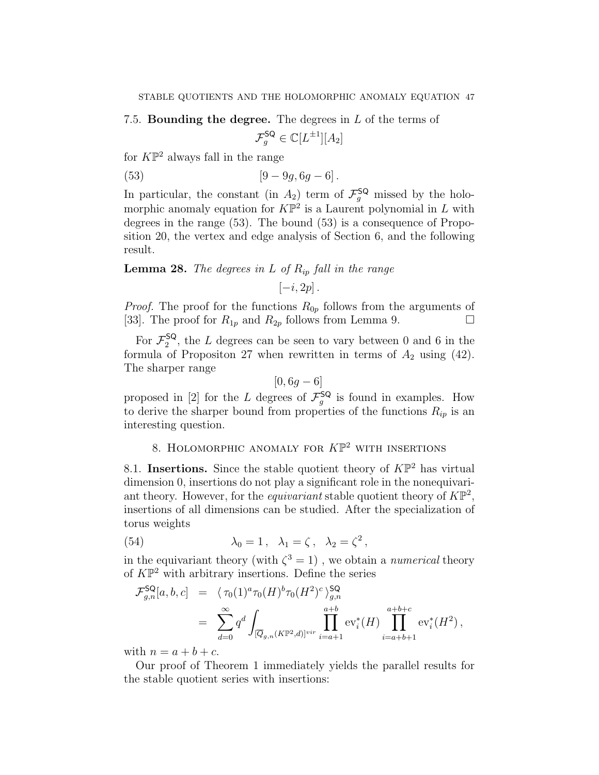7.5. Bounding the degree. The degrees in  $L$  of the terms of

$$
\mathcal{F}_g^{\mathsf{SQ}} \in \mathbb{C}[L^{\pm 1}][A_2]
$$

for  $K\mathbb{P}^2$  always fall in the range

(53) 
$$
[9-9g, 6g-6].
$$

In particular, the constant (in  $A_2$ ) term of  $\mathcal{F}_g^{\mathsf{SQ}}$  missed by the holomorphic anomaly equation for  $K\mathbb{P}^2$  is a Laurent polynomial in L with degrees in the range (53). The bound (53) is a consequence of Proposition 20, the vertex and edge analysis of Section 6, and the following result.

**Lemma 28.** The degrees in L of  $R_{ip}$  fall in the range

 $[-i, 2p]$ .

*Proof.* The proof for the functions  $R_{0p}$  follows from the arguments of [33]. The proof for  $R_{1p}$  and  $R_{2p}$  follows from Lemma 9.

For  $\mathcal{F}_2^{\mathsf{SQ}}$  $2^{50}$ , the L degrees can be seen to vary between 0 and 6 in the formula of Propositon 27 when rewritten in terms of  $A_2$  using (42). The sharper range

$$
[0, 6g - 6]
$$

proposed in [2] for the L degrees of  $\mathcal{F}_g^{\mathsf{SQ}}$  is found in examples. How to derive the sharper bound from properties of the functions  $R_{ip}$  is an interesting question.

# 8. HOLOMORPHIC ANOMALY FOR  $K\mathbb{P}^2$  with insertions

8.1. Insertions. Since the stable quotient theory of  $K\mathbb{P}^2$  has virtual dimension 0, insertions do not play a significant role in the nonequivariant theory. However, for the *equivariant* stable quotient theory of  $K\mathbb{P}^2$ , insertions of all dimensions can be studied. After the specialization of torus weights

(54) 
$$
\lambda_0 = 1, \quad \lambda_1 = \zeta, \quad \lambda_2 = \zeta^2,
$$

in the equivariant theory (with  $\zeta^3 = 1$ ), we obtain a *numerical* theory of  $K\mathbb{P}^2$  with arbitrary insertions. Define the series

$$
\mathcal{F}_{g,n}^{\mathsf{SQ}}[a,b,c] = \langle \tau_0(1)^a \tau_0(H)^b \tau_0(H^2)^c \rangle_{g,n}^{\mathsf{SQ}}
$$
  
= 
$$
\sum_{d=0}^{\infty} q^d \int_{[\overline{Q}_{g,n}(K\mathbb{P}^2,d)]^{vir}} \prod_{i=a+1}^{a+b} \text{ev}_i^*(H) \prod_{i=a+b+1}^{a+b+c} \text{ev}_i^*(H^2),
$$

with  $n = a + b + c$ .

Our proof of Theorem 1 immediately yields the parallel results for the stable quotient series with insertions: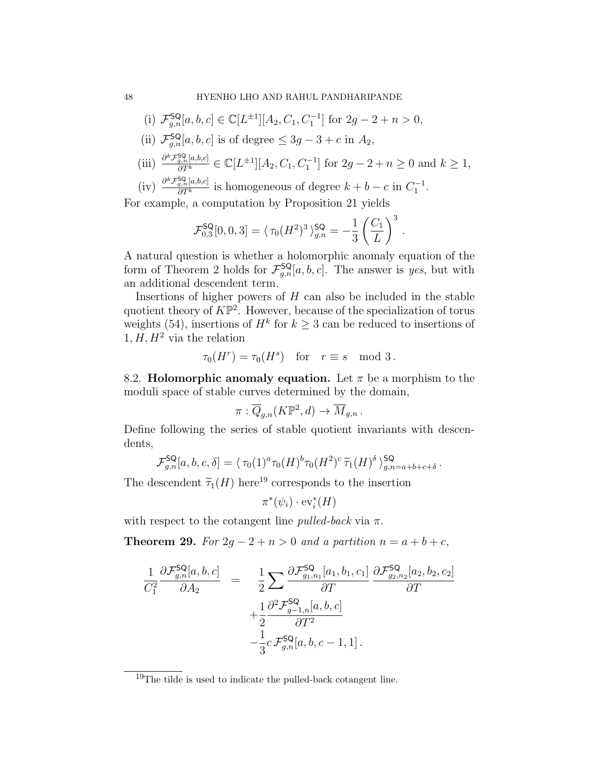(i) 
$$
\mathcal{F}_{g,n}^{\mathsf{SQ}}[a, b, c] \in \mathbb{C}[L^{\pm 1}][A_2, C_1, C_1^{-1}]
$$
 for  $2g - 2 + n > 0$ ,

- (ii)  $\mathcal{F}_{g,n}^{\mathsf{SQ}}[a, b, c]$  is of degree  $\leq 3g 3 + c$  in  $A_2$ ,
- (iii)  $\frac{\partial^k \mathcal{F}_{g,n}^{SQ}[a,b,c]}{\partial T^k} \in \mathbb{C}[L^{\pm 1}][A_2, C_1, C_1^{-1}]$  for  $2g 2 + n \geq 0$  and  $k \geq 1$ ,
- (iv)  $\frac{\partial^k \mathcal{F}_{g,n}^{SQ}[a,b,c]}{\partial T^k}$  is homogeneous of degree  $k + b c$  in  $C_1^{-1}$ .

For example, a computation by Proposition 21 yields

$$
\mathcal{F}_{0,3}^{\mathsf{SQ}}[0,0,3] = \langle \tau_0(H^2)^3 \rangle_{g,n}^{\mathsf{SQ}} = -\frac{1}{3} \left( \frac{C_1}{L} \right)^3
$$

.

.

A natural question is whether a holomorphic anomaly equation of the form of Theorem 2 holds for  $\mathcal{F}_{g,n}^{\mathsf{SQ}}[a, b, c]$ . The answer is yes, but with an additional descendent term.

Insertions of higher powers of  $H$  can also be included in the stable quotient theory of  $K\mathbb{P}^2$ . However, because of the specialization of torus weights (54), insertions of  $H^k$  for  $k \geq 3$  can be reduced to insertions of  $1, H, H<sup>2</sup>$  via the relation

$$
\tau_0(H^r) = \tau_0(H^s) \quad \text{for} \quad r \equiv s \mod 3.
$$

8.2. **Holomorphic anomaly equation.** Let  $\pi$  be a morphism to the moduli space of stable curves determined by the domain,

$$
\pi: \overline{Q}_{g,n}(K\mathbb{P}^2, d) \to \overline{M}_{g,n}.
$$

Define following the series of stable quotient invariants with descendents,

$$
\mathcal{F}_{g,n}^{\mathsf{SQ}}[a,b,c,\delta] = \langle \tau_0(1)^a \tau_0(H)^b \tau_0(H^2)^c \widetilde{\tau}_1(H)^{\delta} \rangle_{g,n=a+b+c+\delta}^{\mathsf{SQ}}
$$

The descendent  $\tilde{\tau}_1(H)$  here<sup>19</sup> corresponds to the insertion

$$
\pi^*(\psi_i)\cdot\mathrm{ev}_i^*(H)
$$

with respect to the cotangent line *pulled-back* via  $\pi$ .

Theorem 29. For  $2g - 2 + n > 0$  and a partition  $n = a + b + c$ ,

$$
\frac{1}{C_1^2} \frac{\partial \mathcal{F}_{g,n}^{\mathsf{SQ}}[a,b,c]}{\partial A_2} = \frac{1}{2} \sum \frac{\partial \mathcal{F}_{g_1,n_1}^{\mathsf{SQ}}[a_1,b_1,c_1]}{\partial T} \frac{\partial \mathcal{F}_{g_2,n_2}^{\mathsf{SQ}}[a_2,b_2,c_2]}{\partial T} + \frac{1}{2} \frac{\partial^2 \mathcal{F}_{g_2-1,n}^{\mathsf{SQ}}[a,b,c]}{\partial T^2} - \frac{1}{3} c \mathcal{F}_{g,n}^{\mathsf{SQ}}[a,b,c-1,1].
$$

<sup>19</sup>The tilde is used to indicate the pulled-back cotangent line.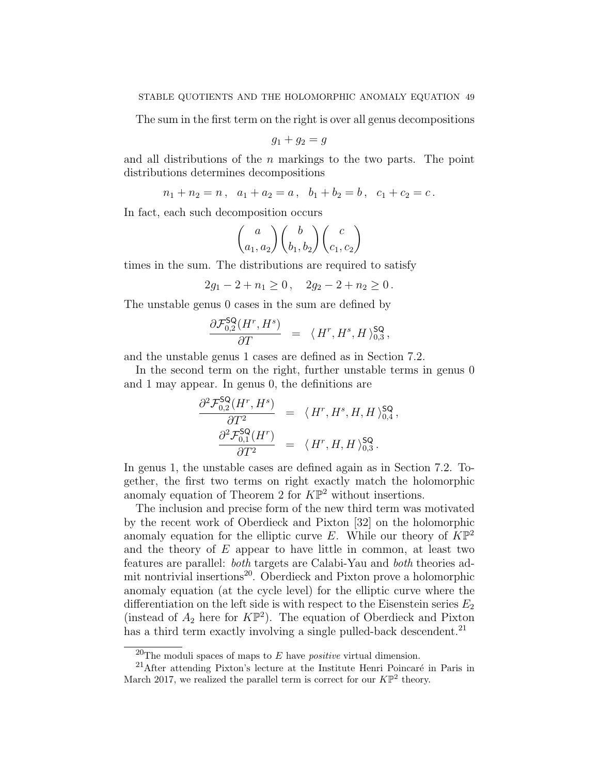The sum in the first term on the right is over all genus decompositions

$$
g_1+g_2=g
$$

and all distributions of the  $n$  markings to the two parts. The point distributions determines decompositions

$$
n_1 + n_2 = n \,, \ \ a_1 + a_2 = a \,, \ \ b_1 + b_2 = b \,, \ \ c_1 + c_2 = c \,.
$$

In fact, each such decomposition occurs

$$
\binom{a}{a_1, a_2} \binom{b}{b_1, b_2} \binom{c}{c_1, c_2}
$$

times in the sum. The distributions are required to satisfy

$$
2g_1 - 2 + n_1 \ge 0, \quad 2g_2 - 2 + n_2 \ge 0.
$$

The unstable genus 0 cases in the sum are defined by

$$
\frac{\partial \mathcal{F}_{0,2}^{\mathsf{SQ}}(H^r, H^s)}{\partial T} = \langle H^r, H^s, H \rangle_{0,3}^{\mathsf{SQ}},
$$

and the unstable genus 1 cases are defined as in Section 7.2.

In the second term on the right, further unstable terms in genus 0 and 1 may appear. In genus 0, the definitions are

$$
\frac{\partial^2 \mathcal{F}_{0,2}^{\mathsf{SQ}}(H^r, H^s)}{\partial T^2} = \langle H^r, H^s, H, H \rangle_{0,4}^{\mathsf{SQ}},
$$

$$
\frac{\partial^2 \mathcal{F}_{0,1}^{\mathsf{SQ}}(H^r)}{\partial T^2} = \langle H^r, H, H \rangle_{0,3}^{\mathsf{SQ}}.
$$

In genus 1, the unstable cases are defined again as in Section 7.2. Together, the first two terms on right exactly match the holomorphic anomaly equation of Theorem 2 for  $K\mathbb{P}^2$  without insertions.

The inclusion and precise form of the new third term was motivated by the recent work of Oberdieck and Pixton [32] on the holomorphic anomaly equation for the elliptic curve E. While our theory of  $K\mathbb{P}^2$ and the theory of  $E$  appear to have little in common, at least two features are parallel: both targets are Calabi-Yau and both theories admit nontrivial insertions<sup>20</sup>. Oberdieck and Pixton prove a holomorphic anomaly equation (at the cycle level) for the elliptic curve where the differentiation on the left side is with respect to the Eisenstein series  $E_2$ (instead of  $A_2$  here for  $K\mathbb{P}^2$ ). The equation of Oberdieck and Pixton has a third term exactly involving a single pulled-back descendent.<sup>21</sup>

<sup>&</sup>lt;sup>20</sup>The moduli spaces of maps to  $E$  have *positive* virtual dimension.

 $21$ After attending Pixton's lecture at the Institute Henri Poincaré in Paris in March 2017, we realized the parallel term is correct for our  $K\mathbb{P}^2$  theory.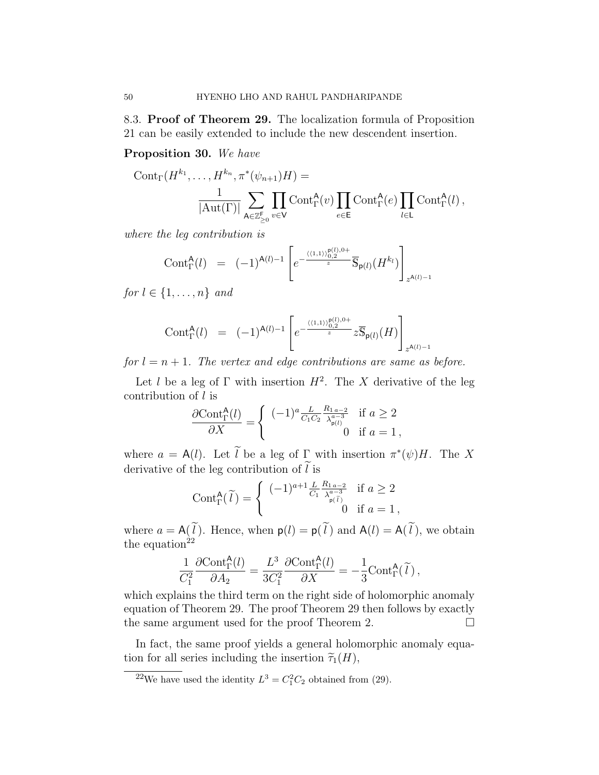8.3. Proof of Theorem 29. The localization formula of Proposition 21 can be easily extended to include the new descendent insertion.

### Proposition 30. We have

$$
Cont_{\Gamma}(H^{k_1}, \ldots, H^{k_n}, \pi^*(\psi_{n+1})H) =
$$
  

$$
\frac{1}{|\mathrm{Aut}(\Gamma)|} \sum_{\mathbf{A} \in \mathbb{Z}_{\geq 0}^{\mathsf{F}}} \prod_{v \in \mathsf{V}} Cont_{\Gamma}^{\mathbf{A}}(v) \prod_{e \in \mathsf{E}} Cont_{\Gamma}^{\mathbf{A}}(e) \prod_{l \in \mathsf{L}} Cont_{\Gamma}^{\mathbf{A}}(l),
$$

where the leg contribution is

$$
\text{Cont}_{\Gamma}^{\mathsf{A}}(l) = (-1)^{\mathsf{A}(l)-1} \left[ e^{-\frac{\langle (1,1) \rangle_{0,2}^{\mathsf{P}(l),0+}}{z}} \overline{\mathsf{S}}_{\mathsf{p}(l)}(H^{k_l}) \right]_{z^{\mathsf{A}(l)-1}}
$$

for  $l \in \{1, \ldots, n\}$  and

$$
\text{Cont}_{\Gamma}^{\mathsf{A}}(l) \;\; = \;\; (-1)^{\mathsf{A}(l)-1} \left[ e^{-\frac{\langle \langle 1,1 \rangle \rangle^{\mathsf{p}(l),0+}_{{}_{2}}}{z}} z \overline{\mathbb{S}}_{\mathsf{p}(l)}(H) \right]_{z^{\mathsf{A}(l)-1}}
$$

for  $l = n + 1$ . The vertex and edge contributions are same as before.

Let l be a leg of  $\Gamma$  with insertion  $H^2$ . The X derivative of the leg contribution of l is

$$
\frac{\partial \text{Cont}_{\Gamma}^{\mathsf{A}}(l)}{\partial X} = \begin{cases} (-1)^{a} \frac{L}{C_1 C_2} \frac{R_{1 \, a-2}}{\lambda_{\mathsf{p}(l)}^{a-3}} & \text{if } a \ge 2\\ 0 & \text{if } a = 1, \end{cases}
$$

where  $a = A(l)$ . Let l be a leg of  $\Gamma$  with insertion  $\pi^*(\psi)H$ . The X derivative of the leg contribution of  $l$  is

$$
\text{Cont}_{\Gamma}^{\mathsf{A}}(\widetilde{l}) = \begin{cases} (-1)^{a+1} \frac{L}{C_1} \frac{R_{1\,a-2}}{\lambda_{\mathsf{p}(\widetilde{l})}^{a-3}} & \text{if } a \ge 2\\ 0 & \text{if } a = 1, \end{cases}
$$

where  $a = A(l)$ . Hence, when  $p(l) = p(l)$  and  $A(l) = A(l)$ , we obtain the equation<sup>22</sup>

$$
\frac{1}{C_1^2} \frac{\partial \text{Cont}_{\Gamma}^{\mathsf{A}}(l)}{\partial A_2} = \frac{L^3}{3C_1^2} \frac{\partial \text{Cont}_{\Gamma}^{\mathsf{A}}(l)}{\partial X} = -\frac{1}{3} \text{Cont}_{\Gamma}^{\mathsf{A}}(\widetilde{l}),
$$

which explains the third term on the right side of holomorphic anomaly equation of Theorem 29. The proof Theorem 29 then follows by exactly the same argument used for the proof Theorem 2.

In fact, the same proof yields a general holomorphic anomaly equation for all series including the insertion  $\tilde{\tau}_1(H)$ ,

<sup>&</sup>lt;sup>22</sup>We have used the identity  $L^3 = C_1^2 C_2$  obtained from (29).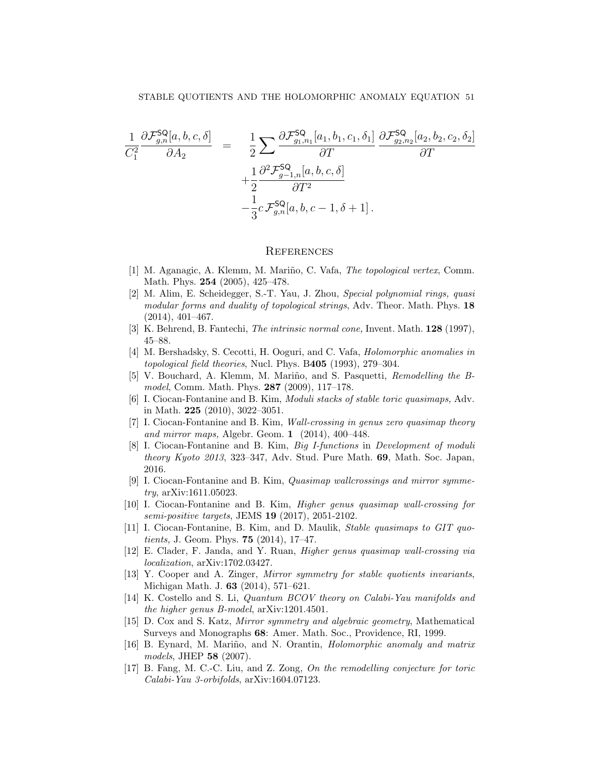$$
\frac{1}{C_1^2} \frac{\partial \mathcal{F}_{g,n}^{\mathsf{SQ}}[a,b,c,\delta]}{\partial A_2} = \frac{1}{2} \sum \frac{\partial \mathcal{F}_{g_1,n_1}^{\mathsf{SQ}}[a_1,b_1,c_1,\delta_1]}{\partial T} \frac{\partial \mathcal{F}_{g_2,n_2}^{\mathsf{SQ}}[a_2,b_2,c_2,\delta_2]}{\partial T} \n+ \frac{1}{2} \frac{\partial^2 \mathcal{F}_{g-1,n}^{\mathsf{SQ}}[a,b,c,\delta]}{\partial T^2} \n- \frac{1}{3} c \mathcal{F}_{g,n}^{\mathsf{SQ}}[a,b,c-1,\delta+1].
$$

#### **REFERENCES**

- [1] M. Aganagic, A. Klemm, M. Mariño, C. Vafa, *The topological vertex*, Comm. Math. Phys. 254 (2005), 425–478.
- [2] M. Alim, E. Scheidegger, S.-T. Yau, J. Zhou, Special polynomial rings, quasi modular forms and duality of topological strings, Adv. Theor. Math. Phys. 18 (2014), 401–467.
- [3] K. Behrend, B. Fantechi, The intrinsic normal cone, Invent. Math. 128 (1997), 45–88.
- [4] M. Bershadsky, S. Cecotti, H. Ooguri, and C. Vafa, Holomorphic anomalies in topological field theories, Nucl. Phys. B405 (1993), 279–304.
- [5] V. Bouchard, A. Klemm, M. Mariño, and S. Pasquetti, Remodelling the Bmodel, Comm. Math. Phys. 287 (2009), 117–178.
- [6] I. Ciocan-Fontanine and B. Kim, Moduli stacks of stable toric quasimaps, Adv. in Math. 225 (2010), 3022–3051.
- [7] I. Ciocan-Fontanine and B. Kim, Wall-crossing in genus zero quasimap theory and mirror maps, Algebr. Geom. 1 (2014), 400–448.
- [8] I. Ciocan-Fontanine and B. Kim, Big I-functions in Development of moduli theory Kyoto 2013, 323–347, Adv. Stud. Pure Math. 69, Math. Soc. Japan, 2016.
- [9] I. Ciocan-Fontanine and B. Kim, Quasimap wallcrossings and mirror symmetry, arXiv:1611.05023.
- [10] I. Ciocan-Fontanine and B. Kim, Higher genus quasimap wall-crossing for semi-positive targets, JEMS 19 (2017), 2051-2102.
- [11] I. Ciocan-Fontanine, B. Kim, and D. Maulik, Stable quasimaps to GIT quotients, J. Geom. Phys. 75 (2014), 17–47.
- [12] E. Clader, F. Janda, and Y. Ruan, Higher genus quasimap wall-crossing via localization, arXiv:1702.03427.
- [13] Y. Cooper and A. Zinger, Mirror symmetry for stable quotients invariants, Michigan Math. J. 63 (2014), 571–621.
- [14] K. Costello and S. Li, Quantum BCOV theory on Calabi-Yau manifolds and the higher genus B-model, arXiv:1201.4501.
- [15] D. Cox and S. Katz, Mirror symmetry and algebraic geometry, Mathematical Surveys and Monographs 68: Amer. Math. Soc., Providence, RI, 1999.
- [16] B. Eynard, M. Mariño, and N. Orantin, *Holomorphic anomaly and matrix* models, JHEP 58 (2007).
- [17] B. Fang, M. C.-C. Liu, and Z. Zong, On the remodelling conjecture for toric Calabi-Yau 3-orbifolds, arXiv:1604.07123.